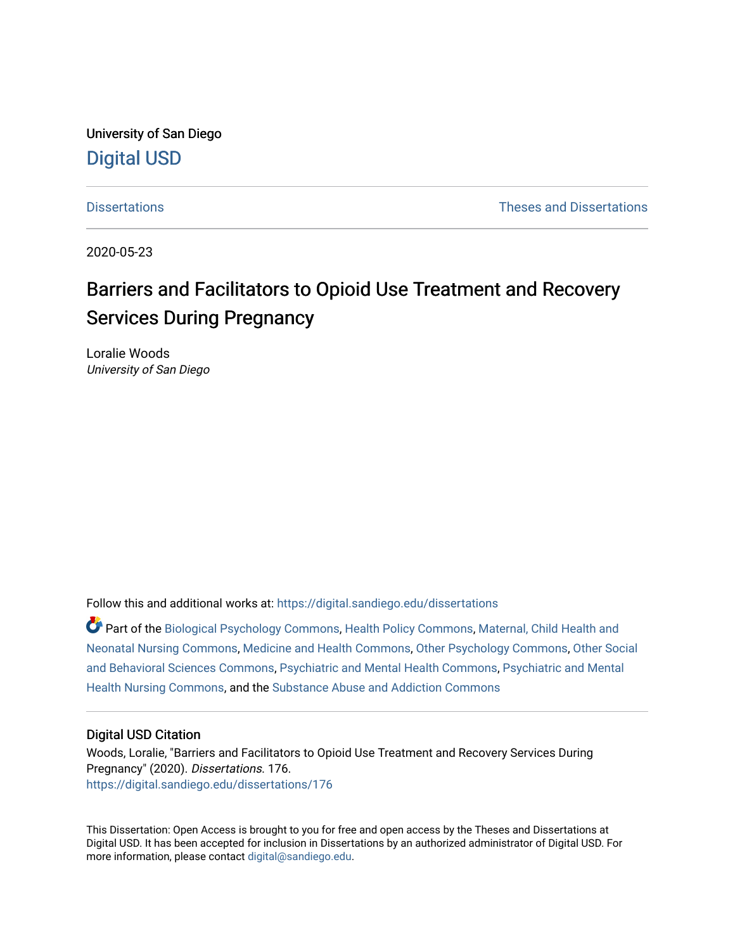University of San Diego [Digital USD](https://digital.sandiego.edu/)

[Dissertations](https://digital.sandiego.edu/dissertations) [Theses and Dissertations](https://digital.sandiego.edu/etd) 

2020-05-23

# Barriers and Facilitators to Opioid Use Treatment and Recovery Services During Pregnancy

Loralie Woods University of San Diego

Follow this and additional works at: [https://digital.sandiego.edu/dissertations](https://digital.sandiego.edu/dissertations?utm_source=digital.sandiego.edu%2Fdissertations%2F176&utm_medium=PDF&utm_campaign=PDFCoverPages)

Part of the [Biological Psychology Commons,](http://network.bepress.com/hgg/discipline/405?utm_source=digital.sandiego.edu%2Fdissertations%2F176&utm_medium=PDF&utm_campaign=PDFCoverPages) [Health Policy Commons](http://network.bepress.com/hgg/discipline/395?utm_source=digital.sandiego.edu%2Fdissertations%2F176&utm_medium=PDF&utm_campaign=PDFCoverPages), [Maternal, Child Health and](http://network.bepress.com/hgg/discipline/721?utm_source=digital.sandiego.edu%2Fdissertations%2F176&utm_medium=PDF&utm_campaign=PDFCoverPages)  [Neonatal Nursing Commons](http://network.bepress.com/hgg/discipline/721?utm_source=digital.sandiego.edu%2Fdissertations%2F176&utm_medium=PDF&utm_campaign=PDFCoverPages), [Medicine and Health Commons](http://network.bepress.com/hgg/discipline/422?utm_source=digital.sandiego.edu%2Fdissertations%2F176&utm_medium=PDF&utm_campaign=PDFCoverPages), [Other Psychology Commons](http://network.bepress.com/hgg/discipline/415?utm_source=digital.sandiego.edu%2Fdissertations%2F176&utm_medium=PDF&utm_campaign=PDFCoverPages), [Other Social](http://network.bepress.com/hgg/discipline/437?utm_source=digital.sandiego.edu%2Fdissertations%2F176&utm_medium=PDF&utm_campaign=PDFCoverPages)  [and Behavioral Sciences Commons,](http://network.bepress.com/hgg/discipline/437?utm_source=digital.sandiego.edu%2Fdissertations%2F176&utm_medium=PDF&utm_campaign=PDFCoverPages) [Psychiatric and Mental Health Commons,](http://network.bepress.com/hgg/discipline/711?utm_source=digital.sandiego.edu%2Fdissertations%2F176&utm_medium=PDF&utm_campaign=PDFCoverPages) [Psychiatric and Mental](http://network.bepress.com/hgg/discipline/724?utm_source=digital.sandiego.edu%2Fdissertations%2F176&utm_medium=PDF&utm_campaign=PDFCoverPages) [Health Nursing Commons,](http://network.bepress.com/hgg/discipline/724?utm_source=digital.sandiego.edu%2Fdissertations%2F176&utm_medium=PDF&utm_campaign=PDFCoverPages) and the [Substance Abuse and Addiction Commons](http://network.bepress.com/hgg/discipline/710?utm_source=digital.sandiego.edu%2Fdissertations%2F176&utm_medium=PDF&utm_campaign=PDFCoverPages) 

#### Digital USD Citation

Woods, Loralie, "Barriers and Facilitators to Opioid Use Treatment and Recovery Services During Pregnancy" (2020). Dissertations. 176. [https://digital.sandiego.edu/dissertations/176](https://digital.sandiego.edu/dissertations/176?utm_source=digital.sandiego.edu%2Fdissertations%2F176&utm_medium=PDF&utm_campaign=PDFCoverPages)

This Dissertation: Open Access is brought to you for free and open access by the Theses and Dissertations at Digital USD. It has been accepted for inclusion in Dissertations by an authorized administrator of Digital USD. For more information, please contact [digital@sandiego.edu.](mailto:digital@sandiego.edu)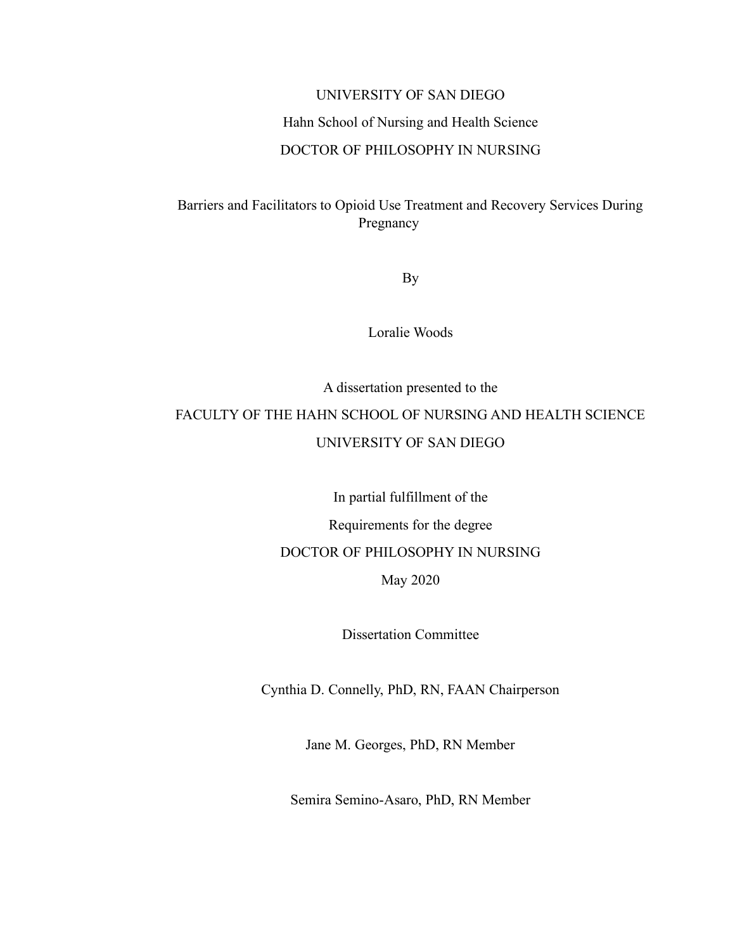# UNIVERSITY OF SAN DIEGO Hahn School of Nursing and Health Science DOCTOR OF PHILOSOPHY IN NURSING

Barriers and Facilitators to Opioid Use Treatment and Recovery Services During Pregnancy

By

Loralie Woods

# A dissertation presented to the FACULTY OF THE HAHN SCHOOL OF NURSING AND HEALTH SCIENCE UNIVERSITY OF SAN DIEGO

In partial fulfillment of the Requirements for the degree DOCTOR OF PHILOSOPHY IN NURSING May 2020

Dissertation Committee

Cynthia D. Connelly, PhD, RN, FAAN Chairperson

Jane M. Georges, PhD, RN Member

Semira Semino-Asaro, PhD, RN Member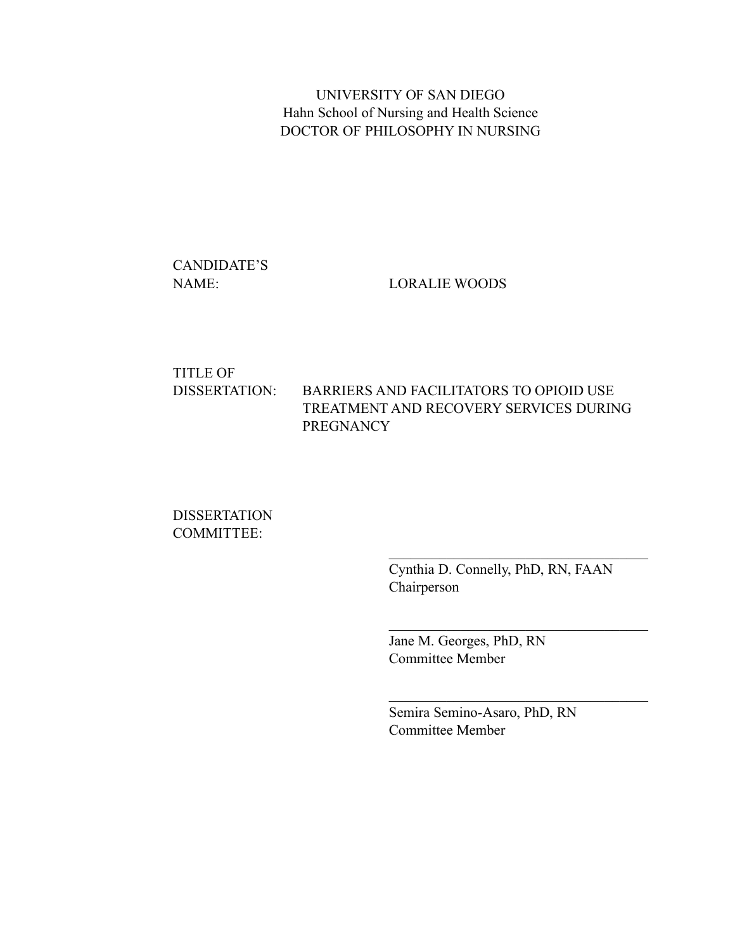UNIVERSITY OF SAN DIEGO Hahn School of Nursing and Health Science DOCTOR OF PHILOSOPHY IN NURSING

CANDIDATE'S

NAME: LORALIE WOODS

# TITLE OF DISSERTATION: BARRIERS AND FACILITATORS TO OPIOID USE TREATMENT AND RECOVERY SERVICES DURING **PREGNANCY**

**DISSERTATION** COMMITTEE:

> Cynthia D. Connelly, PhD, RN, FAAN Chairperson

 $\mathcal{L}_\text{max}$  and  $\mathcal{L}_\text{max}$  and  $\mathcal{L}_\text{max}$  and  $\mathcal{L}_\text{max}$ 

Jane M. Georges, PhD, RN Committee Member

Semira Semino-Asaro, PhD, RN Committee Member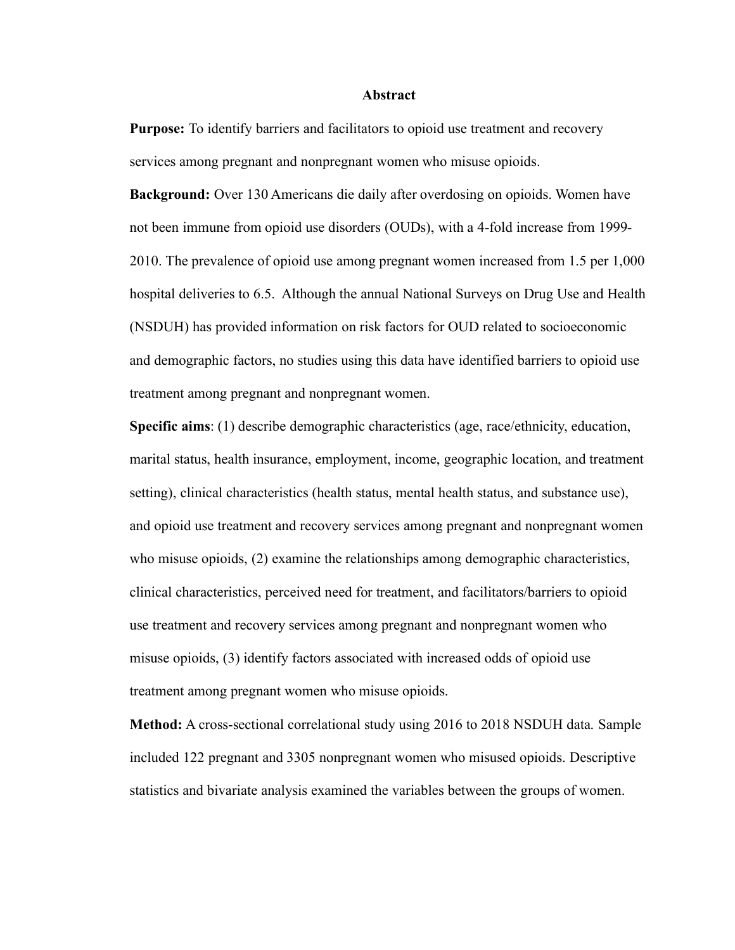#### **Abstract**

**Purpose:** To identify barriers and facilitators to opioid use treatment and recovery services among pregnant and nonpregnant women who misuse opioids.

**Background:** Over 130 Americans die daily after overdosing on opioids. Women have not been immune from opioid use disorders (OUDs), with a 4-fold increase from 1999- 2010. The prevalence of opioid use among pregnant women increased from 1.5 per 1,000 hospital deliveries to 6.5. Although the annual National Surveys on Drug Use and Health (NSDUH) has provided information on risk factors for OUD related to socioeconomic and demographic factors, no studies using this data have identified barriers to opioid use treatment among pregnant and nonpregnant women.

**Specific aims**: (1) describe demographic characteristics (age, race/ethnicity, education, marital status, health insurance, employment, income, geographic location, and treatment setting), clinical characteristics (health status, mental health status, and substance use), and opioid use treatment and recovery services among pregnant and nonpregnant women who misuse opioids, (2) examine the relationships among demographic characteristics, clinical characteristics, perceived need for treatment, and facilitators/barriers to opioid use treatment and recovery services among pregnant and nonpregnant women who misuse opioids, (3) identify factors associated with increased odds of opioid use treatment among pregnant women who misuse opioids.

**Method:** A cross-sectional correlational study using 2016 to 2018 NSDUH data. Sample included 122 pregnant and 3305 nonpregnant women who misused opioids. Descriptive statistics and bivariate analysis examined the variables between the groups of women.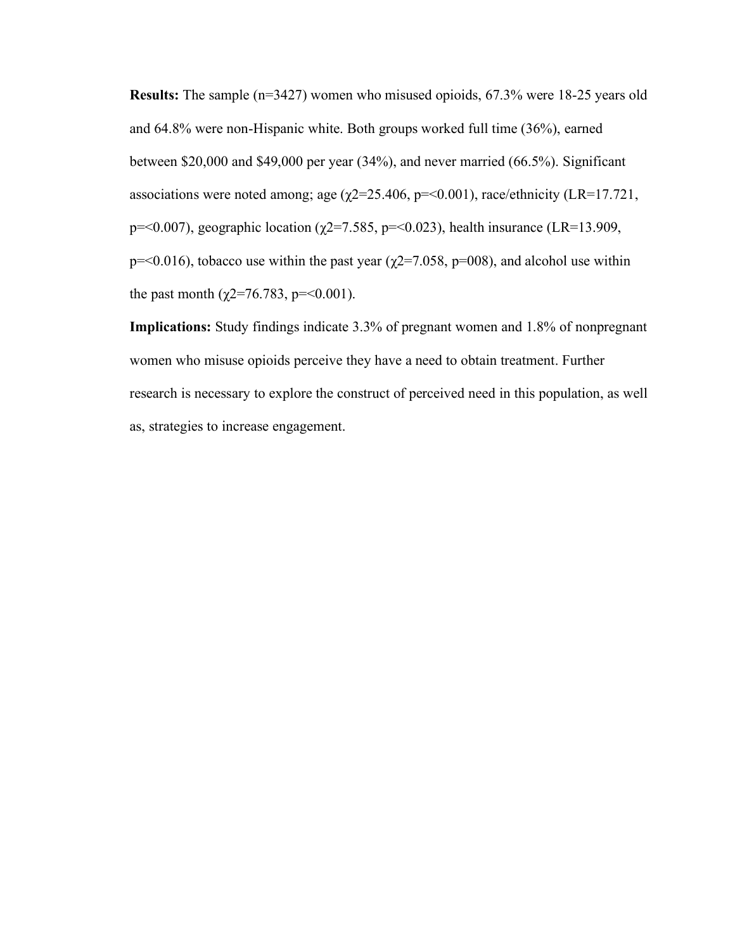**Results:** The sample (n=3427) women who misused opioids, 67.3% were 18-25 years old and 64.8% were non-Hispanic white. Both groups worked full time (36%), earned between \$20,000 and \$49,000 per year (34%), and never married (66.5%). Significant associations were noted among; age  $(\chi$ 2=25.406, p=<0.001), race/ethnicity (LR=17.721, p=<0.007), geographic location ( $\chi$ 2=7.585, p=<0.023), health insurance (LR=13.909, p=<0.016), tobacco use within the past year ( $\chi$ 2=7.058, p=008), and alcohol use within the past month ( $\chi$ 2=76.783, p=<0.001).

**Implications:** Study findings indicate 3.3% of pregnant women and 1.8% of nonpregnant women who misuse opioids perceive they have a need to obtain treatment. Further research is necessary to explore the construct of perceived need in this population, as well as, strategies to increase engagement.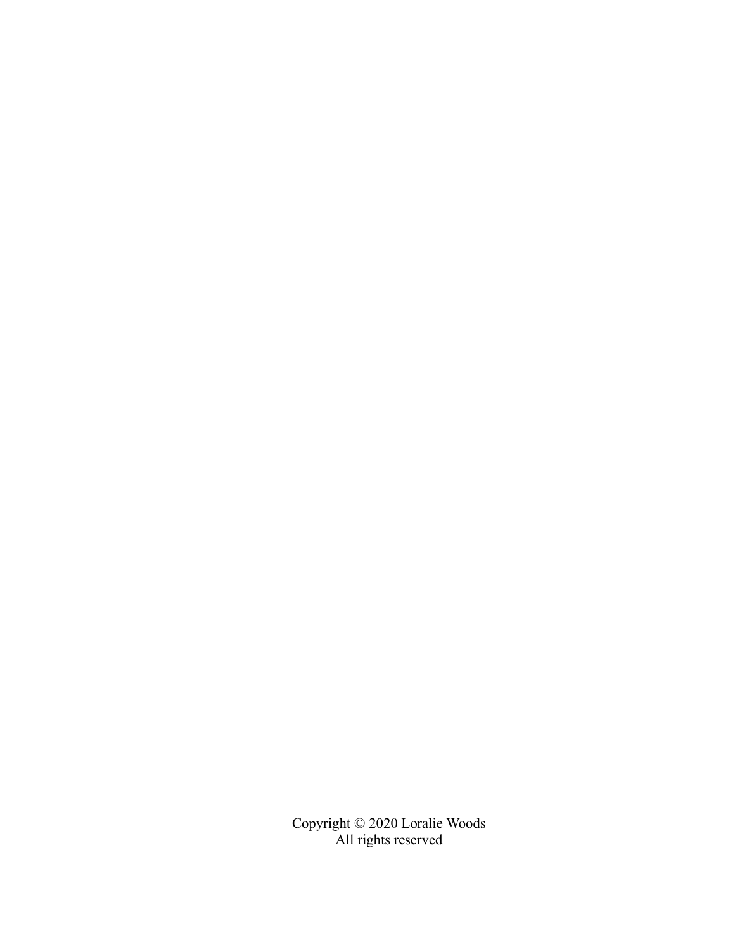Copyright © 2020 Loralie Woods All rights reserved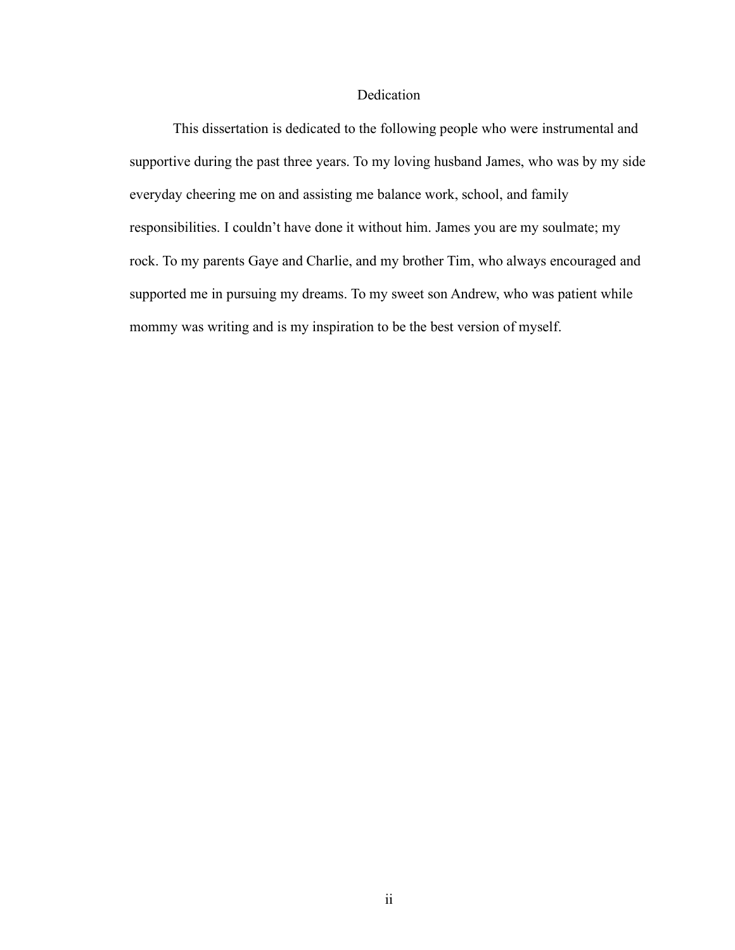# Dedication

This dissertation is dedicated to the following people who were instrumental and supportive during the past three years. To my loving husband James, who was by my side everyday cheering me on and assisting me balance work, school, and family responsibilities. I couldn't have done it without him. James you are my soulmate; my rock. To my parents Gaye and Charlie, and my brother Tim, who always encouraged and supported me in pursuing my dreams. To my sweet son Andrew, who was patient while mommy was writing and is my inspiration to be the best version of myself.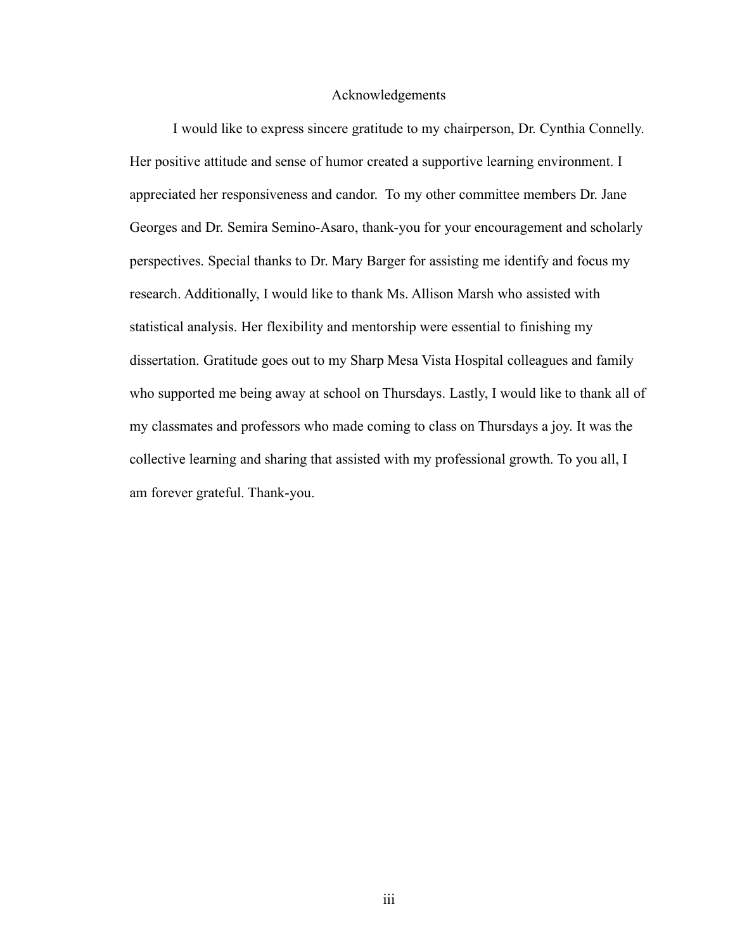# Acknowledgements

I would like to express sincere gratitude to my chairperson, Dr. Cynthia Connelly. Her positive attitude and sense of humor created a supportive learning environment. I appreciated her responsiveness and candor. To my other committee members Dr. Jane Georges and Dr. Semira Semino-Asaro, thank-you for your encouragement and scholarly perspectives. Special thanks to Dr. Mary Barger for assisting me identify and focus my research. Additionally, I would like to thank Ms. Allison Marsh who assisted with statistical analysis. Her flexibility and mentorship were essential to finishing my dissertation. Gratitude goes out to my Sharp Mesa Vista Hospital colleagues and family who supported me being away at school on Thursdays. Lastly, I would like to thank all of my classmates and professors who made coming to class on Thursdays a joy. It was the collective learning and sharing that assisted with my professional growth. To you all, I am forever grateful. Thank-you.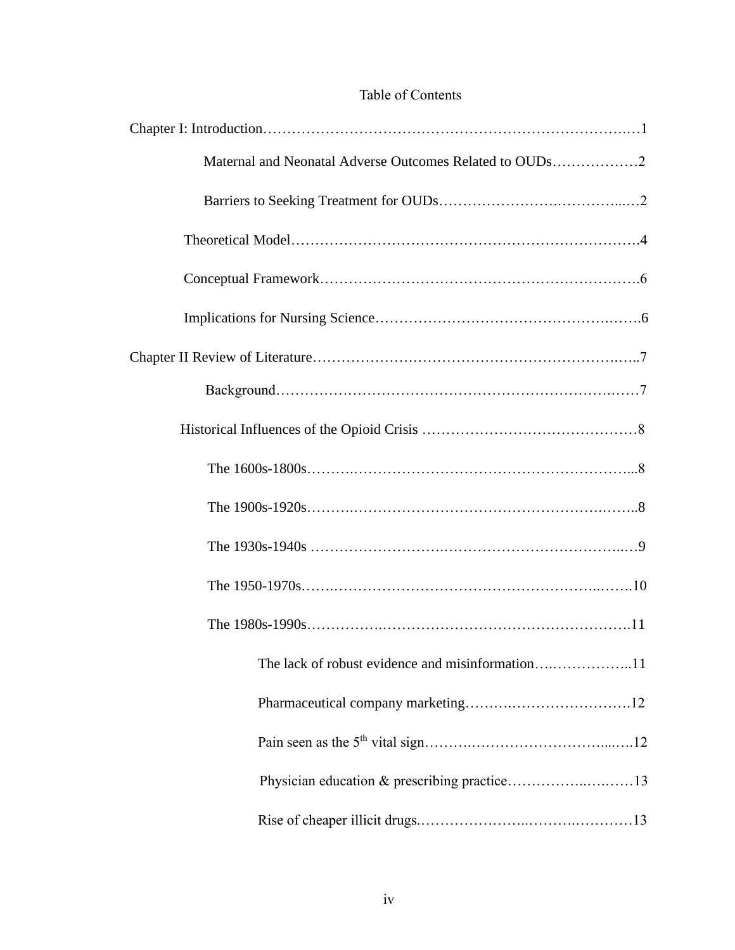# Table of Contents

| Maternal and Neonatal Adverse Outcomes Related to OUDs2 |
|---------------------------------------------------------|
|                                                         |
|                                                         |
|                                                         |
|                                                         |
|                                                         |
|                                                         |
|                                                         |
|                                                         |
|                                                         |
|                                                         |
|                                                         |
|                                                         |
| The lack of robust evidence and misinformation11        |
|                                                         |
|                                                         |
|                                                         |
|                                                         |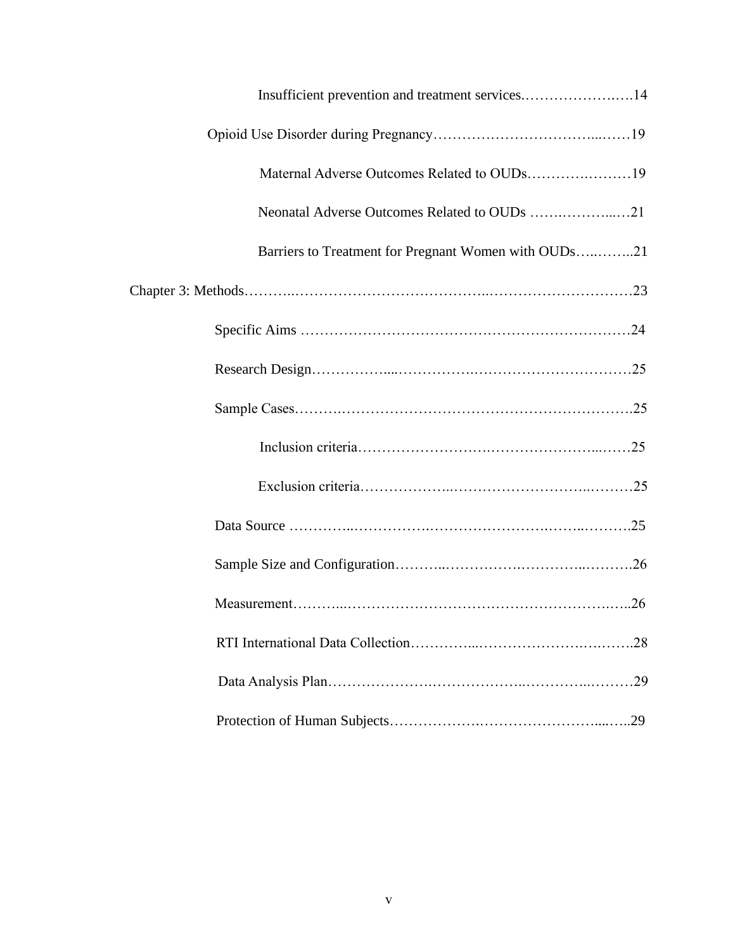| Insufficient prevention and treatment services14     |
|------------------------------------------------------|
|                                                      |
|                                                      |
|                                                      |
| Barriers to Treatment for Pregnant Women with OUDs21 |
|                                                      |
|                                                      |
|                                                      |
|                                                      |
|                                                      |
|                                                      |
|                                                      |
|                                                      |
|                                                      |
|                                                      |
|                                                      |
|                                                      |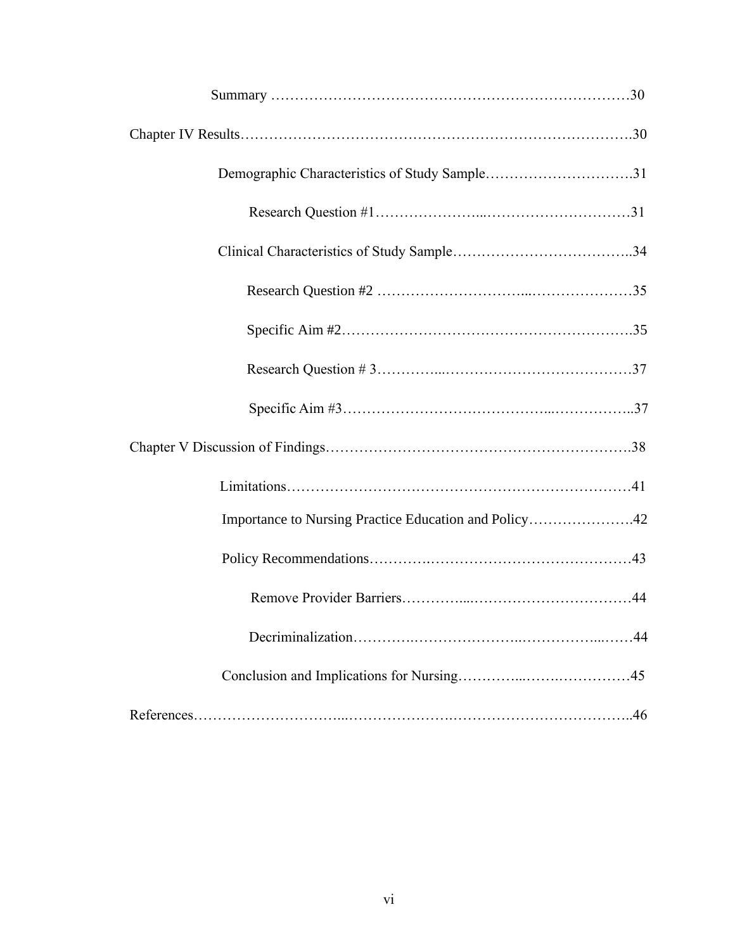| Demographic Characteristics of Study Sample31         |
|-------------------------------------------------------|
|                                                       |
|                                                       |
|                                                       |
|                                                       |
|                                                       |
|                                                       |
|                                                       |
|                                                       |
| Importance to Nursing Practice Education and Policy42 |
|                                                       |
|                                                       |
|                                                       |
|                                                       |
|                                                       |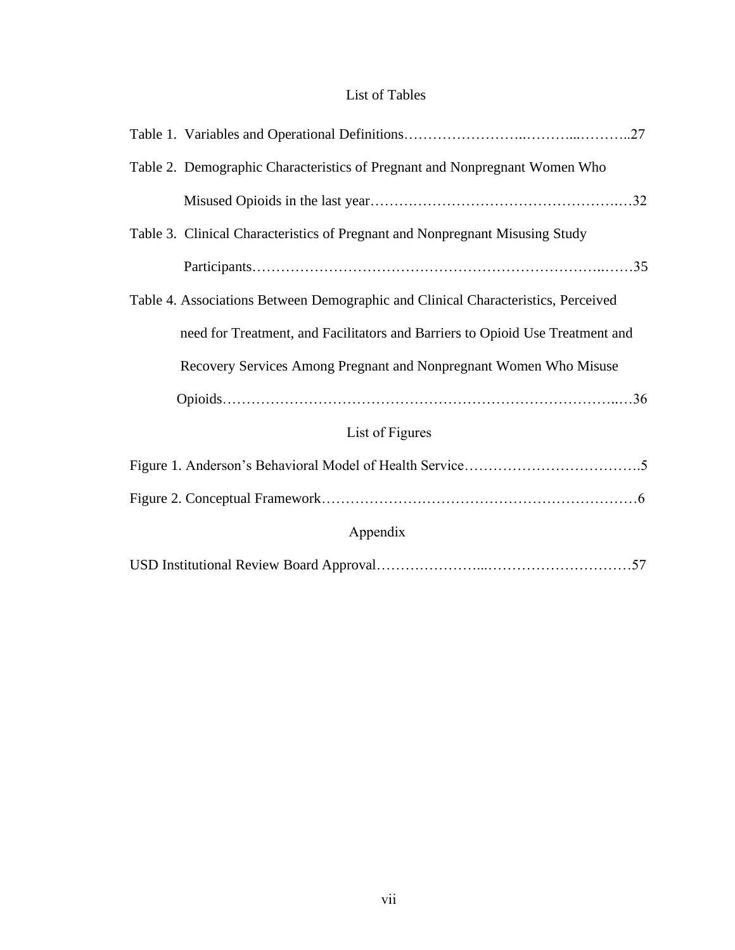# List of Tables

| Table 2. Demographic Characteristics of Pregnant and Nonpregnant Women Who        |
|-----------------------------------------------------------------------------------|
|                                                                                   |
| Table 3. Clinical Characteristics of Pregnant and Nonpregnant Misusing Study      |
|                                                                                   |
| Table 4. Associations Between Demographic and Clinical Characteristics, Perceived |
| need for Treatment, and Facilitators and Barriers to Opioid Use Treatment and     |
| Recovery Services Among Pregnant and Nonpregnant Women Who Misuse                 |
|                                                                                   |
| List of Figures                                                                   |
|                                                                                   |
|                                                                                   |
| Appendix                                                                          |
|                                                                                   |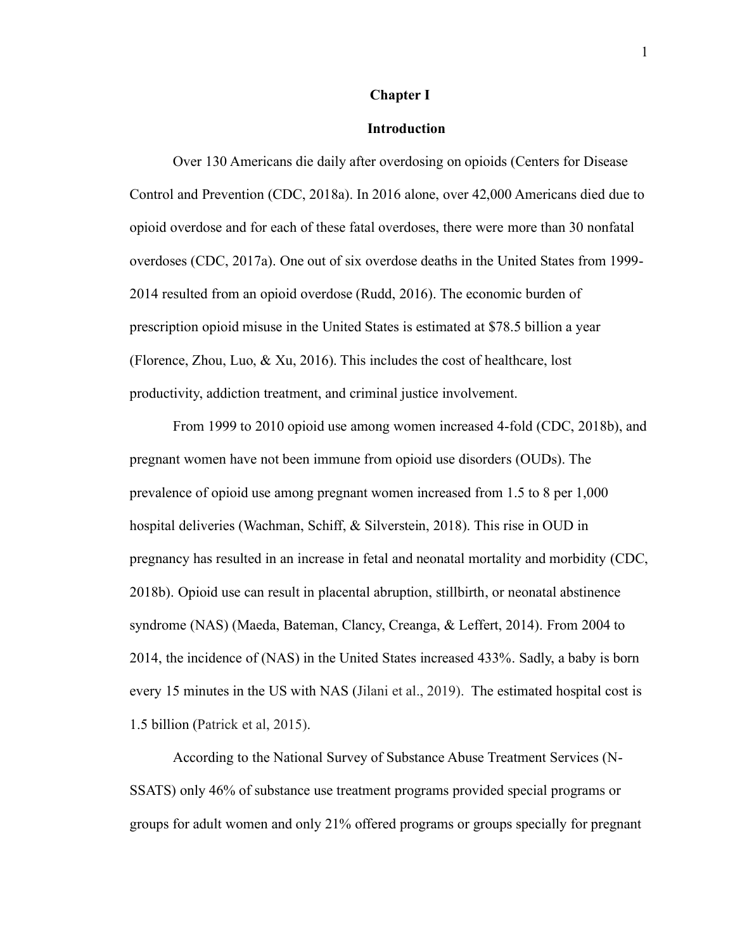#### **Chapter Ⅰ**

# **Introduction**

Over 130 Americans die daily after overdosing on opioids (Centers for Disease Control and Prevention (CDC, 2018a). In 2016 alone, over 42,000 Americans died due to opioid overdose and for each of these fatal overdoses, there were more than 30 nonfatal overdoses (CDC, 2017a). One out of six overdose deaths in the United States from 1999- 2014 resulted from an opioid overdose (Rudd, 2016). The economic burden of prescription opioid misuse in the United States is estimated at \$78.5 billion a year (Florence, Zhou, Luo,  $\&$  Xu, 2016). This includes the cost of healthcare, lost productivity, addiction treatment, and criminal justice involvement.

From 1999 to 2010 opioid use among women increased 4-fold (CDC, 2018b), and pregnant women have not been immune from opioid use disorders (OUDs). The prevalence of opioid use among pregnant women increased from 1.5 to 8 per 1,000 hospital deliveries (Wachman, Schiff, & Silverstein, 2018). This rise in OUD in pregnancy has resulted in an increase in fetal and neonatal mortality and morbidity (CDC, 2018b). Opioid use can result in placental abruption, stillbirth, or neonatal abstinence syndrome (NAS) (Maeda, Bateman, Clancy, Creanga, & Leffert, 2014). From 2004 to 2014, the incidence of (NAS) in the United States increased 433%. Sadly, a baby is born every 15 minutes in the US with NAS (Jilani et al., 2019). The estimated hospital cost is 1.5 billion (Patrick et al, 2015).

According to the National Survey of Substance Abuse Treatment Services (N-SSATS) only 46% of substance use treatment programs provided special programs or groups for adult women and only 21% offered programs or groups specially for pregnant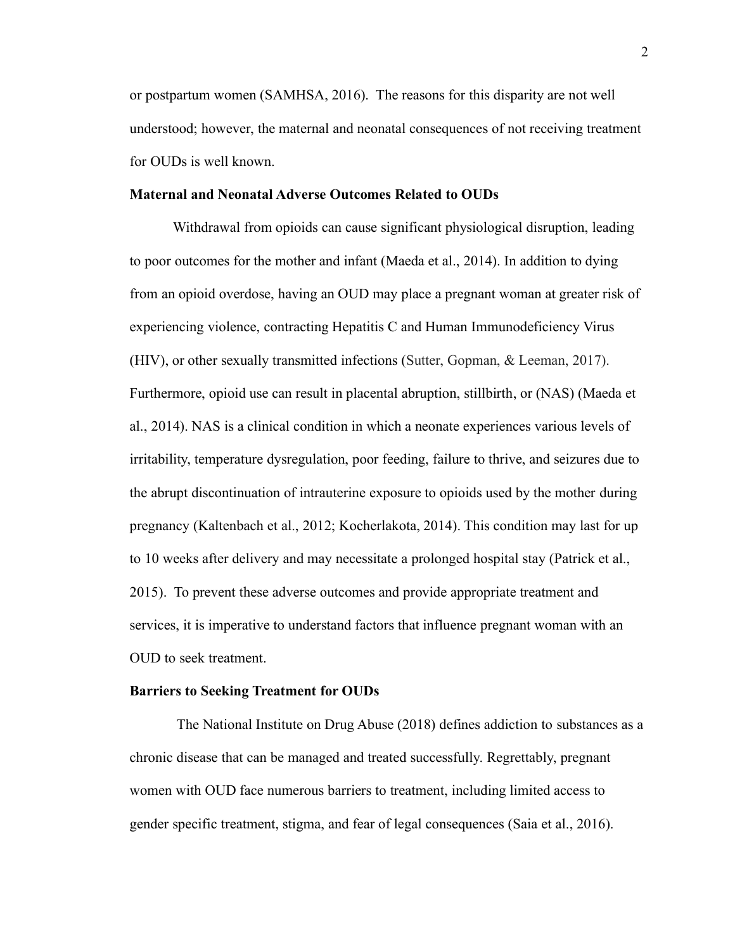or postpartum women (SAMHSA, 2016). The reasons for this disparity are not well understood; however, the maternal and neonatal consequences of not receiving treatment for OUDs is well known.

## **Maternal and Neonatal Adverse Outcomes Related to OUDs**

Withdrawal from opioids can cause significant physiological disruption, leading to poor outcomes for the mother and infant (Maeda et al., 2014). In addition to dying from an opioid overdose, having an OUD may place a pregnant woman at greater risk of experiencing violence, contracting Hepatitis C and Human Immunodeficiency Virus (HIV), or other sexually transmitted infections (Sutter, Gopman, & Leeman, 2017). Furthermore, opioid use can result in placental abruption, stillbirth, or (NAS) (Maeda et al., 2014). NAS is a clinical condition in which a neonate experiences various levels of irritability, temperature dysregulation, poor feeding, failure to thrive, and seizures due to the abrupt discontinuation of intrauterine exposure to opioids used by the mother during pregnancy (Kaltenbach et al., 2012; Kocherlakota, 2014). This condition may last for up to 10 weeks after delivery and may necessitate a prolonged hospital stay (Patrick et al., 2015). To prevent these adverse outcomes and provide appropriate treatment and services, it is imperative to understand factors that influence pregnant woman with an OUD to seek treatment.

#### **Barriers to Seeking Treatment for OUDs**

The National Institute on Drug Abuse (2018) defines addiction to substances as a chronic disease that can be managed and treated successfully. Regrettably, pregnant women with OUD face numerous barriers to treatment, including limited access to gender specific treatment, stigma, and fear of legal consequences (Saia et al., 2016).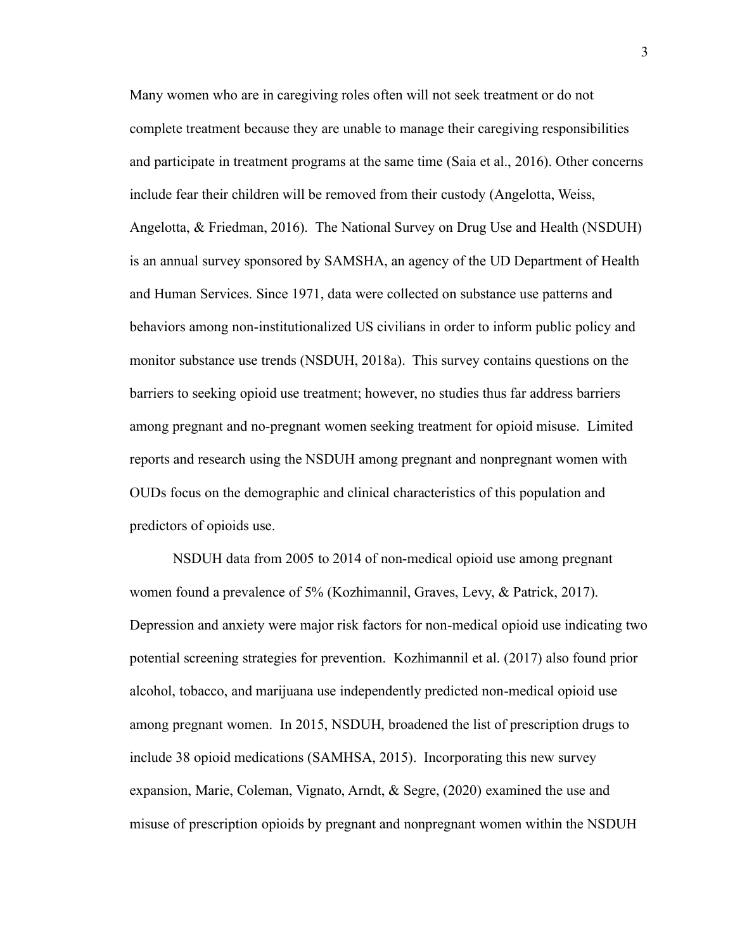Many women who are in caregiving roles often will not seek treatment or do not complete treatment because they are unable to manage their caregiving responsibilities and participate in treatment programs at the same time (Saia et al., 2016). Other concerns include fear their children will be removed from their custody (Angelotta, Weiss, Angelotta, & Friedman, 2016). The National Survey on Drug Use and Health (NSDUH) is an annual survey sponsored by SAMSHA, an agency of the UD Department of Health and Human Services. Since 1971, data were collected on substance use patterns and behaviors among non-institutionalized US civilians in order to inform public policy and monitor substance use trends (NSDUH, 2018a). This survey contains questions on the barriers to seeking opioid use treatment; however, no studies thus far address barriers among pregnant and no-pregnant women seeking treatment for opioid misuse. Limited reports and research using the NSDUH among pregnant and nonpregnant women with OUDs focus on the demographic and clinical characteristics of this population and predictors of opioids use.

NSDUH data from 2005 to 2014 of non-medical opioid use among pregnant women found a prevalence of 5% (Kozhimannil, Graves, Levy, & Patrick, 2017). Depression and anxiety were major risk factors for non-medical opioid use indicating two potential screening strategies for prevention. Kozhimannil et al. (2017) also found prior alcohol, tobacco, and marijuana use independently predicted non-medical opioid use among pregnant women. In 2015, NSDUH, broadened the list of prescription drugs to include 38 opioid medications (SAMHSA, 2015). Incorporating this new survey expansion, Marie, Coleman, Vignato, Arndt, & Segre, (2020) examined the use and misuse of prescription opioids by pregnant and nonpregnant women within the NSDUH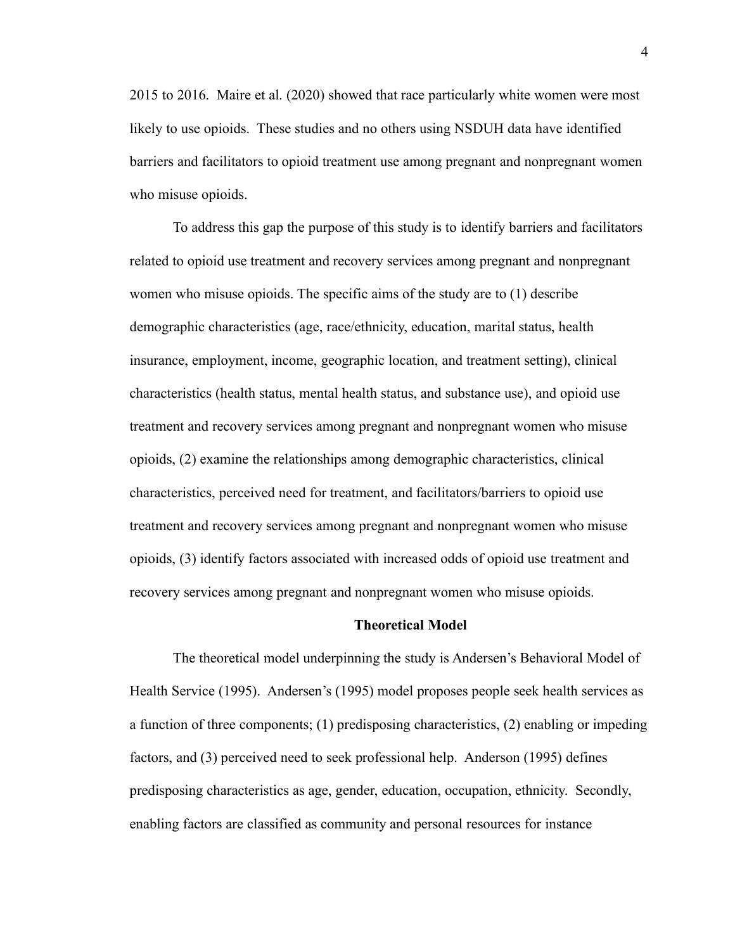2015 to 2016. Maire et al. (2020) showed that race particularly white women were most likely to use opioids. These studies and no others using NSDUH data have identified barriers and facilitators to opioid treatment use among pregnant and nonpregnant women who misuse opioids.

To address this gap the purpose of this study is to identify barriers and facilitators related to opioid use treatment and recovery services among pregnant and nonpregnant women who misuse opioids. The specific aims of the study are to (1) describe demographic characteristics (age, race/ethnicity, education, marital status, health insurance, employment, income, geographic location, and treatment setting), clinical characteristics (health status, mental health status, and substance use), and opioid use treatment and recovery services among pregnant and nonpregnant women who misuse opioids, (2) examine the relationships among demographic characteristics, clinical characteristics, perceived need for treatment, and facilitators/barriers to opioid use treatment and recovery services among pregnant and nonpregnant women who misuse opioids, (3) identify factors associated with increased odds of opioid use treatment and recovery services among pregnant and nonpregnant women who misuse opioids.

#### **Theoretical Model**

The theoretical model underpinning the study is Andersen's Behavioral Model of Health Service (1995). Andersen's (1995) model proposes people seek health services as a function of three components; (1) predisposing characteristics, (2) enabling or impeding factors, and (3) perceived need to seek professional help. Anderson (1995) defines predisposing characteristics as age, gender, education, occupation, ethnicity. Secondly, enabling factors are classified as community and personal resources for instance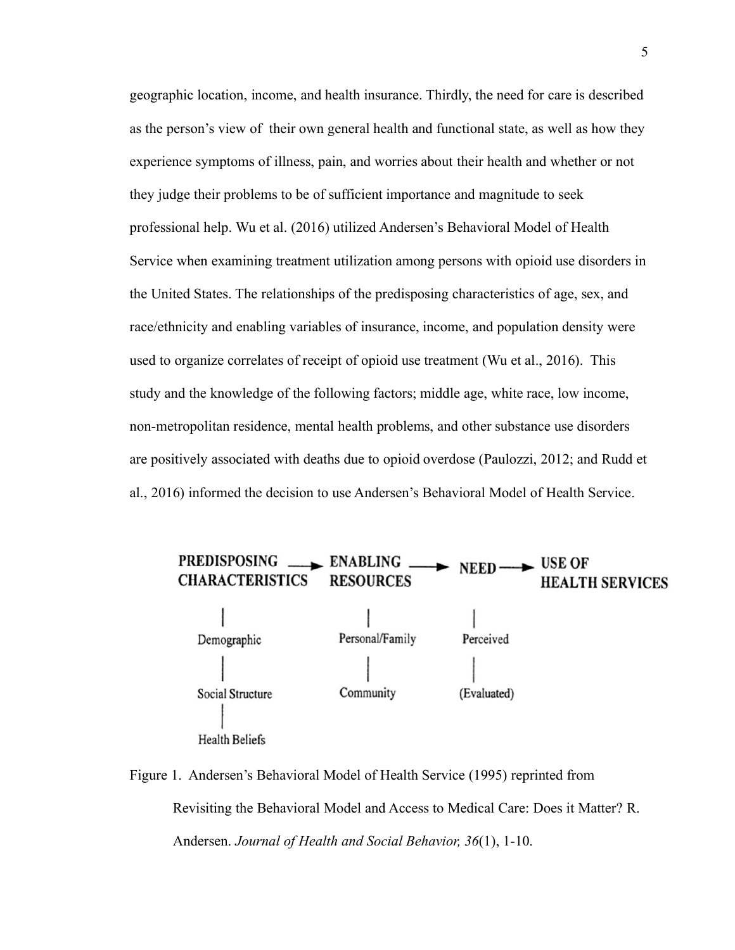geographic location, income, and health insurance. Thirdly, the need for care is described as the person's view of their own general health and functional state, as well as how they experience symptoms of illness, pain, and worries about their health and whether or not they judge their problems to be of sufficient importance and magnitude to seek professional help. Wu et al. (2016) utilized Andersen's Behavioral Model of Health Service when examining treatment utilization among persons with opioid use disorders in the United States. The relationships of the predisposing characteristics of age, sex, and race/ethnicity and enabling variables of insurance, income, and population density were used to organize correlates of receipt of opioid use treatment (Wu et al., 2016). This study and the knowledge of the following factors; middle age, white race, low income, non-metropolitan residence, mental health problems, and other substance use disorders are positively associated with deaths due to opioid overdose (Paulozzi, 2012; and Rudd et al., 2016) informed the decision to use Andersen's Behavioral Model of Health Service.



Figure 1. Andersen's Behavioral Model of Health Service (1995) reprinted from Revisiting the Behavioral Model and Access to Medical Care: Does it Matter? R. Andersen. *Journal of Health and Social Behavior, 36*(1), 1-10.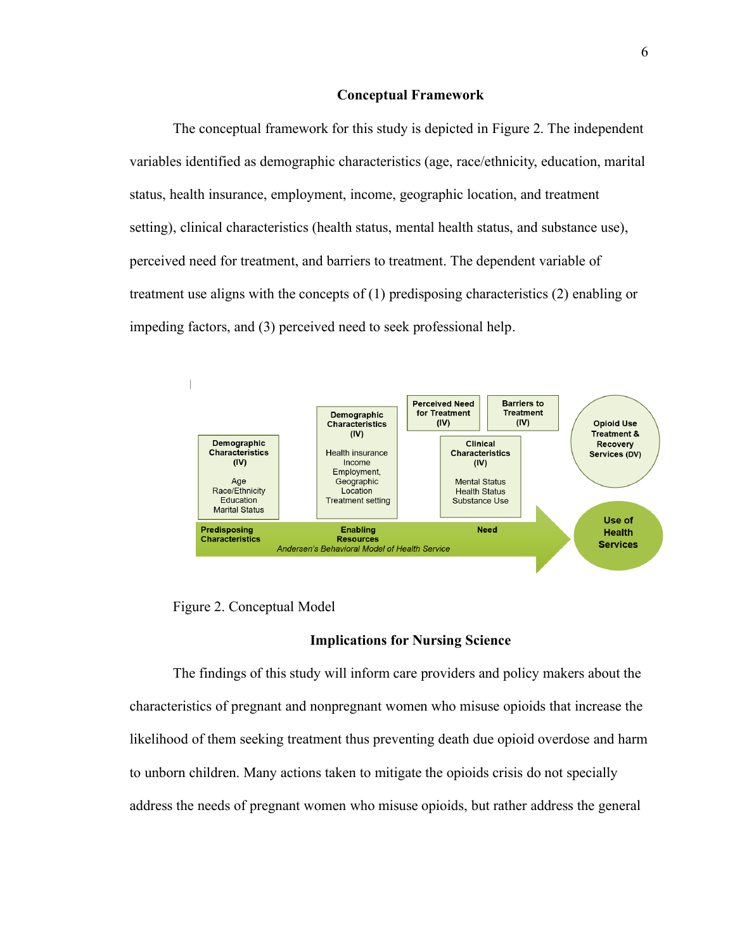#### **Conceptual Framework**

The conceptual framework for this study is depicted in Figure 2. The independent variables identified as demographic characteristics (age, race/ethnicity, education, marital status, health insurance, employment, income, geographic location, and treatment setting), clinical characteristics (health status, mental health status, and substance use), perceived need for treatment, and barriers to treatment. The dependent variable of treatment use aligns with the concepts of (1) predisposing characteristics (2) enabling or impeding factors, and (3) perceived need to seek professional help.



Figure 2. Conceptual Model

# **Implications for Nursing Science**

The findings of this study will inform care providers and policy makers about the characteristics of pregnant and nonpregnant women who misuse opioids that increase the likelihood of them seeking treatment thus preventing death due opioid overdose and harm to unborn children. Many actions taken to mitigate the opioids crisis do not specially address the needs of pregnant women who misuse opioids, but rather address the general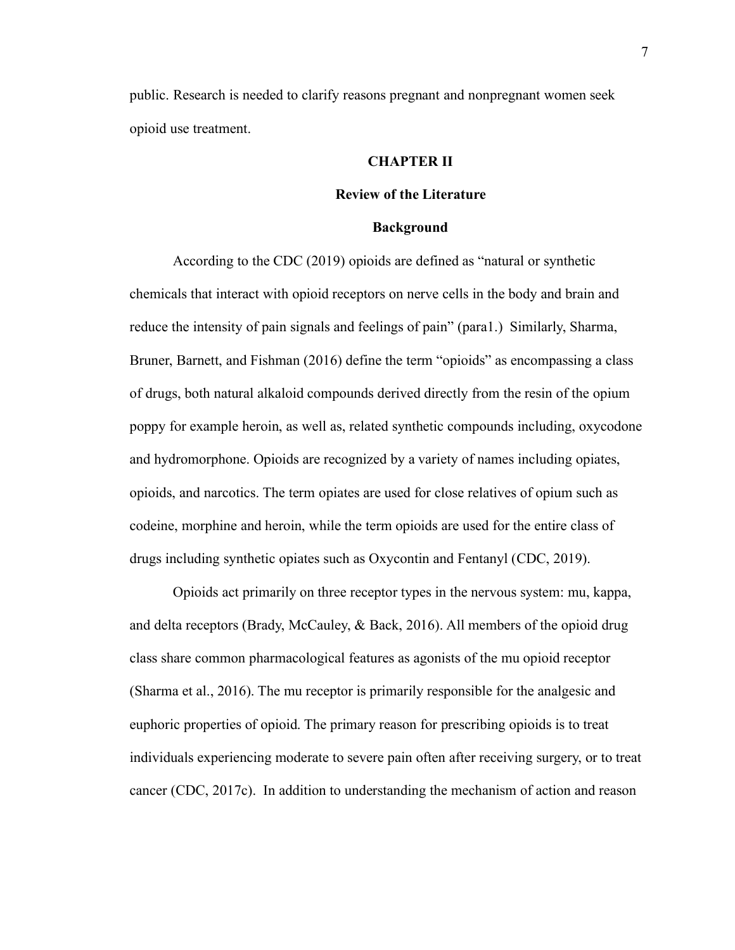public. Research is needed to clarify reasons pregnant and nonpregnant women seek opioid use treatment.

# **CHAPTER II**

#### **Review of the Literature**

#### **Background**

According to the CDC (2019) opioids are defined as "natural or synthetic chemicals that interact with opioid receptors on nerve cells in the body and brain and reduce the intensity of pain signals and feelings of pain" (para1.) Similarly, Sharma, Bruner, Barnett, and Fishman (2016) define the term "opioids" as encompassing a class of drugs, both natural alkaloid compounds derived directly from the resin of the opium poppy for example heroin, as well as, related synthetic compounds including, oxycodone and hydromorphone. Opioids are recognized by a variety of names including opiates, opioids, and narcotics. The term opiates are used for close relatives of opium such as codeine, morphine and heroin, while the term opioids are used for the entire class of drugs including synthetic opiates such as Oxycontin and Fentanyl (CDC, 2019).

Opioids act primarily on three receptor types in the nervous system: mu, kappa, and delta receptors (Brady, McCauley, & Back, 2016). All members of the opioid drug class share common pharmacological features as agonists of the mu opioid receptor (Sharma et al., 2016). The mu receptor is primarily responsible for the analgesic and euphoric properties of opioid. The primary reason for prescribing opioids is to treat individuals experiencing moderate to severe pain often after receiving surgery, or to treat cancer (CDC, 2017c). In addition to understanding the mechanism of action and reason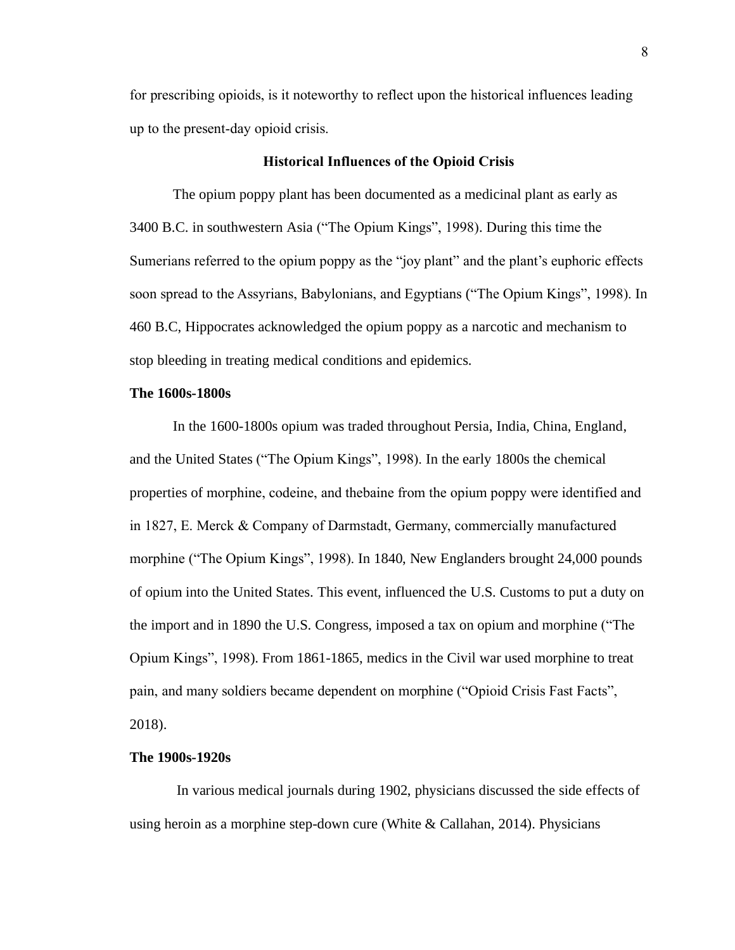for prescribing opioids, is it noteworthy to reflect upon the historical influences leading up to the present-day opioid crisis.

## **Historical Influences of the Opioid Crisis**

The opium poppy plant has been documented as a medicinal plant as early as 3400 B.C. in southwestern Asia ("The Opium Kings", 1998). During this time the Sumerians referred to the opium poppy as the "joy plant" and the plant's euphoric effects soon spread to the Assyrians, Babylonians, and Egyptians ("The Opium Kings", 1998). In 460 B.C, Hippocrates acknowledged the opium poppy as a narcotic and mechanism to stop bleeding in treating medical conditions and epidemics.

# **The 1600s-1800s**

In the 1600-1800s opium was traded throughout Persia, India, China, England, and the United States ("The Opium Kings", 1998). In the early 1800s the chemical properties of morphine, codeine, and thebaine from the opium poppy were identified and in 1827, E. Merck & Company of Darmstadt, Germany, commercially manufactured morphine ("The Opium Kings", 1998). In 1840, New Englanders brought 24,000 pounds of opium into the United States. This event, influenced the U.S. Customs to put a duty on the import and in 1890 the U.S. Congress, imposed a tax on opium and morphine ("The Opium Kings", 1998). From 1861-1865, medics in the Civil war used morphine to treat pain, and many soldiers became dependent on morphine ("Opioid Crisis Fast Facts", 2018).

#### **The 1900s-1920s**

In various medical journals during 1902, physicians discussed the side effects of using heroin as a morphine step-down cure (White & Callahan, 2014). Physicians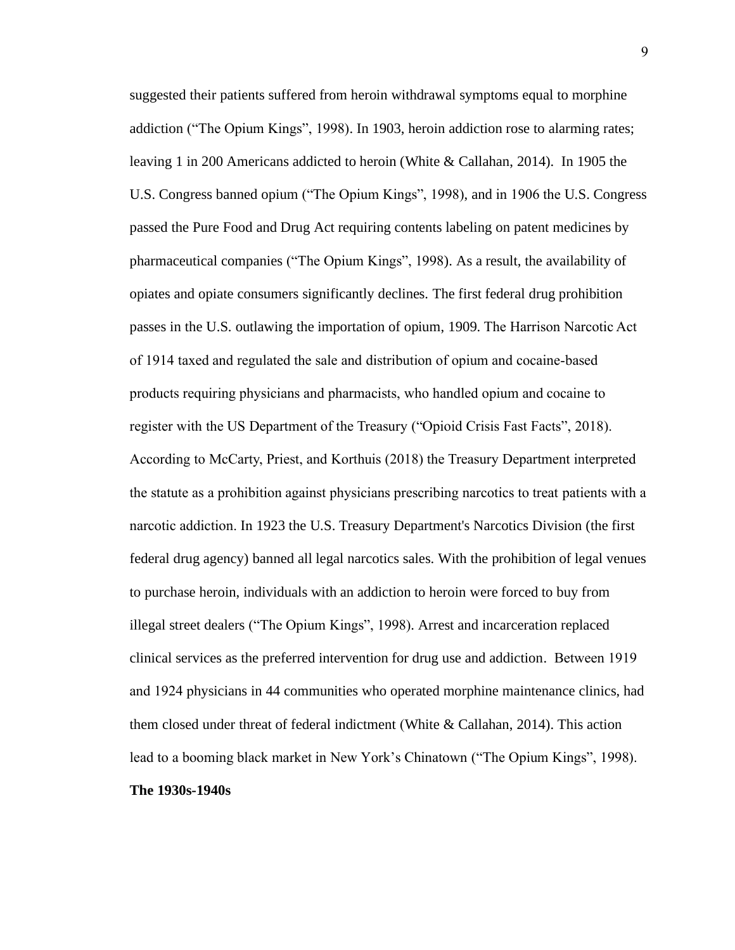suggested their patients suffered from heroin withdrawal symptoms equal to morphine addiction ("The Opium Kings", 1998). In 1903, heroin addiction rose to alarming rates; leaving 1 in 200 Americans addicted to heroin (White & Callahan, 2014). In 1905 the U.S. Congress banned opium ("The Opium Kings", 1998), and in 1906 the U.S. Congress passed the Pure Food and Drug Act requiring contents labeling on patent medicines by pharmaceutical companies ("The Opium Kings", 1998). As a result, the availability of opiates and opiate consumers significantly declines. The first federal drug prohibition passes in the U.S. outlawing the importation of opium, 1909. The Harrison Narcotic Act of 1914 taxed and regulated the sale and distribution of opium and cocaine-based products requiring physicians and pharmacists, who handled opium and cocaine to register with the US Department of the Treasury ("Opioid Crisis Fast Facts", 2018). According to McCarty, Priest, and Korthuis (2018) the Treasury Department interpreted the statute as a prohibition against physicians prescribing narcotics to treat patients with a narcotic addiction. In 1923 the U.S. Treasury Department's Narcotics Division (the first federal drug agency) banned all legal narcotics sales. With the prohibition of legal venues to purchase heroin, individuals with an addiction to heroin were forced to buy from illegal street dealers ("The Opium Kings", 1998). Arrest and incarceration replaced clinical services as the preferred intervention for drug use and addiction. Between 1919 and 1924 physicians in 44 communities who operated morphine maintenance clinics, had them closed under threat of federal indictment (White & Callahan, 2014). This action lead to a booming black market in New York's Chinatown ("The Opium Kings", 1998). **The 1930s-1940s**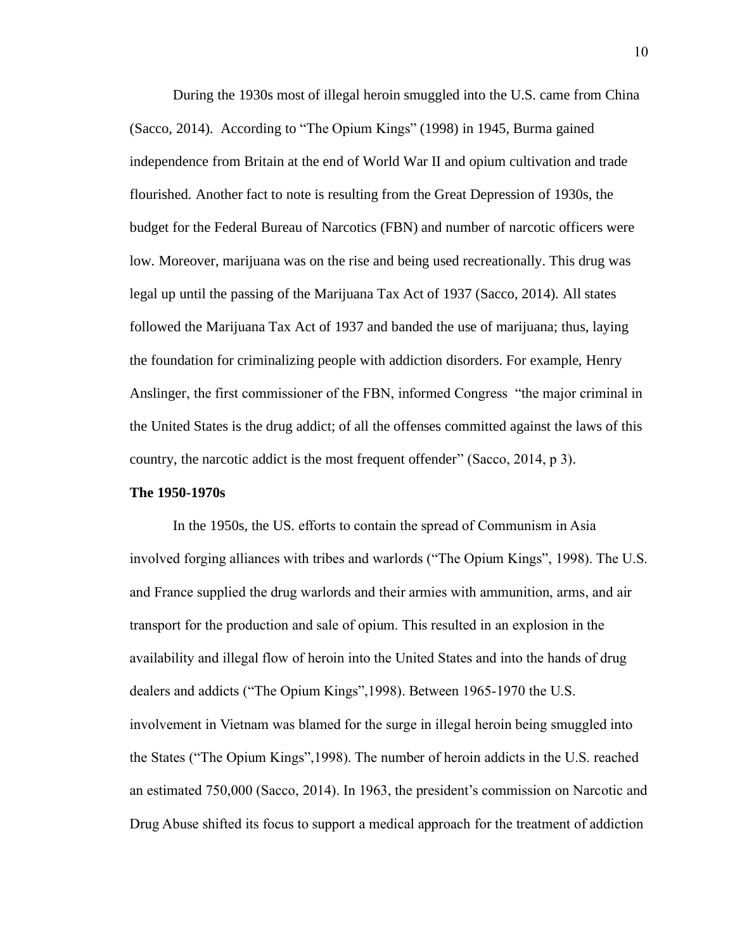During the 1930s most of illegal heroin smuggled into the U.S. came from China (Sacco, 2014). According to "The Opium Kings" (1998) in 1945, Burma gained independence from Britain at the end of World War II and opium cultivation and trade flourished. Another fact to note is resulting from the Great Depression of 1930s, the budget for the Federal Bureau of Narcotics (FBN) and number of narcotic officers were low. Moreover, marijuana was on the rise and being used recreationally. This drug was legal up until the passing of the Marijuana Tax Act of 1937 (Sacco, 2014). All states followed the Marijuana Tax Act of 1937 and banded the use of marijuana; thus, laying the foundation for criminalizing people with addiction disorders. For example, Henry Anslinger, the first commissioner of the FBN, informed Congress "the major criminal in the United States is the drug addict; of all the offenses committed against the laws of this country, the narcotic addict is the most frequent offender" (Sacco, 2014, p 3).

#### **The 1950-1970s**

In the 1950s, the US. efforts to contain the spread of Communism in Asia involved forging alliances with tribes and warlords ("The Opium Kings", 1998). The U.S. and France supplied the drug warlords and their armies with ammunition, arms, and air transport for the production and sale of opium. This resulted in an explosion in the availability and illegal flow of heroin into the United States and into the hands of drug dealers and addicts ("The Opium Kings",1998). Between 1965-1970 the U.S. involvement in Vietnam was blamed for the surge in illegal heroin being smuggled into the States ("The Opium Kings",1998). The number of heroin addicts in the U.S. reached an estimated 750,000 (Sacco, 2014). In 1963, the president's commission on Narcotic and Drug Abuse shifted its focus to support a medical approach for the treatment of addiction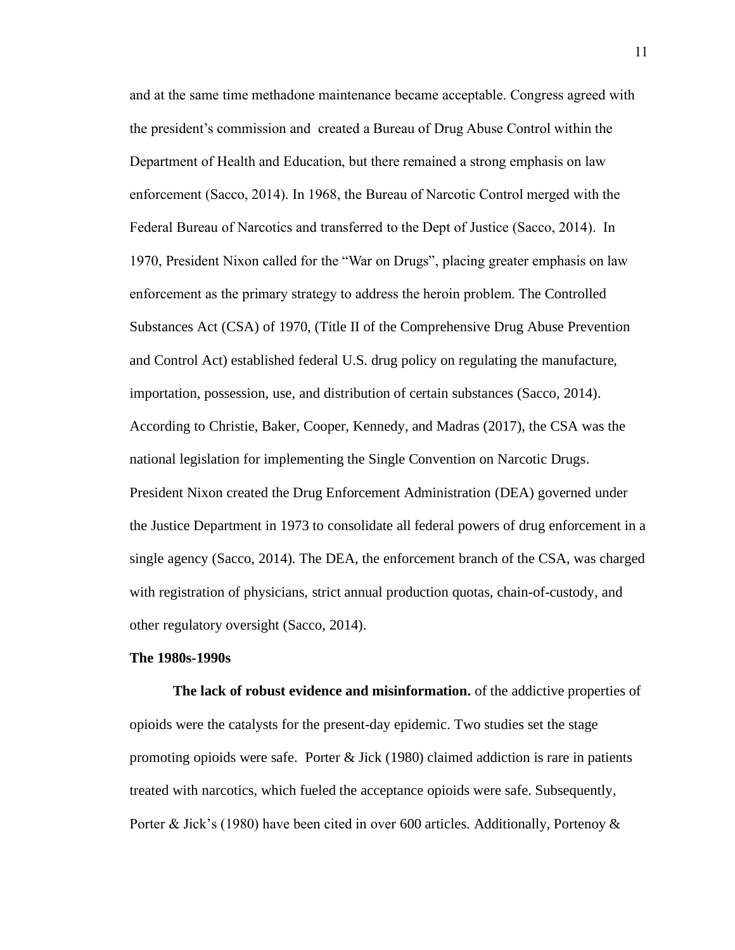and at the same time methadone maintenance became acceptable. Congress agreed with the president's commission and created a Bureau of Drug Abuse Control within the Department of Health and Education, but there remained a strong emphasis on law enforcement (Sacco, 2014). In 1968, the Bureau of Narcotic Control merged with the Federal Bureau of Narcotics and transferred to the Dept of Justice (Sacco, 2014). In 1970, President Nixon called for the "War on Drugs", placing greater emphasis on law enforcement as the primary strategy to address the heroin problem. The Controlled Substances Act (CSA) of 1970, (Title II of the Comprehensive Drug Abuse Prevention and Control Act) established federal U.S. drug policy on regulating the manufacture, importation, possession, use, and distribution of certain substances (Sacco, 2014). According to Christie, Baker, Cooper, Kennedy, and Madras (2017), the CSA was the national legislation for implementing the Single Convention on Narcotic Drugs. President Nixon created the Drug Enforcement Administration (DEA) governed under the Justice Department in 1973 to consolidate all federal powers of drug enforcement in a single agency (Sacco, 2014). The DEA, the enforcement branch of the CSA, was charged with registration of physicians, strict annual production quotas, chain-of-custody, and other regulatory oversight (Sacco, 2014).

#### **The 1980s-1990s**

**The lack of robust evidence and misinformation.** of the addictive properties of opioids were the catalysts for the present-day epidemic. Two studies set the stage promoting opioids were safe. Porter  $\&$  Jick (1980) claimed addiction is rare in patients treated with narcotics, which fueled the acceptance opioids were safe. Subsequently, Porter & Jick's (1980) have been cited in over 600 articles. Additionally, Portenoy &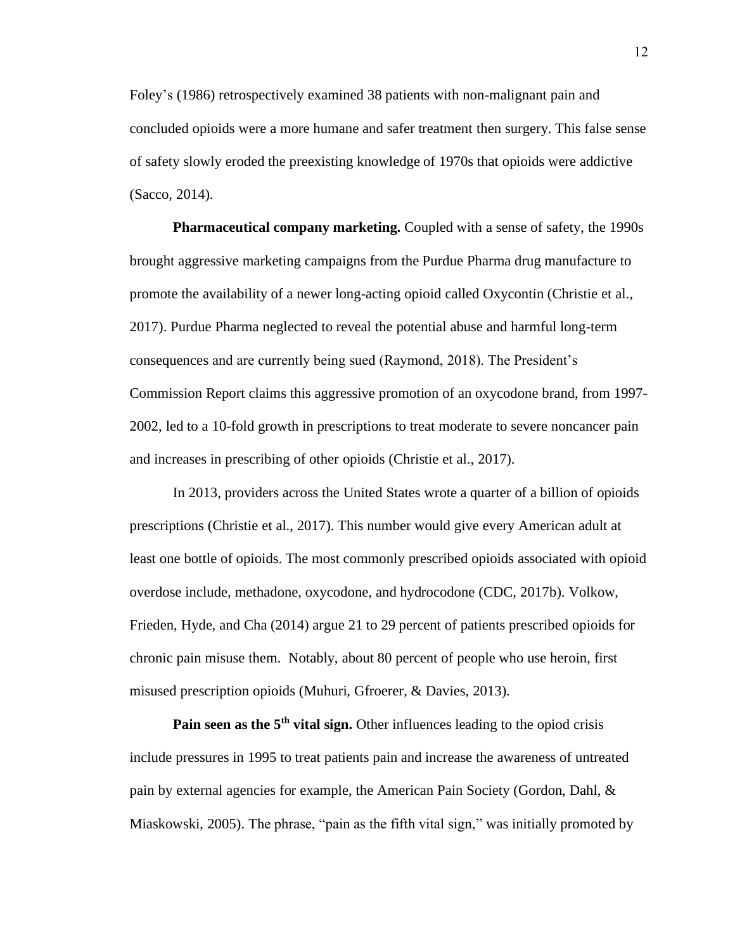Foley's (1986) retrospectively examined 38 patients with non-malignant pain and concluded opioids were a more humane and safer treatment then surgery. This false sense of safety slowly eroded the preexisting knowledge of 1970s that opioids were addictive (Sacco, 2014).

**Pharmaceutical company marketing.** Coupled with a sense of safety, the 1990s brought aggressive marketing campaigns from the Purdue Pharma drug manufacture to promote the availability of a newer long-acting opioid called Oxycontin (Christie et al., 2017). Purdue Pharma neglected to reveal the potential abuse and harmful long-term consequences and are currently being sued (Raymond, 2018). The President's Commission Report claims this aggressive promotion of an oxycodone brand, from 1997- 2002, led to a 10-fold growth in prescriptions to treat moderate to severe noncancer pain and increases in prescribing of other opioids (Christie et al., 2017).

In 2013, providers across the United States wrote a quarter of a billion of opioids prescriptions (Christie et al., 2017). This number would give every American adult at least one bottle of opioids. The most commonly prescribed opioids associated with opioid overdose include, methadone, oxycodone, and hydrocodone (CDC, 2017b). Volkow, Frieden, Hyde, and Cha (2014) argue 21 to 29 percent of patients prescribed opioids for chronic pain misuse them. Notably, about 80 percent of people who use heroin, first misused prescription opioids (Muhuri, Gfroerer, & Davies, 2013).

**Pain seen as the 5th vital sign.** Other influences leading to the opiod crisis include pressures in 1995 to treat patients pain and increase the awareness of untreated pain by external agencies for example, the American Pain Society (Gordon, Dahl, & Miaskowski, 2005). The phrase, "pain as the fifth vital sign," was initially promoted by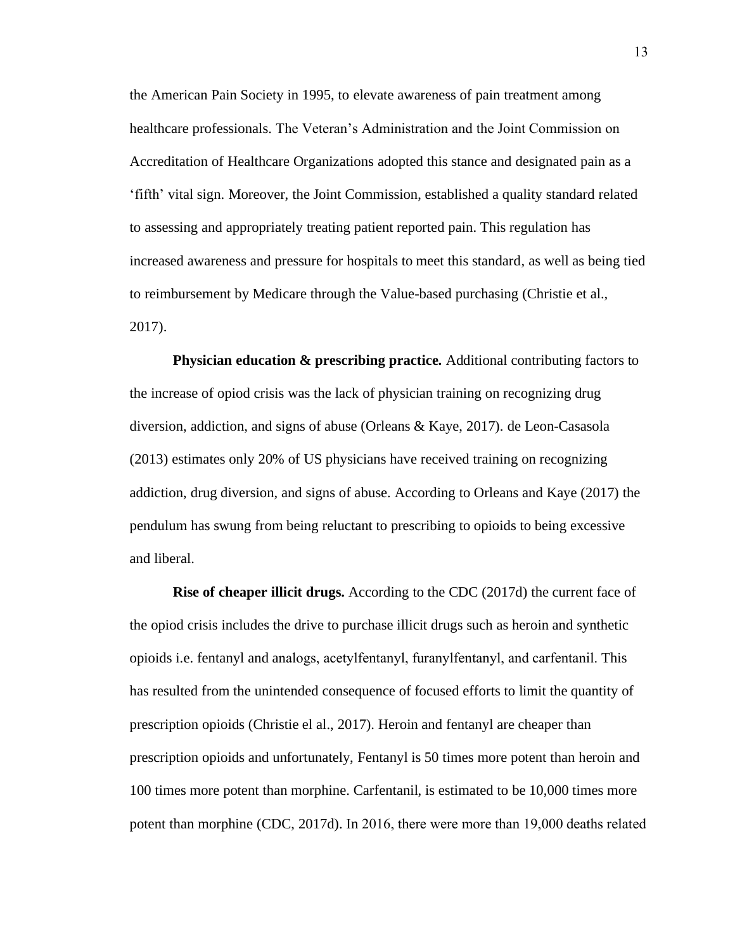the American Pain Society in 1995, to elevate awareness of pain treatment among healthcare professionals. The Veteran's Administration and the Joint Commission on Accreditation of Healthcare Organizations adopted this stance and designated pain as a 'fifth' vital sign. Moreover, the Joint Commission, established a quality standard related to assessing and appropriately treating patient reported pain. This regulation has increased awareness and pressure for hospitals to meet this standard, as well as being tied to reimbursement by Medicare through the Value-based purchasing (Christie et al., 2017).

**Physician education & prescribing practice.** Additional contributing factors to the increase of opiod crisis was the lack of physician training on recognizing drug diversion, addiction, and signs of abuse (Orleans & Kaye, 2017). de Leon-Casasola (2013) estimates only 20% of US physicians have received training on recognizing addiction, drug diversion, and signs of abuse. According to Orleans and Kaye (2017) the pendulum has swung from being reluctant to prescribing to opioids to being excessive and liberal.

**Rise of cheaper illicit drugs.** According to the CDC (2017d) the current face of the opiod crisis includes the drive to purchase illicit drugs such as heroin and synthetic opioids i.e. fentanyl and analogs, acetylfentanyl, furanylfentanyl, and carfentanil. This has resulted from the unintended consequence of focused efforts to limit the quantity of prescription opioids (Christie el al., 2017). Heroin and fentanyl are cheaper than prescription opioids and unfortunately, Fentanyl is 50 times more potent than heroin and 100 times more potent than morphine. Carfentanil, is estimated to be 10,000 times more potent than morphine (CDC, 2017d). In 2016, there were more than 19,000 deaths related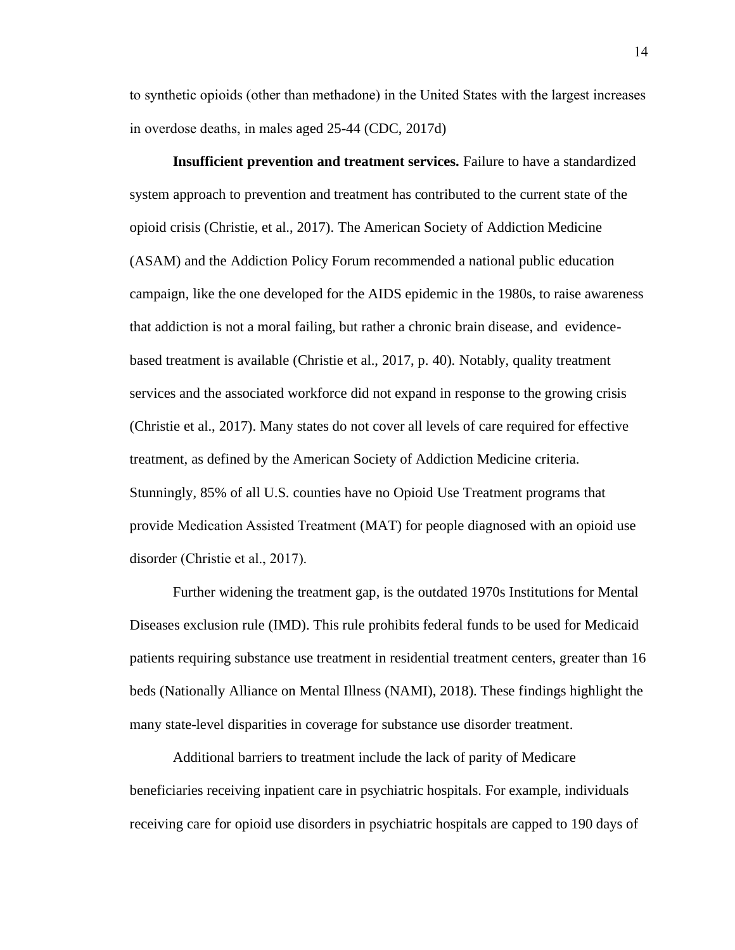to synthetic opioids (other than methadone) in the United States with the largest increases in overdose deaths, in males aged 25-44 (CDC, 2017d)

**Insufficient prevention and treatment services.** Failure to have a standardized system approach to prevention and treatment has contributed to the current state of the opioid crisis (Christie, et al., 2017). The American Society of Addiction Medicine (ASAM) and the Addiction Policy Forum recommended a national public education campaign, like the one developed for the AIDS epidemic in the 1980s, to raise awareness that addiction is not a moral failing, but rather a chronic brain disease, and evidencebased treatment is available (Christie et al., 2017, p. 40). Notably, quality treatment services and the associated workforce did not expand in response to the growing crisis (Christie et al., 2017). Many states do not cover all levels of care required for effective treatment, as defined by the American Society of Addiction Medicine criteria. Stunningly, 85% of all U.S. counties have no Opioid Use Treatment programs that provide Medication Assisted Treatment (MAT) for people diagnosed with an opioid use disorder (Christie et al., 2017).

Further widening the treatment gap, is the outdated 1970s Institutions for Mental Diseases exclusion rule (IMD). This rule prohibits federal funds to be used for Medicaid patients requiring substance use treatment in residential treatment centers, greater than 16 beds (Nationally Alliance on Mental Illness (NAMI), 2018). These findings highlight the many state-level disparities in coverage for substance use disorder treatment.

Additional barriers to treatment include the lack of parity of Medicare beneficiaries receiving inpatient care in psychiatric hospitals. For example, individuals receiving care for opioid use disorders in psychiatric hospitals are capped to 190 days of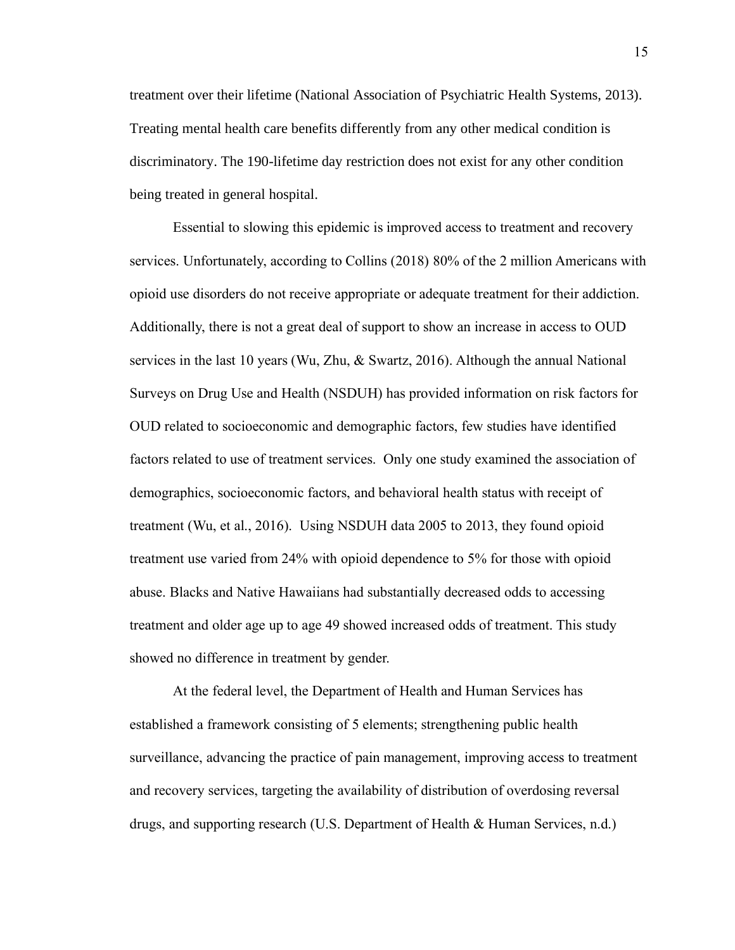treatment over their lifetime (National Association of Psychiatric Health Systems, 2013). Treating mental health care benefits differently from any other medical condition is discriminatory. The 190-lifetime day restriction does not exist for any other condition being treated in general hospital.

Essential to slowing this epidemic is improved access to treatment and recovery services. Unfortunately, according to Collins (2018) 80% of the 2 million Americans with opioid use disorders do not receive appropriate or adequate treatment for their addiction. Additionally, there is not a great deal of support to show an increase in access to OUD services in the last 10 years (Wu, Zhu, & Swartz, 2016). Although the annual National Surveys on Drug Use and Health (NSDUH) has provided information on risk factors for OUD related to socioeconomic and demographic factors, few studies have identified factors related to use of treatment services. Only one study examined the association of demographics, socioeconomic factors, and behavioral health status with receipt of treatment (Wu, et al., 2016). Using NSDUH data 2005 to 2013, they found opioid treatment use varied from 24% with opioid dependence to 5% for those with opioid abuse. Blacks and Native Hawaiians had substantially decreased odds to accessing treatment and older age up to age 49 showed increased odds of treatment. This study showed no difference in treatment by gender.

At the federal level, the Department of Health and Human Services has established a framework consisting of 5 elements; strengthening public health surveillance, advancing the practice of pain management, improving access to treatment and recovery services, targeting the availability of distribution of overdosing reversal drugs, and supporting research (U.S. Department of Health & Human Services, n.d.)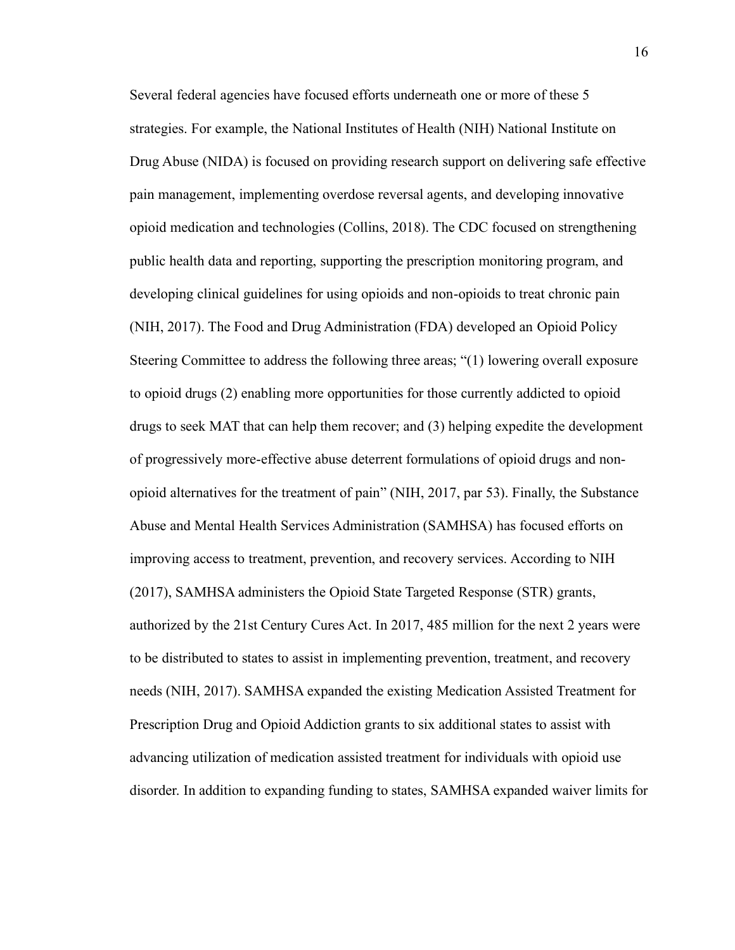Several federal agencies have focused efforts underneath one or more of these 5 strategies. For example, the National Institutes of Health (NIH) National Institute on Drug Abuse (NIDA) is focused on providing research support on delivering safe effective pain management, implementing overdose reversal agents, and developing innovative opioid medication and technologies (Collins, 2018). The CDC focused on strengthening public health data and reporting, supporting the prescription monitoring program, and developing clinical guidelines for using opioids and non-opioids to treat chronic pain (NIH, 2017). The Food and Drug Administration (FDA) developed an Opioid Policy Steering Committee to address the following three areas; "(1) lowering overall exposure to opioid drugs (2) enabling more opportunities for those currently addicted to opioid drugs to seek MAT that can help them recover; and (3) helping expedite the development of progressively more-effective abuse deterrent formulations of opioid drugs and nonopioid alternatives for the treatment of pain" (NIH, 2017, par 53). Finally, the Substance Abuse and Mental Health Services Administration (SAMHSA) has focused efforts on improving access to treatment, prevention, and recovery services. According to NIH (2017), SAMHSA administers the Opioid State Targeted Response (STR) grants, authorized by the 21st Century Cures Act. In 2017, 485 million for the next 2 years were to be distributed to states to assist in implementing prevention, treatment, and recovery needs (NIH, 2017). SAMHSA expanded the existing Medication Assisted Treatment for Prescription Drug and Opioid Addiction grants to six additional states to assist with advancing utilization of medication assisted treatment for individuals with opioid use disorder. In addition to expanding funding to states, SAMHSA expanded waiver limits for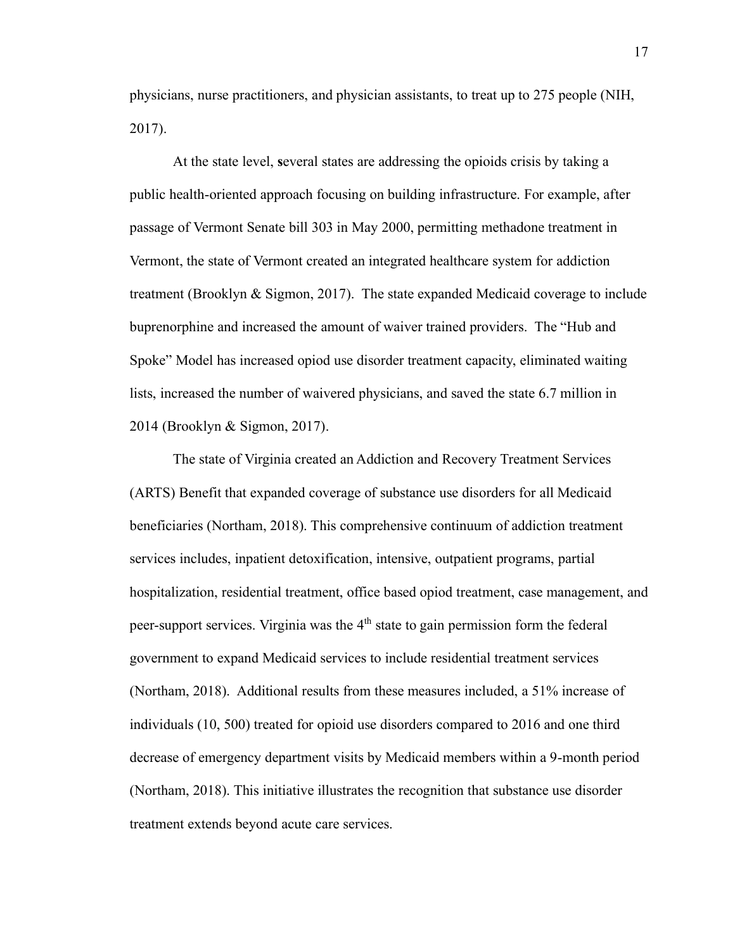physicians, nurse practitioners, and physician assistants, to treat up to 275 people (NIH, 2017).

At the state level, **s**everal states are addressing the opioids crisis by taking a public health-oriented approach focusing on building infrastructure. For example, after passage of Vermont Senate bill 303 in May 2000, permitting methadone treatment in Vermont, the state of Vermont created an integrated healthcare system for addiction treatment (Brooklyn & Sigmon, 2017). The state expanded Medicaid coverage to include buprenorphine and increased the amount of waiver trained providers. The "Hub and Spoke" Model has increased opiod use disorder treatment capacity, eliminated waiting lists, increased the number of waivered physicians, and saved the state 6.7 million in 2014 (Brooklyn & Sigmon, 2017).

The state of Virginia created an Addiction and Recovery Treatment Services (ARTS) Benefit that expanded coverage of substance use disorders for all Medicaid beneficiaries (Northam, 2018). This comprehensive continuum of addiction treatment services includes, inpatient detoxification, intensive, outpatient programs, partial hospitalization, residential treatment, office based opiod treatment, case management, and peer-support services. Virginia was the 4<sup>th</sup> state to gain permission form the federal government to expand Medicaid services to include residential treatment services (Northam, 2018). Additional results from these measures included, a 51% increase of individuals (10, 500) treated for opioid use disorders compared to 2016 and one third decrease of emergency department visits by Medicaid members within a 9-month period (Northam, 2018). This initiative illustrates the recognition that substance use disorder treatment extends beyond acute care services.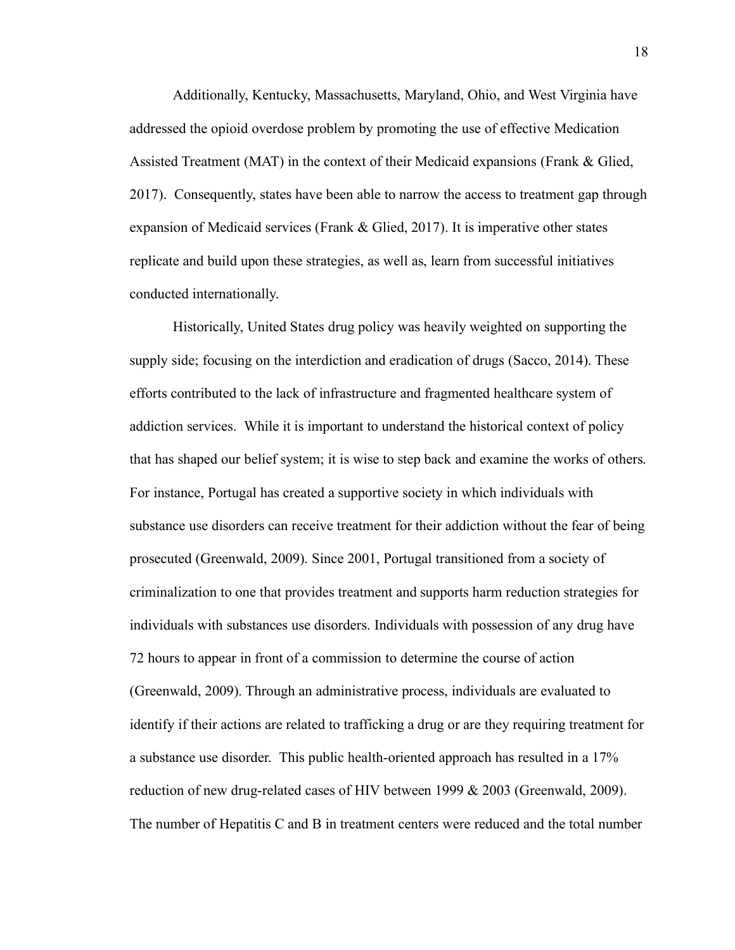Additionally, Kentucky, Massachusetts, Maryland, Ohio, and West Virginia have addressed the opioid overdose problem by promoting the use of effective Medication Assisted Treatment (MAT) in the context of their Medicaid expansions (Frank & Glied, 2017). Consequently, states have been able to narrow the access to treatment gap through expansion of Medicaid services (Frank & Glied, 2017). It is imperative other states replicate and build upon these strategies, as well as, learn from successful initiatives conducted internationally.

Historically, United States drug policy was heavily weighted on supporting the supply side; focusing on the interdiction and eradication of drugs (Sacco, 2014). These efforts contributed to the lack of infrastructure and fragmented healthcare system of addiction services. While it is important to understand the historical context of policy that has shaped our belief system; it is wise to step back and examine the works of others. For instance, Portugal has created a supportive society in which individuals with substance use disorders can receive treatment for their addiction without the fear of being prosecuted (Greenwald, 2009). Since 2001, Portugal transitioned from a society of criminalization to one that provides treatment and supports harm reduction strategies for individuals with substances use disorders. Individuals with possession of any drug have 72 hours to appear in front of a commission to determine the course of action (Greenwald, 2009). Through an administrative process, individuals are evaluated to identify if their actions are related to trafficking a drug or are they requiring treatment for a substance use disorder. This public health-oriented approach has resulted in a 17% reduction of new drug-related cases of HIV between 1999 & 2003 (Greenwald, 2009). The number of Hepatitis C and B in treatment centers were reduced and the total number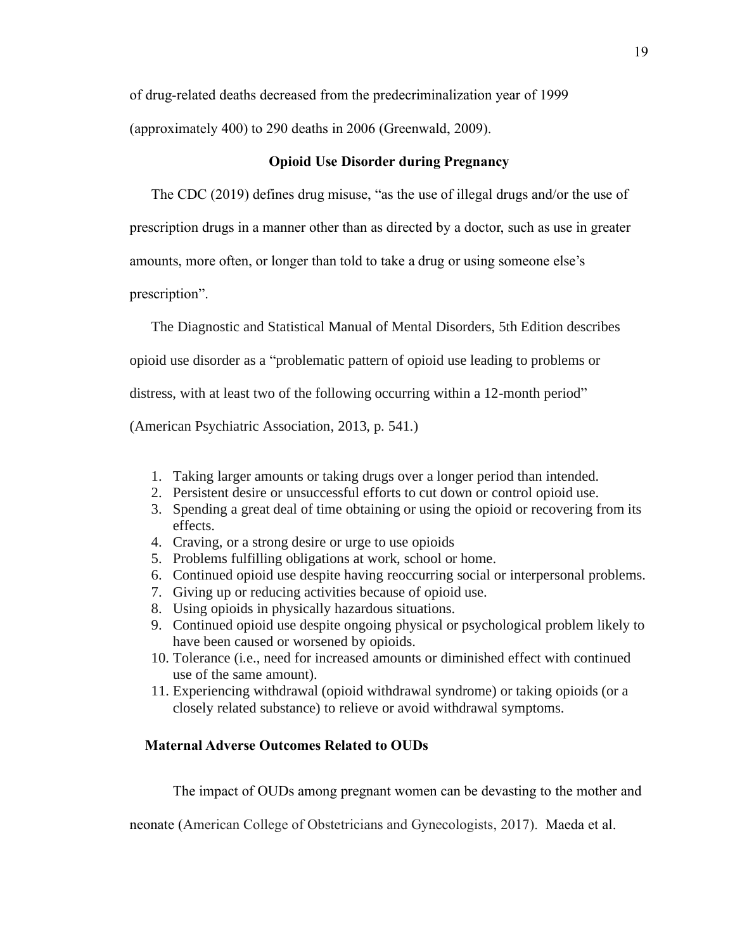of drug-related deaths decreased from the predecriminalization year of 1999

(approximately 400) to 290 deaths in 2006 (Greenwald, 2009).

# **Opioid Use Disorder during Pregnancy**

The CDC (2019) defines drug misuse, "as the use of illegal drugs and/or the use of

prescription drugs in a manner other than as directed by a doctor, such as use in greater

amounts, more often, or longer than told to take a drug or using someone else's

prescription".

The Diagnostic and Statistical Manual of Mental Disorders, 5th Edition describes

opioid use disorder as a "problematic pattern of opioid use leading to problems or

distress, with at least two of the following occurring within a 12-month period"

(American Psychiatric Association, 2013, p. 541.)

- 1. Taking larger amounts or taking drugs over a longer period than intended.
- 2. Persistent desire or unsuccessful efforts to cut down or control opioid use.
- 3. Spending a great deal of time obtaining or using the opioid or recovering from its effects.
- 4. Craving, or a strong desire or urge to use opioids
- 5. Problems fulfilling obligations at work, school or home.
- 6. Continued opioid use despite having reoccurring social or interpersonal problems.
- 7. Giving up or reducing activities because of opioid use.
- 8. Using opioids in physically hazardous situations.
- 9. Continued opioid use despite ongoing physical or psychological problem likely to have been caused or worsened by opioids.
- 10. Tolerance (i.e., need for increased amounts or diminished effect with continued use of the same amount).
- 11. Experiencing withdrawal (opioid withdrawal syndrome) or taking opioids (or a closely related substance) to relieve or avoid withdrawal symptoms.

# h **Maternal Adverse Outcomes Related to OUDs**

The impact of OUDs among pregnant women can be devasting to the mother and

neonate (American College of Obstetricians and Gynecologists, 2017). Maeda et al.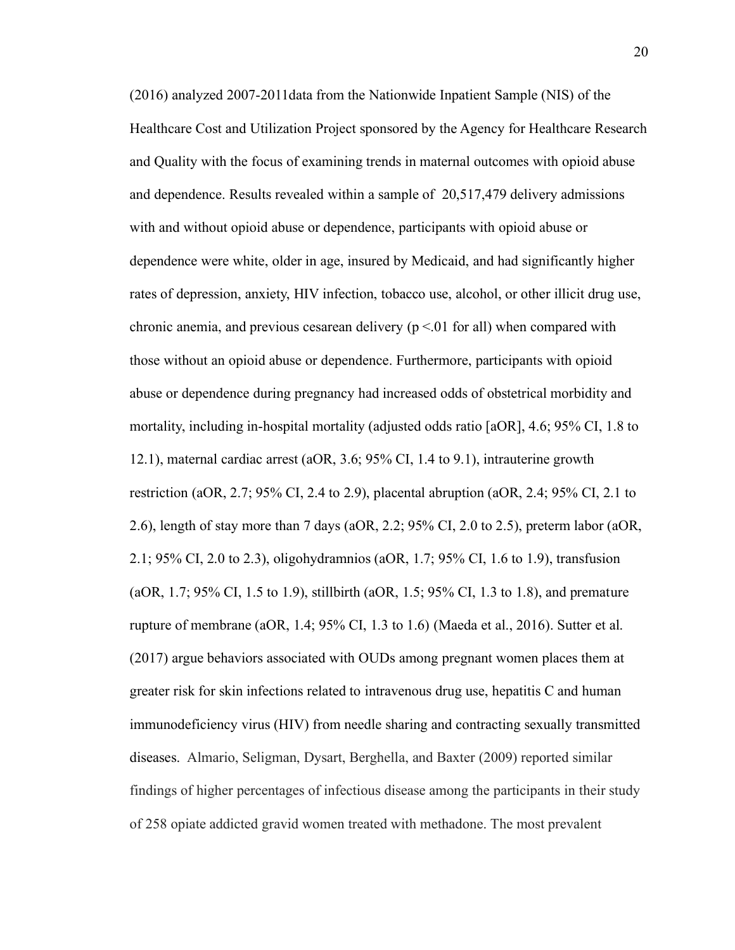(2016) analyzed 2007-2011data from the Nationwide Inpatient Sample (NIS) of the Healthcare Cost and Utilization Project sponsored by the Agency for Healthcare Research and Quality with the focus of examining trends in maternal outcomes with opioid abuse and dependence. Results revealed within a sample of 20,517,479 delivery admissions with and without opioid abuse or dependence, participants with opioid abuse or dependence were white, older in age, insured by Medicaid, and had significantly higher rates of depression, anxiety, HIV infection, tobacco use, alcohol, or other illicit drug use, chronic anemia, and previous cesarean delivery ( $p \le 01$  for all) when compared with those without an opioid abuse or dependence. Furthermore, participants with opioid abuse or dependence during pregnancy had increased odds of obstetrical morbidity and mortality, including in-hospital mortality (adjusted odds ratio [aOR], 4.6; 95% CI, 1.8 to 12.1), maternal cardiac arrest (aOR, 3.6; 95% CI, 1.4 to 9.1), intrauterine growth restriction (aOR, 2.7; 95% CI, 2.4 to 2.9), placental abruption (aOR, 2.4; 95% CI, 2.1 to 2.6), length of stay more than 7 days (aOR, 2.2; 95% CI, 2.0 to 2.5), preterm labor (aOR, 2.1; 95% CI, 2.0 to 2.3), oligohydramnios (aOR, 1.7; 95% CI, 1.6 to 1.9), transfusion (aOR, 1.7; 95% CI, 1.5 to 1.9), stillbirth (aOR, 1.5; 95% CI, 1.3 to 1.8), and premature rupture of membrane (aOR, 1.4;  $95\%$  CI, 1.3 to 1.6) (Maeda et al., 2016). Sutter et al. (2017) argue behaviors associated with OUDs among pregnant women places them at greater risk for skin infections related to intravenous drug use, hepatitis C and human immunodeficiency virus (HIV) from needle sharing and contracting sexually transmitted diseases. Almario, Seligman, Dysart, Berghella, and Baxter (2009) reported similar findings of higher percentages of infectious disease among the participants in their study of 258 opiate addicted gravid women treated with methadone. The most prevalent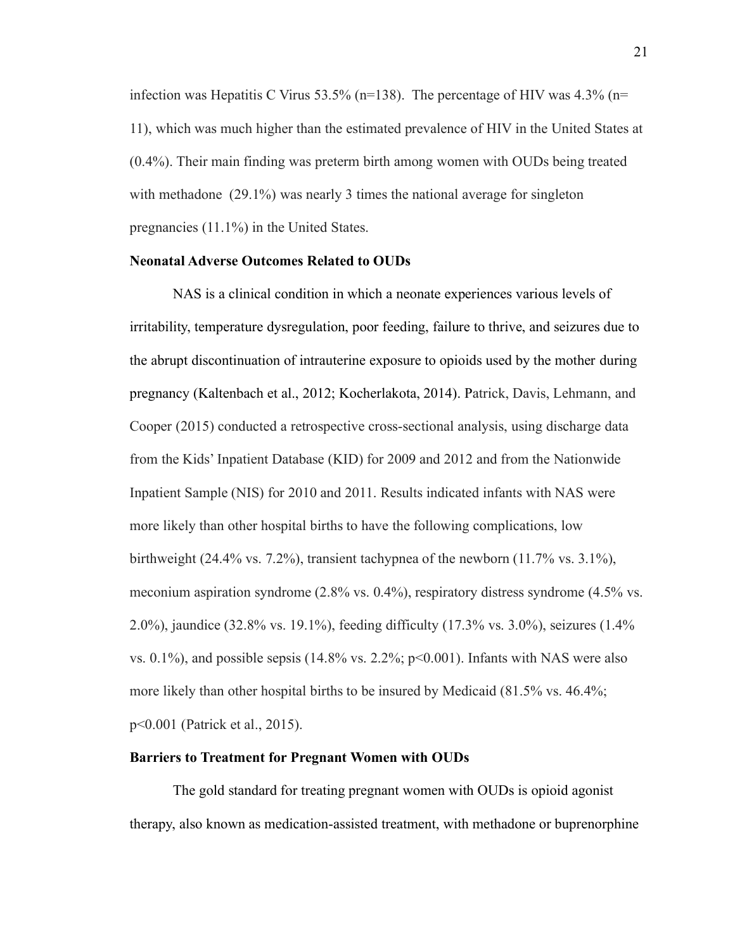infection was Hepatitis C Virus 53.5% (n=138). The percentage of HIV was  $4.3\%$  (n= 11), which was much higher than the estimated prevalence of HIV in the United States at (0.4%). Their main finding was preterm birth among women with OUDs being treated with methadone (29.1%) was nearly 3 times the national average for singleton pregnancies (11.1%) in the United States.

# **Neonatal Adverse Outcomes Related to OUDs**

NAS is a clinical condition in which a neonate experiences various levels of irritability, temperature dysregulation, poor feeding, failure to thrive, and seizures due to the abrupt discontinuation of intrauterine exposure to opioids used by the mother during pregnancy (Kaltenbach et al., 2012; Kocherlakota, 2014). Patrick, Davis, Lehmann, and Cooper (2015) conducted a retrospective cross-sectional analysis, using discharge data from the Kids' Inpatient Database (KID) for 2009 and 2012 and from the Nationwide Inpatient Sample (NIS) for 2010 and 2011. Results indicated infants with NAS were more likely than other hospital births to have the following complications, low birthweight (24.4% vs. 7.2%), transient tachypnea of the newborn (11.7% vs. 3.1%), meconium aspiration syndrome (2.8% vs. 0.4%), respiratory distress syndrome (4.5% vs. 2.0%), jaundice (32.8% vs. 19.1%), feeding difficulty (17.3% vs. 3.0%), seizures (1.4% vs.  $0.1\%$ ), and possible sepsis (14.8% vs. 2.2%; p<0.001). Infants with NAS were also more likely than other hospital births to be insured by Medicaid (81.5% vs. 46.4%; p<0.001 (Patrick et al., 2015).

#### **Barriers to Treatment for Pregnant Women with OUDs**

The gold standard for treating pregnant women with OUDs is opioid agonist therapy, also known as medication-assisted treatment, with methadone or buprenorphine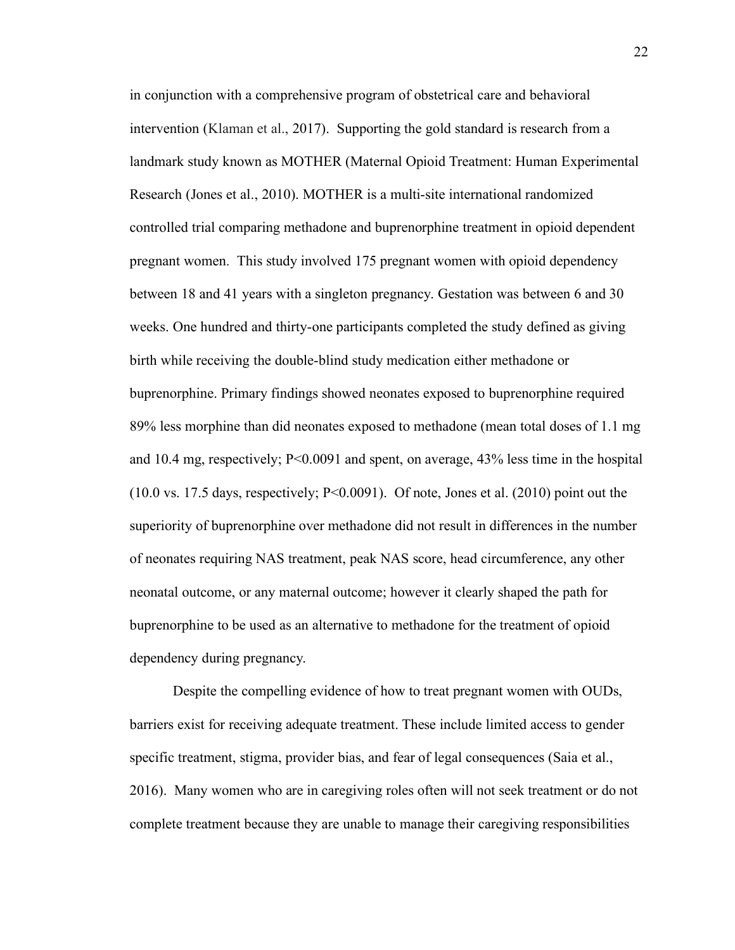in conjunction with a comprehensive program of obstetrical care and behavioral intervention (Klaman et al., 2017). Supporting the gold standard is research from a landmark study known as MOTHER (Maternal Opioid Treatment: Human Experimental Research (Jones et al., 2010). MOTHER is a multi-site international randomized controlled trial comparing methadone and buprenorphine treatment in opioid dependent pregnant women. This study involved 175 pregnant women with opioid dependency between 18 and 41 years with a singleton pregnancy. Gestation was between 6 and 30 weeks. One hundred and thirty-one participants completed the study defined as giving birth while receiving the double-blind study medication either methadone or buprenorphine. Primary findings showed neonates exposed to buprenorphine required 89% less morphine than did neonates exposed to methadone (mean total doses of 1.1 mg and 10.4 mg, respectively;  $P \le 0.0091$  and spent, on average, 43% less time in the hospital (10.0 vs. 17.5 days, respectively; P<0.0091). Of note, Jones et al. (2010) point out the superiority of buprenorphine over methadone did not result in differences in the number of neonates requiring NAS treatment, peak NAS score, head circumference, any other neonatal outcome, or any maternal outcome; however it clearly shaped the path for buprenorphine to be used as an alternative to methadone for the treatment of opioid dependency during pregnancy.

Despite the compelling evidence of how to treat pregnant women with OUDs, barriers exist for receiving adequate treatment. These include limited access to gender specific treatment, stigma, provider bias, and fear of legal consequences (Saia et al., 2016). Many women who are in caregiving roles often will not seek treatment or do not complete treatment because they are unable to manage their caregiving responsibilities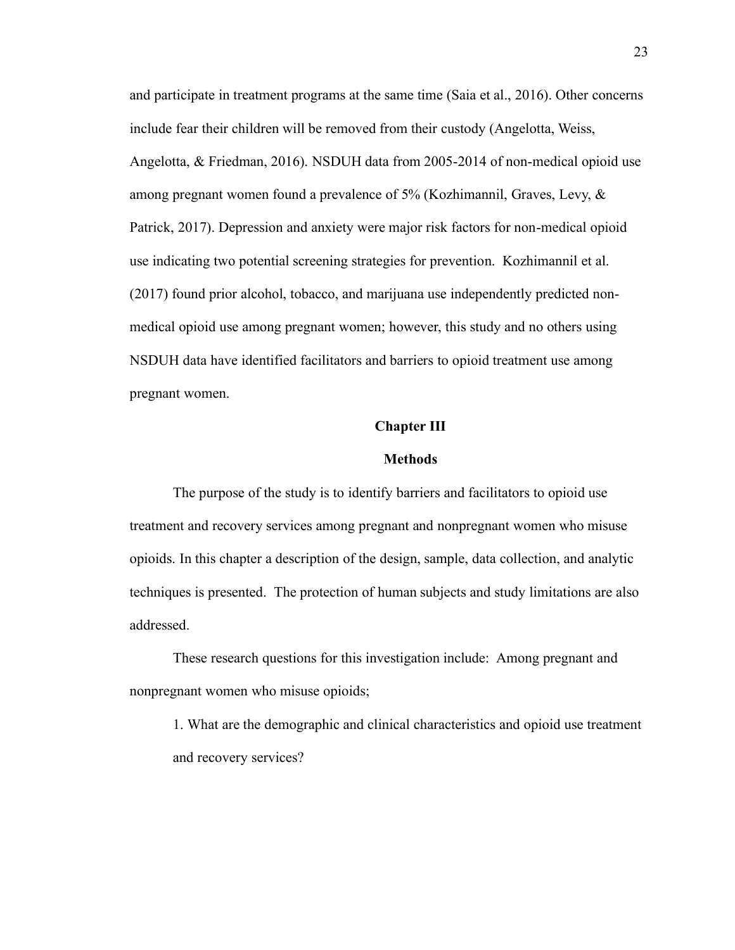and participate in treatment programs at the same time (Saia et al., 2016). Other concerns include fear their children will be removed from their custody (Angelotta, Weiss, Angelotta, & Friedman, 2016). NSDUH data from 2005-2014 of non-medical opioid use among pregnant women found a prevalence of 5% (Kozhimannil, Graves, Levy, & Patrick, 2017). Depression and anxiety were major risk factors for non-medical opioid use indicating two potential screening strategies for prevention. Kozhimannil et al. (2017) found prior alcohol, tobacco, and marijuana use independently predicted nonmedical opioid use among pregnant women; however, this study and no others using NSDUH data have identified facilitators and barriers to opioid treatment use among pregnant women.

# **Chapter III**

#### **Methods**

The purpose of the study is to identify barriers and facilitators to opioid use treatment and recovery services among pregnant and nonpregnant women who misuse opioids. In this chapter a description of the design, sample, data collection, and analytic techniques is presented. The protection of human subjects and study limitations are also addressed.

These research questions for this investigation include: Among pregnant and nonpregnant women who misuse opioids;

1. What are the demographic and clinical characteristics and opioid use treatment and recovery services?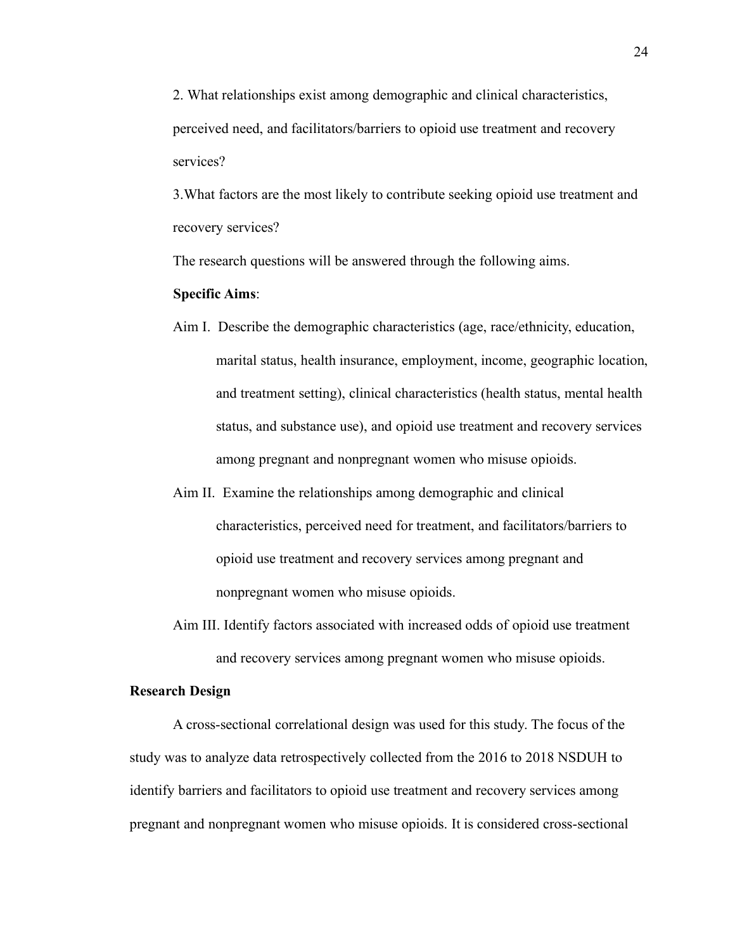2. What relationships exist among demographic and clinical characteristics, perceived need, and facilitators/barriers to opioid use treatment and recovery services?

3.What factors are the most likely to contribute seeking opioid use treatment and recovery services?

The research questions will be answered through the following aims.

# **Specific Aims**:

- Aim I. Describe the demographic characteristics (age, race/ethnicity, education, marital status, health insurance, employment, income, geographic location, and treatment setting), clinical characteristics (health status, mental health status, and substance use), and opioid use treatment and recovery services among pregnant and nonpregnant women who misuse opioids.
- Aim II. Examine the relationships among demographic and clinical characteristics, perceived need for treatment, and facilitators/barriers to opioid use treatment and recovery services among pregnant and nonpregnant women who misuse opioids.
- Aim III. Identify factors associated with increased odds of opioid use treatment and recovery services among pregnant women who misuse opioids.

# **Research Design**

A cross-sectional correlational design was used for this study. The focus of the study was to analyze data retrospectively collected from the 2016 to 2018 NSDUH to identify barriers and facilitators to opioid use treatment and recovery services among pregnant and nonpregnant women who misuse opioids. It is considered cross-sectional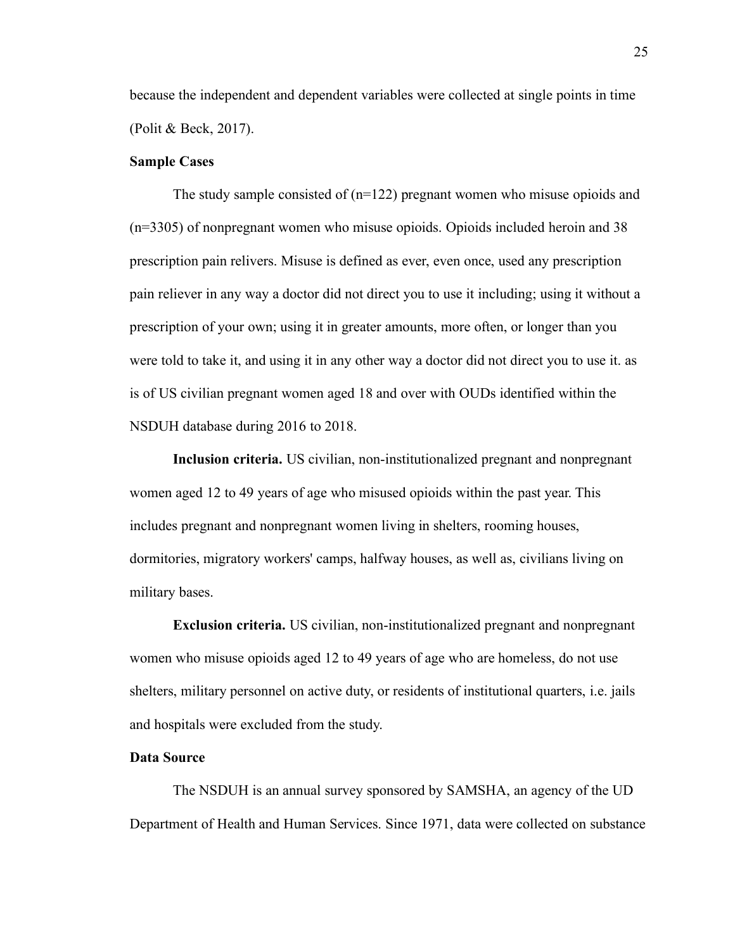because the independent and dependent variables were collected at single points in time (Polit & Beck, 2017).

#### **Sample Cases**

The study sample consisted of  $(n=122)$  pregnant women who misuse opioids and (n=3305) of nonpregnant women who misuse opioids. Opioids included heroin and 38 prescription pain relivers. Misuse is defined as ever, even once, used any prescription pain reliever in any way a doctor did not direct you to use it including; using it without a prescription of your own; using it in greater amounts, more often, or longer than you were told to take it, and using it in any other way a doctor did not direct you to use it. as is of US civilian pregnant women aged 18 and over with OUDs identified within the NSDUH database during 2016 to 2018.

**Inclusion criteria.** US civilian, non-institutionalized pregnant and nonpregnant women aged 12 to 49 years of age who misused opioids within the past year. This includes pregnant and nonpregnant women living in shelters, rooming houses, dormitories, migratory workers' camps, halfway houses, as well as, civilians living on military bases.

**Exclusion criteria.** US civilian, non-institutionalized pregnant and nonpregnant women who misuse opioids aged 12 to 49 years of age who are homeless, do not use shelters, military personnel on active duty, or residents of institutional quarters, i.e. jails and hospitals were excluded from the study.

## **Data Source**

The NSDUH is an annual survey sponsored by SAMSHA, an agency of the UD Department of Health and Human Services. Since 1971, data were collected on substance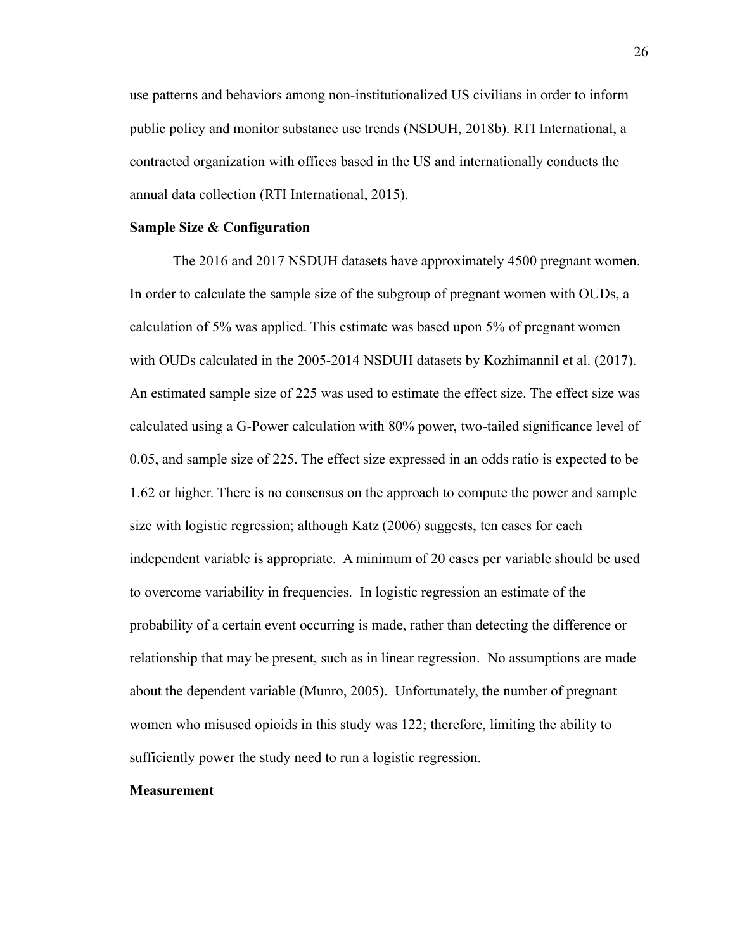use patterns and behaviors among non-institutionalized US civilians in order to inform public policy and monitor substance use trends (NSDUH, 2018b). RTI International, a contracted organization with offices based in the US and internationally conducts the annual data collection (RTI International, 2015).

#### **Sample Size & Configuration**

The 2016 and 2017 NSDUH datasets have approximately 4500 pregnant women. In order to calculate the sample size of the subgroup of pregnant women with OUDs, a calculation of 5% was applied. This estimate was based upon 5% of pregnant women with OUDs calculated in the 2005-2014 NSDUH datasets by Kozhimannil et al. (2017). An estimated sample size of 225 was used to estimate the effect size. The effect size was calculated using a G-Power calculation with 80% power, two-tailed significance level of 0.05, and sample size of 225. The effect size expressed in an odds ratio is expected to be 1.62 or higher. There is no consensus on the approach to compute the power and sample size with logistic regression; although Katz (2006) suggests, ten cases for each independent variable is appropriate. A minimum of 20 cases per variable should be used to overcome variability in frequencies. In logistic regression an estimate of the probability of a certain event occurring is made, rather than detecting the difference or relationship that may be present, such as in linear regression. No assumptions are made about the dependent variable (Munro, 2005). Unfortunately, the number of pregnant women who misused opioids in this study was 122; therefore, limiting the ability to sufficiently power the study need to run a logistic regression.

# **Measurement**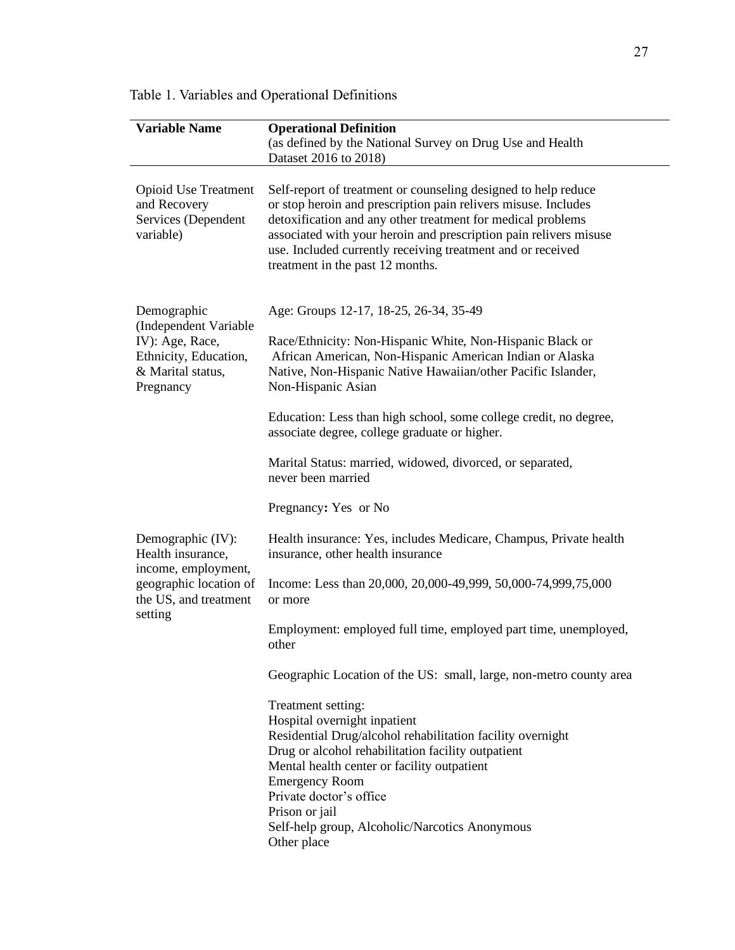| <b>Variable Name</b>                                                                                               | <b>Operational Definition</b><br>(as defined by the National Survey on Drug Use and Health<br>Dataset 2016 to 2018)                                                                                                                                                                                                                                                     |  |  |  |  |
|--------------------------------------------------------------------------------------------------------------------|-------------------------------------------------------------------------------------------------------------------------------------------------------------------------------------------------------------------------------------------------------------------------------------------------------------------------------------------------------------------------|--|--|--|--|
| <b>Opioid Use Treatment</b><br>and Recovery<br>Services (Dependent<br>variable)                                    | Self-report of treatment or counseling designed to help reduce<br>or stop heroin and prescription pain relivers misuse. Includes<br>detoxification and any other treatment for medical problems<br>associated with your heroin and prescription pain relivers misuse<br>use. Included currently receiving treatment and or received<br>treatment in the past 12 months. |  |  |  |  |
| Demographic<br>(Independent Variable<br>IV): Age, Race,<br>Ethnicity, Education,<br>& Marital status,<br>Pregnancy | Age: Groups 12-17, 18-25, 26-34, 35-49<br>Race/Ethnicity: Non-Hispanic White, Non-Hispanic Black or<br>African American, Non-Hispanic American Indian or Alaska<br>Native, Non-Hispanic Native Hawaiian/other Pacific Islander,<br>Non-Hispanic Asian                                                                                                                   |  |  |  |  |
|                                                                                                                    | Education: Less than high school, some college credit, no degree,<br>associate degree, college graduate or higher.                                                                                                                                                                                                                                                      |  |  |  |  |
|                                                                                                                    | Marital Status: married, widowed, divorced, or separated,<br>never been married                                                                                                                                                                                                                                                                                         |  |  |  |  |
|                                                                                                                    | Pregnancy: Yes or No                                                                                                                                                                                                                                                                                                                                                    |  |  |  |  |
| Demographic (IV):<br>Health insurance,                                                                             | Health insurance: Yes, includes Medicare, Champus, Private health<br>insurance, other health insurance                                                                                                                                                                                                                                                                  |  |  |  |  |
| income, employment,<br>geographic location of<br>the US, and treatment                                             | Income: Less than 20,000, 20,000-49,999, 50,000-74,999,75,000<br>or more                                                                                                                                                                                                                                                                                                |  |  |  |  |
| setting                                                                                                            | Employment: employed full time, employed part time, unemployed,<br>other                                                                                                                                                                                                                                                                                                |  |  |  |  |
|                                                                                                                    | Geographic Location of the US: small, large, non-metro county area                                                                                                                                                                                                                                                                                                      |  |  |  |  |
|                                                                                                                    | Treatment setting:<br>Hospital overnight inpatient<br>Residential Drug/alcohol rehabilitation facility overnight<br>Drug or alcohol rehabilitation facility outpatient<br>Mental health center or facility outpatient<br><b>Emergency Room</b><br>Private doctor's office<br>Prison or jail<br>Self-help group, Alcoholic/Narcotics Anonymous<br>Other place            |  |  |  |  |

Table 1. Variables and Operational Definitions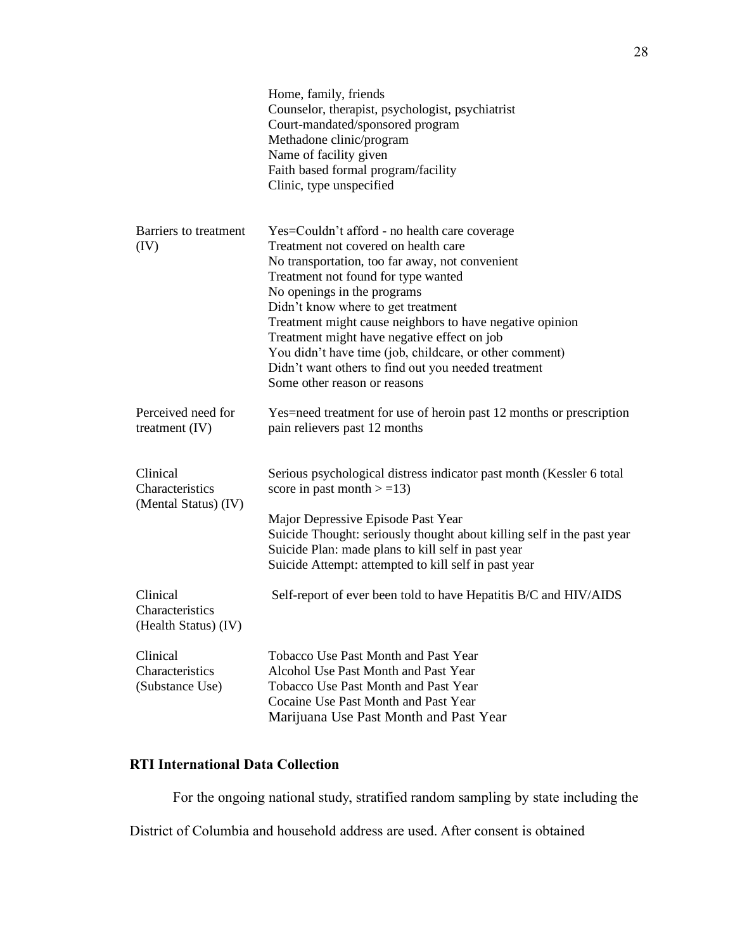|                                                     | Home, family, friends<br>Counselor, therapist, psychologist, psychiatrist<br>Court-mandated/sponsored program<br>Methadone clinic/program<br>Name of facility given<br>Faith based formal program/facility<br>Clinic, type unspecified                                                                                                                                                                                                                                                                            |
|-----------------------------------------------------|-------------------------------------------------------------------------------------------------------------------------------------------------------------------------------------------------------------------------------------------------------------------------------------------------------------------------------------------------------------------------------------------------------------------------------------------------------------------------------------------------------------------|
| <b>Barriers</b> to treatment<br>(IV)                | Yes=Couldn't afford - no health care coverage<br>Treatment not covered on health care<br>No transportation, too far away, not convenient<br>Treatment not found for type wanted<br>No openings in the programs<br>Didn't know where to get treatment<br>Treatment might cause neighbors to have negative opinion<br>Treatment might have negative effect on job<br>You didn't have time (job, childcare, or other comment)<br>Didn't want others to find out you needed treatment<br>Some other reason or reasons |
| Perceived need for<br>treatment $(IV)$              | Yes=need treatment for use of heroin past 12 months or prescription<br>pain relievers past 12 months                                                                                                                                                                                                                                                                                                                                                                                                              |
| Clinical<br>Characteristics<br>(Mental Status) (IV) | Serious psychological distress indicator past month (Kessler 6 total<br>score in past month $> = 13$ )<br>Major Depressive Episode Past Year<br>Suicide Thought: seriously thought about killing self in the past year<br>Suicide Plan: made plans to kill self in past year<br>Suicide Attempt: attempted to kill self in past year                                                                                                                                                                              |
| Clinical<br>Characteristics<br>(Health Status) (IV) | Self-report of ever been told to have Hepatitis B/C and HIV/AIDS                                                                                                                                                                                                                                                                                                                                                                                                                                                  |
| Clinical<br>Characteristics<br>(Substance Use)      | <b>Tobacco Use Past Month and Past Year</b><br>Alcohol Use Past Month and Past Year<br>Tobacco Use Past Month and Past Year<br>Cocaine Use Past Month and Past Year<br>Marijuana Use Past Month and Past Year                                                                                                                                                                                                                                                                                                     |

# **RTI International Data Collection**

For the ongoing national study, stratified random sampling by state including the

District of Columbia and household address are used. After consent is obtained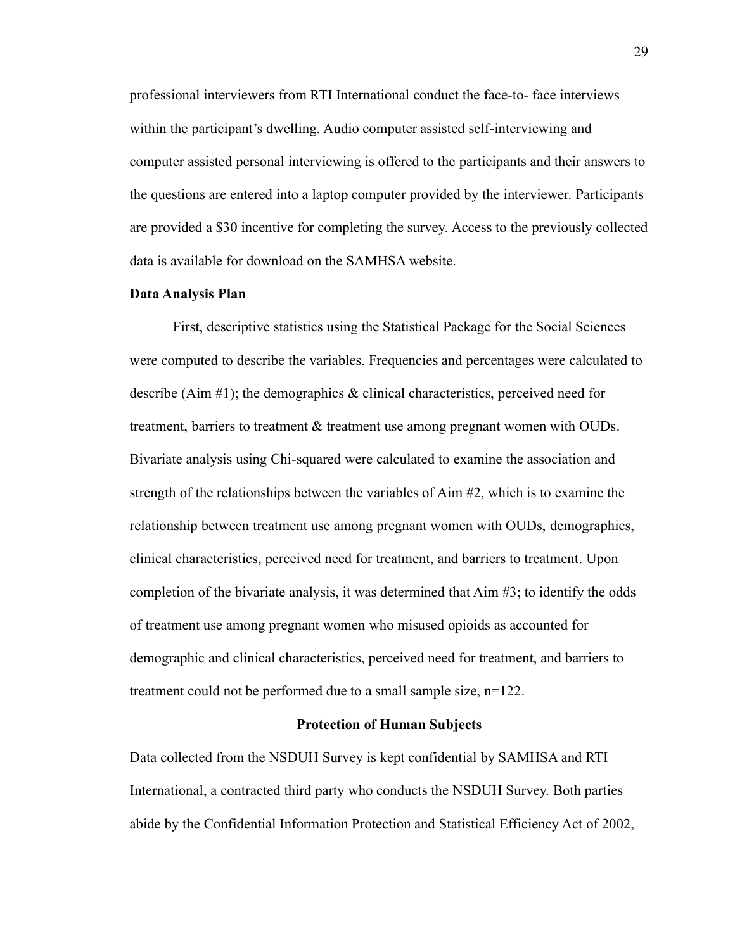professional interviewers from RTI International conduct the face-to- face interviews within the participant's dwelling. Audio computer assisted self-interviewing and computer assisted personal interviewing is offered to the participants and their answers to the questions are entered into a laptop computer provided by the interviewer. Participants are provided a \$30 incentive for completing the survey. Access to the previously collected data is available for download on the SAMHSA website.

#### **Data Analysis Plan**

First, descriptive statistics using the Statistical Package for the Social Sciences were computed to describe the variables. Frequencies and percentages were calculated to describe (Aim  $\#1$ ); the demographics & clinical characteristics, perceived need for treatment, barriers to treatment & treatment use among pregnant women with OUDs. Bivariate analysis using Chi-squared were calculated to examine the association and strength of the relationships between the variables of Aim #2, which is to examine the relationship between treatment use among pregnant women with OUDs, demographics, clinical characteristics, perceived need for treatment, and barriers to treatment. Upon completion of the bivariate analysis, it was determined that Aim #3; to identify the odds of treatment use among pregnant women who misused opioids as accounted for demographic and clinical characteristics, perceived need for treatment, and barriers to treatment could not be performed due to a small sample size, n=122.

#### **Protection of Human Subjects**

Data collected from the NSDUH Survey is kept confidential by SAMHSA and RTI International, a contracted third party who conducts the NSDUH Survey. Both parties abide by the Confidential Information Protection and Statistical Efficiency Act of 2002,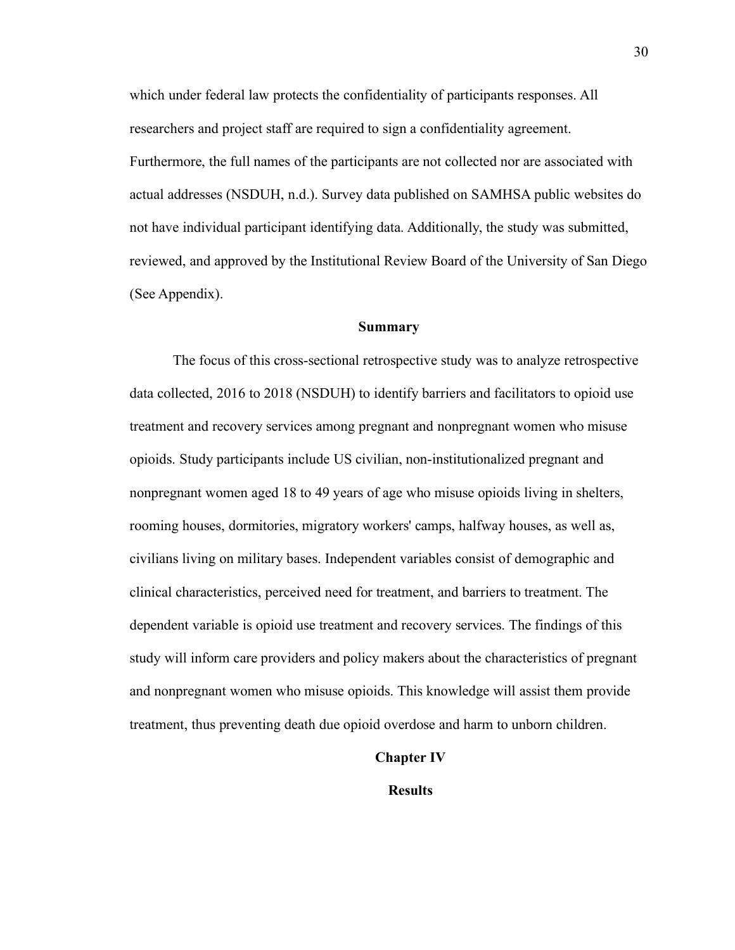which under federal law protects the confidentiality of participants responses. All researchers and project staff are required to sign a confidentiality agreement. Furthermore, the full names of the participants are not collected nor are associated with actual addresses (NSDUH, n.d.). Survey data published on SAMHSA public websites do not have individual participant identifying data. Additionally, the study was submitted, reviewed, and approved by the Institutional Review Board of the University of San Diego (See Appendix).

#### **Summary**

The focus of this cross-sectional retrospective study was to analyze retrospective data collected, 2016 to 2018 (NSDUH) to identify barriers and facilitators to opioid use treatment and recovery services among pregnant and nonpregnant women who misuse opioids. Study participants include US civilian, non-institutionalized pregnant and nonpregnant women aged 18 to 49 years of age who misuse opioids living in shelters, rooming houses, dormitories, migratory workers' camps, halfway houses, as well as, civilians living on military bases. Independent variables consist of demographic and clinical characteristics, perceived need for treatment, and barriers to treatment. The dependent variable is opioid use treatment and recovery services. The findings of this study will inform care providers and policy makers about the characteristics of pregnant and nonpregnant women who misuse opioids. This knowledge will assist them provide treatment, thus preventing death due opioid overdose and harm to unborn children.

## **Chapter Ⅳ**

# **Results**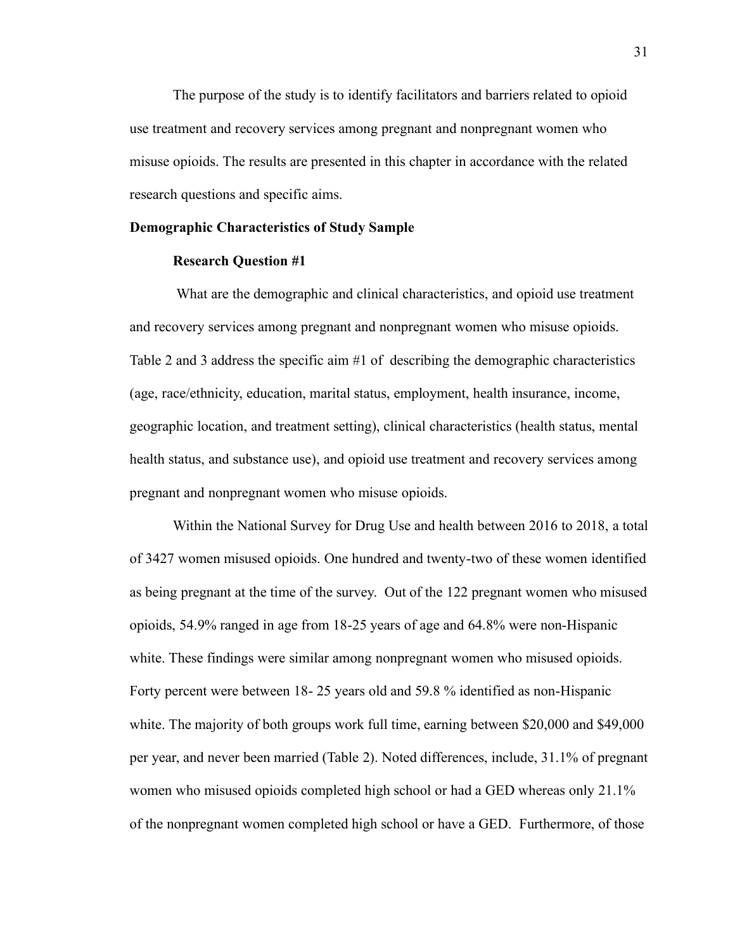The purpose of the study is to identify facilitators and barriers related to opioid use treatment and recovery services among pregnant and nonpregnant women who misuse opioids. The results are presented in this chapter in accordance with the related research questions and specific aims.

#### **Demographic Characteristics of Study Sample**

### **Research Question #1**

What are the demographic and clinical characteristics, and opioid use treatment and recovery services among pregnant and nonpregnant women who misuse opioids. Table 2 and 3 address the specific aim #1 of describing the demographic characteristics (age, race/ethnicity, education, marital status, employment, health insurance, income, geographic location, and treatment setting), clinical characteristics (health status, mental health status, and substance use), and opioid use treatment and recovery services among pregnant and nonpregnant women who misuse opioids.

Within the National Survey for Drug Use and health between 2016 to 2018, a total of 3427 women misused opioids. One hundred and twenty-two of these women identified as being pregnant at the time of the survey. Out of the 122 pregnant women who misused opioids, 54.9% ranged in age from 18-25 years of age and 64.8% were non-Hispanic white. These findings were similar among nonpregnant women who misused opioids. Forty percent were between 18- 25 years old and 59.8 % identified as non-Hispanic white. The majority of both groups work full time, earning between \$20,000 and \$49,000 per year, and never been married (Table 2). Noted differences, include, 31.1% of pregnant women who misused opioids completed high school or had a GED whereas only 21.1% of the nonpregnant women completed high school or have a GED. Furthermore, of those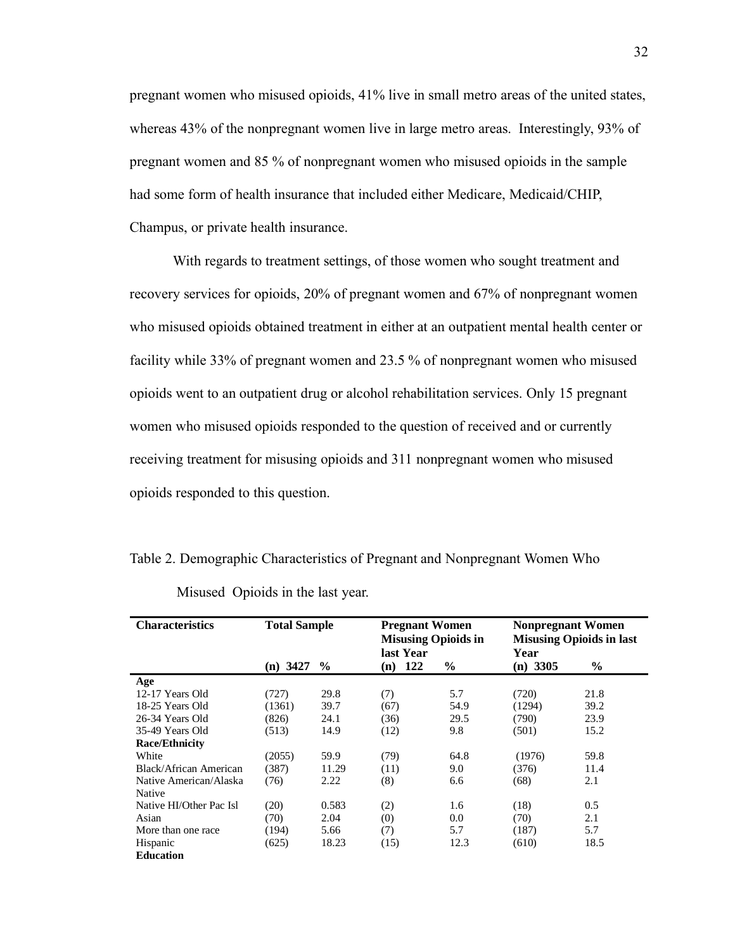pregnant women who misused opioids, 41% live in small metro areas of the united states, whereas 43% of the nonpregnant women live in large metro areas. Interestingly, 93% of pregnant women and 85 % of nonpregnant women who misused opioids in the sample had some form of health insurance that included either Medicare, Medicaid/CHIP, Champus, or private health insurance.

With regards to treatment settings, of those women who sought treatment and recovery services for opioids, 20% of pregnant women and 67% of nonpregnant women who misused opioids obtained treatment in either at an outpatient mental health center or facility while 33% of pregnant women and 23.5 % of nonpregnant women who misused opioids went to an outpatient drug or alcohol rehabilitation services. Only 15 pregnant women who misused opioids responded to the question of received and or currently receiving treatment for misusing opioids and 311 nonpregnant women who misused opioids responded to this question.

Table 2. Demographic Characteristics of Pregnant and Nonpregnant Women Who

| <b>Characteristics</b>  | <b>Total Sample</b> |               | <b>Pregnant Women</b><br><b>Misusing Opioids in</b><br>last Year |               | <b>Nonpregnant Women</b><br><b>Misusing Opioids in last</b><br>Year |      |
|-------------------------|---------------------|---------------|------------------------------------------------------------------|---------------|---------------------------------------------------------------------|------|
|                         | $(n)$ 3427          | $\frac{6}{9}$ | 122<br>(n)                                                       | $\frac{6}{9}$ | $(n)$ 3305                                                          | $\%$ |
| Age                     |                     |               |                                                                  |               |                                                                     |      |
| 12-17 Years Old         | (727)               | 29.8          | (7)                                                              | 5.7           | (720)                                                               | 21.8 |
| 18-25 Years Old         | (1361)              | 39.7          | (67)                                                             | 54.9          | (1294)                                                              | 39.2 |
| 26-34 Years Old         | (826)               | 24.1          | (36)                                                             | 29.5          | (790)                                                               | 23.9 |
| 35-49 Years Old         | (513)               | 14.9          | (12)                                                             | 9.8           | (501)                                                               | 15.2 |
| <b>Race/Ethnicity</b>   |                     |               |                                                                  |               |                                                                     |      |
| White                   | (2055)              | 59.9          | (79)                                                             | 64.8          | (1976)                                                              | 59.8 |
| Black/African American  | (387)               | 11.29         | (11)                                                             | 9.0           | (376)                                                               | 11.4 |
| Native American/Alaska  | (76)                | 2.22          | (8)                                                              | 6.6           | (68)                                                                | 2.1  |
| Native                  |                     |               |                                                                  |               |                                                                     |      |
| Native HI/Other Pac Isl | (20)                | 0.583         | (2)                                                              | 1.6           | (18)                                                                | 0.5  |
| Asian                   | (70)                | 2.04          | (0)                                                              | 0.0           | (70)                                                                | 2.1  |
| More than one race      | (194)               | 5.66          | (7)                                                              | 5.7           | (187)                                                               | 5.7  |
| Hispanic                | (625)               | 18.23         | (15)                                                             | 12.3          | (610)                                                               | 18.5 |
| <b>Education</b>        |                     |               |                                                                  |               |                                                                     |      |

Misused Opioids in the last year.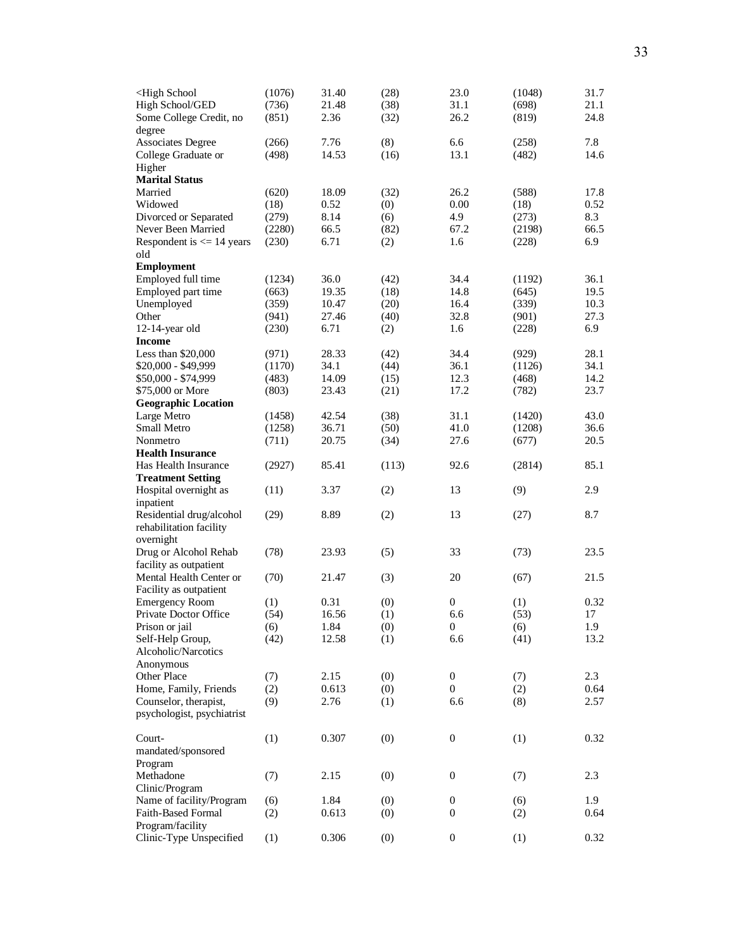| <high school<br="">High School/GED<br/>Some College Credit, no</high> | (1076)<br>(736)<br>(851) | 31.40<br>21.48<br>2.36 | (28)<br>(38)<br>(32) | 23.0<br>31.1<br>26.2 | (1048)<br>(698)<br>(819) | 31.7<br>21.1<br>24.8 |
|-----------------------------------------------------------------------|--------------------------|------------------------|----------------------|----------------------|--------------------------|----------------------|
| degree<br><b>Associates Degree</b>                                    | (266)                    | 7.76                   | (8)                  | 6.6                  | (258)                    | 7.8                  |
| College Graduate or<br>Higher                                         | (498)                    | 14.53                  | (16)                 | 13.1                 | (482)                    | 14.6                 |
| <b>Marital Status</b><br>Married                                      | (620)                    | 18.09                  | (32)                 | 26.2                 | (588)                    | 17.8                 |
| Widowed                                                               | (18)                     | 0.52                   | (0)                  | 0.00                 | (18)                     | 0.52                 |
| Divorced or Separated                                                 | (279)                    | 8.14                   | (6)                  | 4.9                  | (273)                    | 8.3                  |
| Never Been Married<br>Respondent is $\leq$ 14 years                   | (2280)<br>(230)          | 66.5<br>6.71           | (82)<br>(2)          | 67.2<br>1.6          | (2198)<br>(228)          | 66.5<br>6.9          |
| old<br><b>Employment</b>                                              |                          |                        |                      |                      |                          |                      |
| Employed full time                                                    | (1234)                   | 36.0                   | (42)                 | 34.4                 | (1192)                   | 36.1                 |
| Employed part time                                                    | (663)                    | 19.35                  | (18)                 | 14.8                 | (645)                    | 19.5                 |
| Unemployed                                                            | (359)                    | 10.47                  | (20)                 | 16.4                 | (339)                    | 10.3                 |
| Other                                                                 | (941)                    | 27.46                  | (40)                 | 32.8                 | (901)                    | 27.3                 |
| 12-14-year old                                                        | (230)                    | 6.71                   | (2)                  | 1.6                  | (228)                    | 6.9                  |
| <b>Income</b>                                                         |                          |                        |                      |                      |                          |                      |
| Less than $$20,000$                                                   | (971)                    | 28.33                  | (42)                 | 34.4                 | (929)                    | 28.1                 |
| \$20,000 - \$49,999                                                   | (1170)                   | 34.1                   | (44)                 | 36.1                 | (1126)                   | 34.1                 |
| \$50,000 - \$74,999                                                   | (483)                    | 14.09                  | (15)                 | 12.3                 | (468)                    | 14.2                 |
| \$75,000 or More                                                      | (803)                    | 23.43                  | (21)                 | 17.2                 | (782)                    | 23.7                 |
| <b>Geographic Location</b>                                            |                          |                        |                      |                      |                          |                      |
| Large Metro                                                           | (1458)                   | 42.54                  | (38)                 | 31.1                 | (1420)                   | 43.0                 |
| Small Metro                                                           | (1258)                   | 36.71                  | (50)                 | 41.0                 | (1208)                   | 36.6                 |
| Nonmetro                                                              | (711)                    | 20.75                  | (34)                 | 27.6                 | (677)                    | 20.5                 |
| <b>Health Insurance</b>                                               |                          |                        |                      |                      |                          |                      |
| Has Health Insurance                                                  | (2927)                   | 85.41                  | (113)                | 92.6                 | (2814)                   | 85.1                 |
| <b>Treatment Setting</b>                                              |                          |                        |                      |                      |                          |                      |
| Hospital overnight as<br>inpatient                                    | (11)                     | 3.37                   | (2)                  | 13                   | (9)                      | 2.9                  |
| Residential drug/alcohol<br>rehabilitation facility<br>overnight      | (29)                     | 8.89                   | (2)                  | 13                   | (27)                     | 8.7                  |
| Drug or Alcohol Rehab<br>facility as outpatient                       | (78)                     | 23.93                  | (5)                  | 33                   | (73)                     | 23.5                 |
| Mental Health Center or<br>Facility as outpatient                     | (70)                     | 21.47                  | (3)                  | 20                   | (67)                     | 21.5                 |
| <b>Emergency Room</b>                                                 | (1)                      | 0.31                   | (0)                  | $\boldsymbol{0}$     | (1)                      | 0.32                 |
| Private Doctor Office                                                 | (54)                     | 16.56                  | (1)                  | 6.6                  | (53)                     | 17                   |
| Prison or jail                                                        | (6)                      | 1.84                   | (0)                  | $\boldsymbol{0}$     | (6)                      | 1.9                  |
| Self-Help Group,<br>Alcoholic/Narcotics                               | (42)                     | 12.58                  | (1)                  | 6.6                  | (41)                     | 13.2                 |
| Anonymous                                                             |                          |                        |                      |                      |                          |                      |
| Other Place                                                           | (7)                      | 2.15                   | (0)                  | $\boldsymbol{0}$     | (7)                      | 2.3                  |
| Home, Family, Friends                                                 | (2)                      | 0.613                  | (0)                  | $\mathbf{0}$         | (2)                      | 0.64                 |
| Counselor, therapist,<br>psychologist, psychiatrist                   | (9)                      | 2.76                   | (1)                  | 6.6                  | (8)                      | 2.57                 |
| Court-                                                                | (1)                      | 0.307                  | (0)                  | $\mathbf{0}$         | (1)                      | 0.32                 |
| mandated/sponsored<br>Program                                         |                          |                        |                      |                      |                          |                      |
| Methadone                                                             | (7)                      | 2.15                   | (0)                  | 0                    | (7)                      | 2.3                  |
| Clinic/Program                                                        |                          |                        |                      |                      |                          |                      |
| Name of facility/Program                                              | (6)                      | 1.84                   | (0)                  | $\mathbf{0}$         | (6)                      | 1.9                  |
| <b>Faith-Based Formal</b>                                             | (2)                      | 0.613                  | (0)                  | 0                    | (2)                      | 0.64                 |
| Program/facility                                                      |                          |                        |                      |                      |                          |                      |
| Clinic-Type Unspecified                                               | (1)                      | 0.306                  | (0)                  | $\boldsymbol{0}$     | (1)                      | 0.32                 |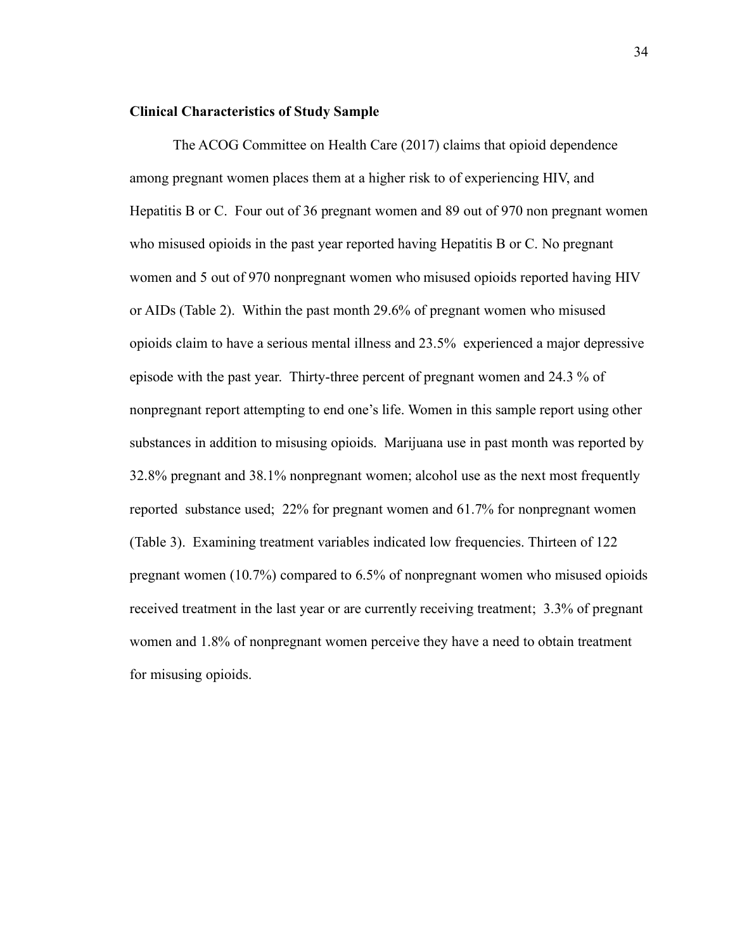# **Clinical Characteristics of Study Sample**

The ACOG Committee on Health Care (2017) claims that opioid dependence among pregnant women places them at a higher risk to of experiencing HIV, and Hepatitis B or C. Four out of 36 pregnant women and 89 out of 970 non pregnant women who misused opioids in the past year reported having Hepatitis B or C. No pregnant women and 5 out of 970 nonpregnant women who misused opioids reported having HIV or AIDs (Table 2). Within the past month 29.6% of pregnant women who misused opioids claim to have a serious mental illness and 23.5% experienced a major depressive episode with the past year. Thirty-three percent of pregnant women and 24.3 % of nonpregnant report attempting to end one's life. Women in this sample report using other substances in addition to misusing opioids. Marijuana use in past month was reported by 32.8% pregnant and 38.1% nonpregnant women; alcohol use as the next most frequently reported substance used; 22% for pregnant women and 61.7% for nonpregnant women (Table 3). Examining treatment variables indicated low frequencies. Thirteen of 122 pregnant women (10.7%) compared to 6.5% of nonpregnant women who misused opioids received treatment in the last year or are currently receiving treatment; 3.3% of pregnant women and 1.8% of nonpregnant women perceive they have a need to obtain treatment for misusing opioids.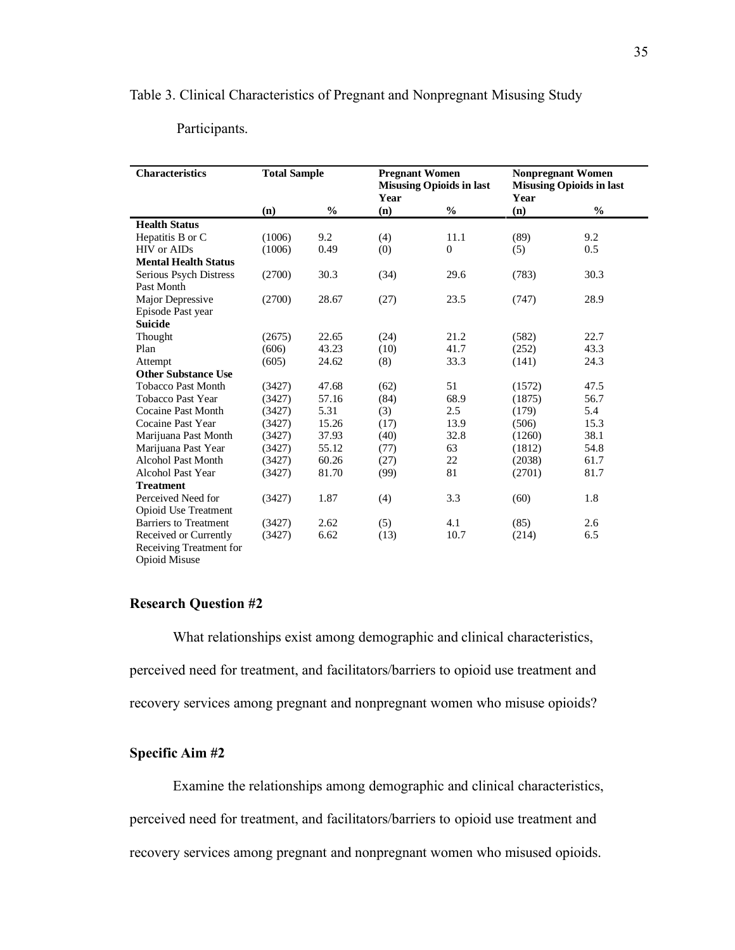## Table 3. Clinical Characteristics of Pregnant and Nonpregnant Misusing Study

# Participants.

| <b>Characteristics</b>       | <b>Total Sample</b> |               | <b>Pregnant Women</b><br><b>Misusing Opioids in last</b><br>Year |          | <b>Nonpregnant Women</b><br><b>Misusing Opioids in last</b><br>Year |               |
|------------------------------|---------------------|---------------|------------------------------------------------------------------|----------|---------------------------------------------------------------------|---------------|
|                              | (n)                 | $\frac{0}{0}$ | (n)                                                              | $\%$     | (n)                                                                 | $\frac{0}{0}$ |
| <b>Health Status</b>         |                     |               |                                                                  |          |                                                                     |               |
| Hepatitis B or C             | (1006)              | 9.2           | (4)                                                              | 11.1     | (89)                                                                | 9.2           |
| HIV or AIDs                  | (1006)              | 0.49          | (0)                                                              | $\theta$ | (5)                                                                 | 0.5           |
| <b>Mental Health Status</b>  |                     |               |                                                                  |          |                                                                     |               |
| Serious Psych Distress       | (2700)              | 30.3          | (34)                                                             | 29.6     | (783)                                                               | 30.3          |
| Past Month                   |                     |               |                                                                  |          |                                                                     |               |
| Major Depressive             | (2700)              | 28.67         | (27)                                                             | 23.5     | (747)                                                               | 28.9          |
| Episode Past year            |                     |               |                                                                  |          |                                                                     |               |
| <b>Suicide</b>               |                     |               |                                                                  |          |                                                                     |               |
| Thought                      | (2675)              | 22.65         | (24)                                                             | 21.2     | (582)                                                               | 22.7          |
| Plan                         | (606)               | 43.23         | (10)                                                             | 41.7     | (252)                                                               | 43.3          |
| Attempt                      | (605)               | 24.62         | (8)                                                              | 33.3     | (141)                                                               | 24.3          |
| <b>Other Substance Use</b>   |                     |               |                                                                  |          |                                                                     |               |
| <b>Tobacco Past Month</b>    | (3427)              | 47.68         | (62)                                                             | 51       | (1572)                                                              | 47.5          |
| Tobacco Past Year            | (3427)              | 57.16         | (84)                                                             | 68.9     | (1875)                                                              | 56.7          |
| <b>Cocaine Past Month</b>    | (3427)              | 5.31          | (3)                                                              | 2.5      | (179)                                                               | 5.4           |
| Cocaine Past Year            | (3427)              | 15.26         | (17)                                                             | 13.9     | (506)                                                               | 15.3          |
| Marijuana Past Month         | (3427)              | 37.93         | (40)                                                             | 32.8     | (1260)                                                              | 38.1          |
| Marijuana Past Year          | (3427)              | 55.12         | (77)                                                             | 63       | (1812)                                                              | 54.8          |
| <b>Alcohol Past Month</b>    | (3427)              | 60.26         | (27)                                                             | 22       | (2038)                                                              | 61.7          |
| <b>Alcohol Past Year</b>     | (3427)              | 81.70         | (99)                                                             | 81       | (2701)                                                              | 81.7          |
| <b>Treatment</b>             |                     |               |                                                                  |          |                                                                     |               |
| Perceived Need for           | (3427)              | 1.87          | (4)                                                              | 3.3      | (60)                                                                | 1.8           |
| Opioid Use Treatment         |                     |               |                                                                  |          |                                                                     |               |
| <b>Barriers to Treatment</b> | (3427)              | 2.62          | (5)                                                              | 4.1      | (85)                                                                | 2.6           |
| Received or Currently        | (3427)              | 6.62          | (13)                                                             | 10.7     | (214)                                                               | 6.5           |
| Receiving Treatment for      |                     |               |                                                                  |          |                                                                     |               |
| <b>Opioid Misuse</b>         |                     |               |                                                                  |          |                                                                     |               |

# **Research Question #2**

What relationships exist among demographic and clinical characteristics, perceived need for treatment, and facilitators/barriers to opioid use treatment and recovery services among pregnant and nonpregnant women who misuse opioids?

# **Specific Aim #2**

Examine the relationships among demographic and clinical characteristics,

perceived need for treatment, and facilitators/barriers to opioid use treatment and

recovery services among pregnant and nonpregnant women who misused opioids.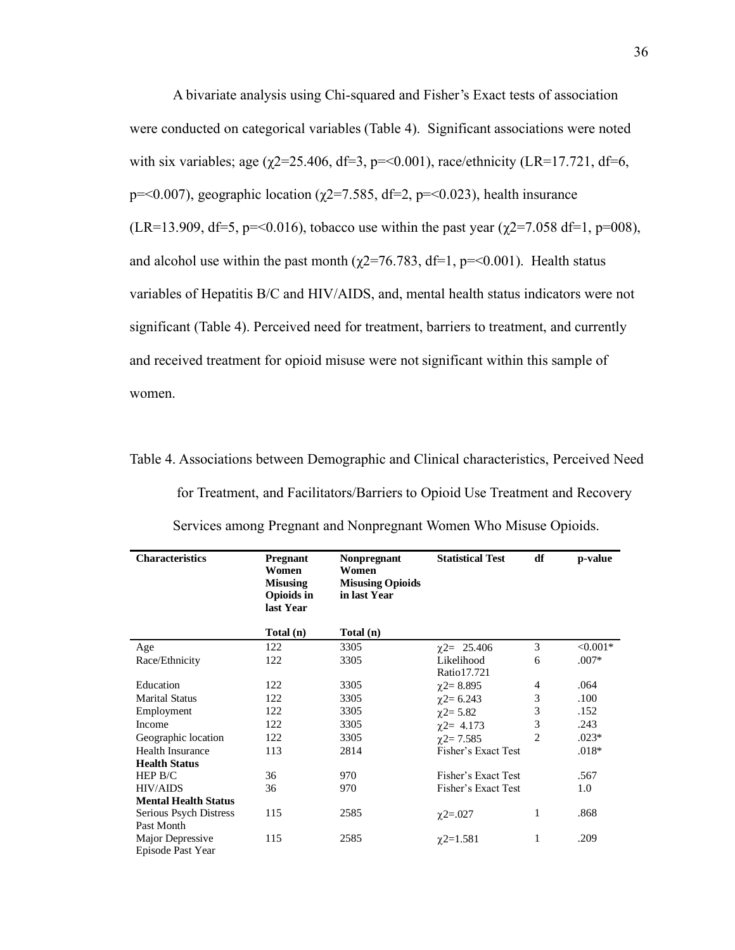A bivariate analysis using Chi-squared and Fisher's Exact tests of association were conducted on categorical variables (Table 4). Significant associations were noted with six variables; age ( $\chi$ 2=25.406, df=3, p=<0.001), race/ethnicity (LR=17.721, df=6, p=<0.007), geographic location ( $\chi$ 2=7.585, df=2, p=<0.023), health insurance (LR=13.909, df=5, p=<0.016), tobacco use within the past year ( $\gamma$ 2=7.058 df=1, p=008), and alcohol use within the past month ( $\chi$ 2=76.783, df=1, p=<0.001). Health status variables of Hepatitis B/C and HIV/AIDS, and, mental health status indicators were not significant (Table 4). Perceived need for treatment, barriers to treatment, and currently and received treatment for opioid misuse were not significant within this sample of women.

Table 4. Associations between Demographic and Clinical characteristics, Perceived Need

| <b>Characteristics</b>                          | Pregnant<br>Women<br><b>Misusing</b><br><b>Opioids in</b><br>last Year | <b>Nonpregnant</b><br>Women<br><b>Misusing Opioids</b><br>in last Year | <b>Statistical Test</b>   | df             | p-value    |
|-------------------------------------------------|------------------------------------------------------------------------|------------------------------------------------------------------------|---------------------------|----------------|------------|
|                                                 | Total (n)                                                              | Total (n)                                                              |                           |                |            |
| Age                                             | 122                                                                    | 3305                                                                   | $\chi$ 2= 25.406          | 3              | $< 0.001*$ |
| Race/Ethnicity                                  | 122                                                                    | 3305                                                                   | Likelihood<br>Ratio17.721 | 6              | $.007*$    |
| Education                                       | 122                                                                    | 3305                                                                   | $\chi$ 2= 8.895           | 4              | .064       |
| <b>Marital Status</b>                           | 122                                                                    | 3305                                                                   | $\gamma$ 2= 6.243         | 3              | .100       |
| Employment                                      | 122                                                                    | 3305                                                                   | $\chi$ 2= 5.82            | 3              | .152       |
| Income                                          | 122                                                                    | 3305                                                                   | $\chi$ 2= 4.173           | 3              | .243       |
| Geographic location                             | 122                                                                    | 3305                                                                   | $\chi$ 2= 7.585           | $\overline{c}$ | $.023*$    |
| <b>Health Insurance</b><br><b>Health Status</b> | 113                                                                    | 2814                                                                   | Fisher's Exact Test       |                | $.018*$    |
| HEP B/C                                         | 36                                                                     | 970                                                                    | Fisher's Exact Test       |                | .567       |
| <b>HIV/AIDS</b>                                 | 36                                                                     | 970                                                                    | Fisher's Exact Test       |                | 1.0        |
| <b>Mental Health Status</b>                     |                                                                        |                                                                        |                           |                |            |
| Serious Psych Distress<br>Past Month            | 115                                                                    | 2585                                                                   | $\chi$ 2=.027             | 1              | .868       |
| Major Depressive<br>Episode Past Year           | 115                                                                    | 2585                                                                   | $\chi$ 2=1.581            | 1              | .209       |

Services among Pregnant and Nonpregnant Women Who Misuse Opioids.

for Treatment, and Facilitators/Barriers to Opioid Use Treatment and Recovery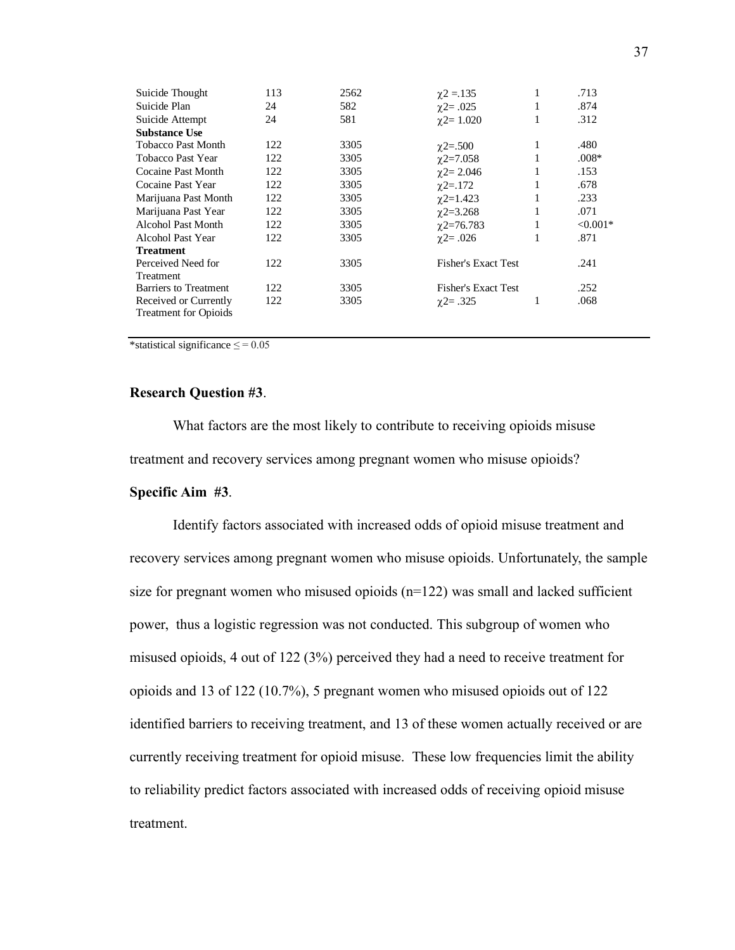| 113 | 2562 | $\chi$ 2 = 135    | 1 | .713                                                     |
|-----|------|-------------------|---|----------------------------------------------------------|
| 24  | 582  | $\chi$ 2= .025    | 1 | .874                                                     |
| 24  | 581  | $\gamma$ 2= 1.020 | 1 | .312                                                     |
|     |      |                   |   |                                                          |
| 122 | 3305 | $\chi$ 2=.500     | 1 | .480                                                     |
| 122 | 3305 | $\chi$ 2=7.058    | 1 | $.008*$                                                  |
| 122 | 3305 | $\gamma$ 2= 2.046 | 1 | .153                                                     |
| 122 | 3305 | $\gamma$ 2=.172   | 1 | .678                                                     |
| 122 | 3305 | $\chi$ 2=1.423    | 1 | .233                                                     |
| 122 | 3305 | $\chi$ 2=3.268    | 1 | .071                                                     |
| 122 | 3305 | $\chi$ 2=76.783   | 1 | $< 0.001*$                                               |
| 122 | 3305 | $\gamma$ 2= .026  | 1 | .871                                                     |
|     |      |                   |   |                                                          |
| 122 | 3305 |                   |   | .241                                                     |
|     |      |                   |   |                                                          |
| 122 | 3305 |                   |   | .252                                                     |
| 122 | 3305 | $\chi$ 2= .325    | 1 | .068                                                     |
|     |      |                   |   |                                                          |
|     |      |                   |   | <b>Fisher's Exact Test</b><br><b>Fisher's Exact Test</b> |

\*statistical significance  $\leq$  = 0.05

# **Research Question #3**.

What factors are the most likely to contribute to receiving opioids misuse treatment and recovery services among pregnant women who misuse opioids?

## **Specific Aim #3**.

Identify factors associated with increased odds of opioid misuse treatment and recovery services among pregnant women who misuse opioids. Unfortunately, the sample size for pregnant women who misused opioids  $(n=122)$  was small and lacked sufficient power, thus a logistic regression was not conducted. This subgroup of women who misused opioids, 4 out of 122 (3%) perceived they had a need to receive treatment for opioids and 13 of 122 (10.7%), 5 pregnant women who misused opioids out of 122 identified barriers to receiving treatment, and 13 of these women actually received or are currently receiving treatment for opioid misuse. These low frequencies limit the ability to reliability predict factors associated with increased odds of receiving opioid misuse treatment.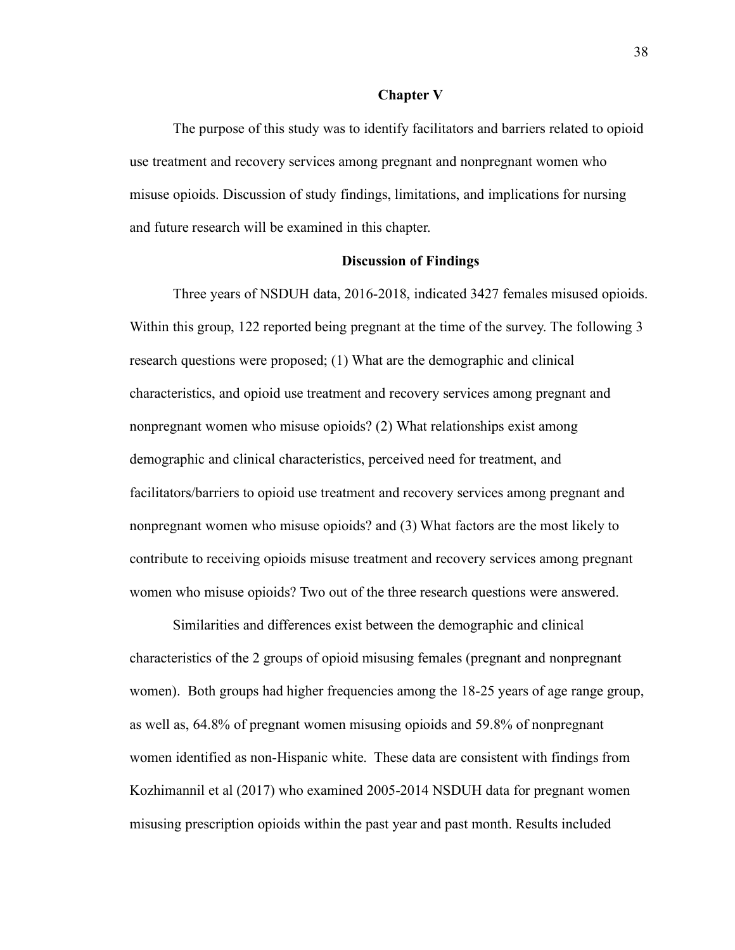#### **Chapter Ⅴ**

The purpose of this study was to identify facilitators and barriers related to opioid use treatment and recovery services among pregnant and nonpregnant women who misuse opioids. Discussion of study findings, limitations, and implications for nursing and future research will be examined in this chapter.

#### **Discussion of Findings**

Three years of NSDUH data, 2016-2018, indicated 3427 females misused opioids. Within this group, 122 reported being pregnant at the time of the survey. The following 3 research questions were proposed; (1) What are the demographic and clinical characteristics, and opioid use treatment and recovery services among pregnant and nonpregnant women who misuse opioids? (2) What relationships exist among demographic and clinical characteristics, perceived need for treatment, and facilitators/barriers to opioid use treatment and recovery services among pregnant and nonpregnant women who misuse opioids? and (3) What factors are the most likely to contribute to receiving opioids misuse treatment and recovery services among pregnant women who misuse opioids? Two out of the three research questions were answered.

Similarities and differences exist between the demographic and clinical characteristics of the 2 groups of opioid misusing females (pregnant and nonpregnant women). Both groups had higher frequencies among the 18-25 years of age range group, as well as, 64.8% of pregnant women misusing opioids and 59.8% of nonpregnant women identified as non-Hispanic white. These data are consistent with findings from Kozhimannil et al (2017) who examined 2005-2014 NSDUH data for pregnant women misusing prescription opioids within the past year and past month. Results included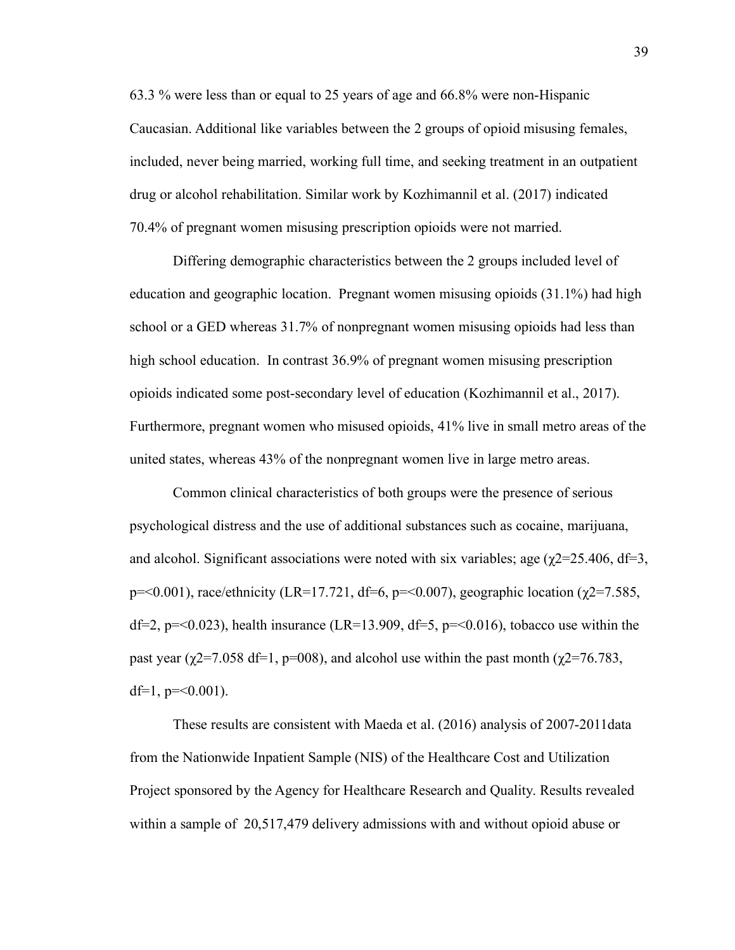63.3 % were less than or equal to 25 years of age and 66.8% were non-Hispanic Caucasian. Additional like variables between the 2 groups of opioid misusing females, included, never being married, working full time, and seeking treatment in an outpatient drug or alcohol rehabilitation. Similar work by Kozhimannil et al. (2017) indicated 70.4% of pregnant women misusing prescription opioids were not married.

Differing demographic characteristics between the 2 groups included level of education and geographic location. Pregnant women misusing opioids (31.1%) had high school or a GED whereas 31.7% of nonpregnant women misusing opioids had less than high school education. In contrast 36.9% of pregnant women misusing prescription opioids indicated some post-secondary level of education (Kozhimannil et al., 2017). Furthermore, pregnant women who misused opioids, 41% live in small metro areas of the united states, whereas 43% of the nonpregnant women live in large metro areas.

Common clinical characteristics of both groups were the presence of serious psychological distress and the use of additional substances such as cocaine, marijuana, and alcohol. Significant associations were noted with six variables; age ( $\chi$ 2=25.406, df=3, p=<0.001), race/ethnicity (LR=17.721, df=6, p=<0.007), geographic location ( $\chi$ 2=7.585, df=2,  $p = 0.023$ ), health insurance (LR=13.909, df=5,  $p = 0.016$ ), tobacco use within the past year ( $\chi$ 2=7.058 df=1, p=008), and alcohol use within the past month ( $\chi$ 2=76.783, df=1,  $p = 0.001$ ).

These results are consistent with Maeda et al. (2016) analysis of 2007-2011data from the Nationwide Inpatient Sample (NIS) of the Healthcare Cost and Utilization Project sponsored by the Agency for Healthcare Research and Quality. Results revealed within a sample of 20,517,479 delivery admissions with and without opioid abuse or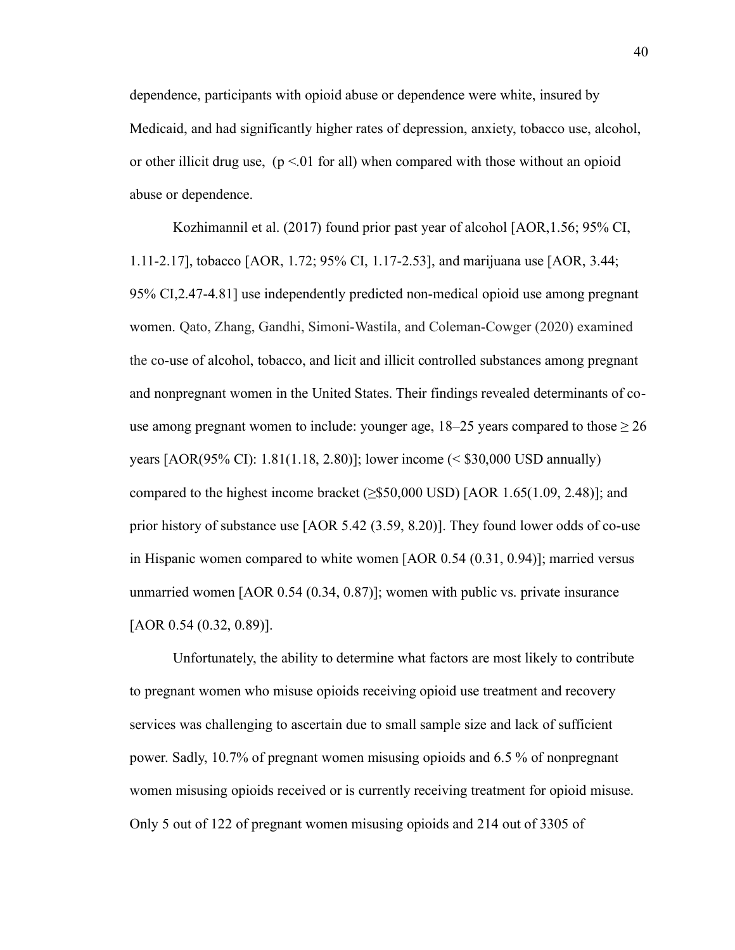dependence, participants with opioid abuse or dependence were white, insured by Medicaid, and had significantly higher rates of depression, anxiety, tobacco use, alcohol, or other illicit drug use,  $(p \le 01$  for all) when compared with those without an opioid abuse or dependence.

Kozhimannil et al. (2017) found prior past year of alcohol [AOR,1.56; 95% CI, 1.11-2.17], tobacco [AOR, 1.72; 95% CI, 1.17-2.53], and marijuana use [AOR, 3.44; 95% CI,2.47-4.81] use independently predicted non-medical opioid use among pregnant women. Qato, Zhang, Gandhi, Simoni-Wastila, and Coleman-Cowger (2020) examined the co-use of alcohol, tobacco, and licit and illicit controlled substances among pregnant and nonpregnant women in the United States. Their findings revealed determinants of couse among pregnant women to include: younger age,  $18-25$  years compared to those  $\geq 26$ years [AOR(95% CI): 1.81(1.18, 2.80)]; lower income (< \$30,000 USD annually) compared to the highest income bracket  $(\geq$ \$50,000 USD) [AOR 1.65(1.09, 2.48)]; and prior history of substance use [AOR 5.42 (3.59, 8.20)]. They found lower odds of co-use in Hispanic women compared to white women [AOR 0.54 (0.31, 0.94)]; married versus unmarried women [AOR 0.54 (0.34, 0.87)]; women with public vs. private insurance [AOR 0.54 (0.32, 0.89)].

Unfortunately, the ability to determine what factors are most likely to contribute to pregnant women who misuse opioids receiving opioid use treatment and recovery services was challenging to ascertain due to small sample size and lack of sufficient power. Sadly, 10.7% of pregnant women misusing opioids and 6.5 % of nonpregnant women misusing opioids received or is currently receiving treatment for opioid misuse. Only 5 out of 122 of pregnant women misusing opioids and 214 out of 3305 of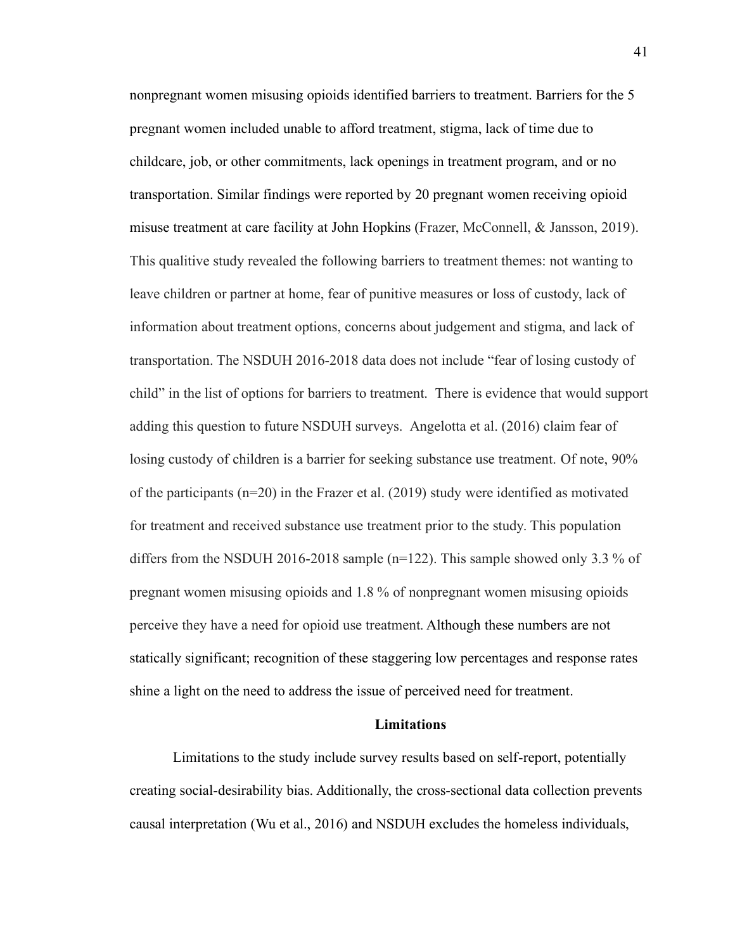nonpregnant women misusing opioids identified barriers to treatment. Barriers for the 5 pregnant women included unable to afford treatment, stigma, lack of time due to childcare, job, or other commitments, lack openings in treatment program, and or no transportation. Similar findings were reported by 20 pregnant women receiving opioid misuse treatment at care facility at John Hopkins (Frazer, McConnell, & Jansson, 2019). This qualitive study revealed the following barriers to treatment themes: not wanting to leave children or partner at home, fear of punitive measures or loss of custody, lack of information about treatment options, concerns about judgement and stigma, and lack of transportation. The NSDUH 2016-2018 data does not include "fear of losing custody of child" in the list of options for barriers to treatment. There is evidence that would support adding this question to future NSDUH surveys. Angelotta et al. (2016) claim fear of losing custody of children is a barrier for seeking substance use treatment. Of note, 90% of the participants  $(n=20)$  in the Frazer et al. (2019) study were identified as motivated for treatment and received substance use treatment prior to the study. This population differs from the NSDUH 2016-2018 sample ( $n=122$ ). This sample showed only 3.3 % of pregnant women misusing opioids and 1.8 % of nonpregnant women misusing opioids perceive they have a need for opioid use treatment. Although these numbers are not statically significant; recognition of these staggering low percentages and response rates shine a light on the need to address the issue of perceived need for treatment.

### **Limitations**

Limitations to the study include survey results based on self-report, potentially creating social-desirability bias. Additionally, the cross-sectional data collection prevents causal interpretation (Wu et al., 2016) and NSDUH excludes the homeless individuals,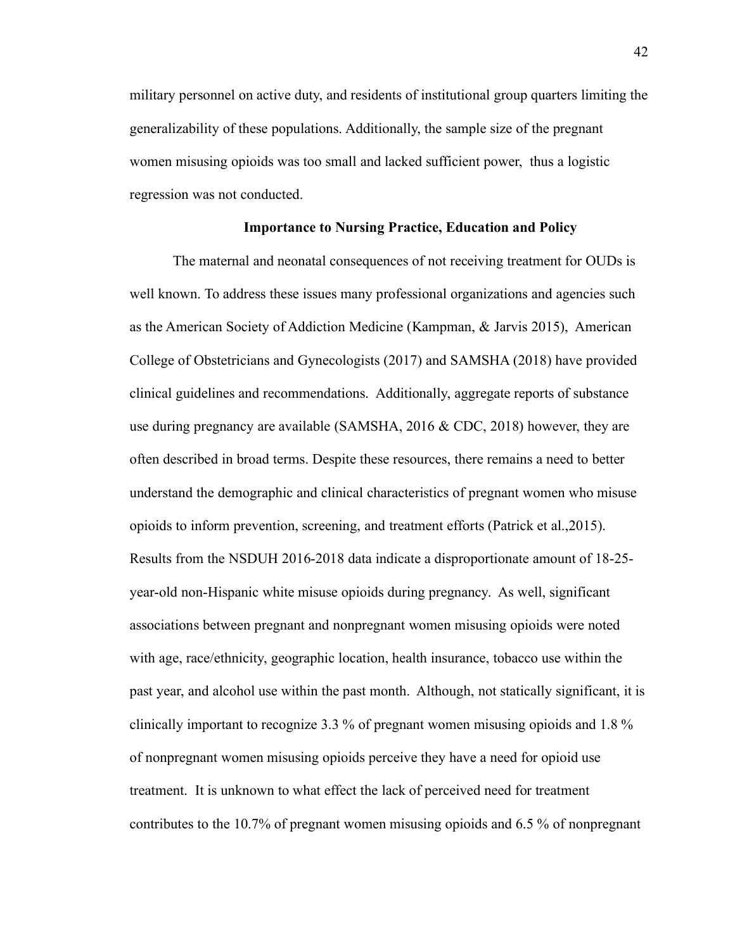military personnel on active duty, and residents of institutional group quarters limiting the generalizability of these populations. Additionally, the sample size of the pregnant women misusing opioids was too small and lacked sufficient power, thus a logistic regression was not conducted.

#### **Importance to Nursing Practice, Education and Policy**

The maternal and neonatal consequences of not receiving treatment for OUDs is well known. To address these issues many professional organizations and agencies such as the American Society of Addiction Medicine (Kampman, & Jarvis 2015), American College of Obstetricians and Gynecologists (2017) and SAMSHA (2018) have provided clinical guidelines and recommendations. Additionally, aggregate reports of substance use during pregnancy are available (SAMSHA, 2016 & CDC, 2018) however, they are often described in broad terms. Despite these resources, there remains a need to better understand the demographic and clinical characteristics of pregnant women who misuse opioids to inform prevention, screening, and treatment efforts (Patrick et al.,2015). Results from the NSDUH 2016-2018 data indicate a disproportionate amount of 18-25 year-old non-Hispanic white misuse opioids during pregnancy. As well, significant associations between pregnant and nonpregnant women misusing opioids were noted with age, race/ethnicity, geographic location, health insurance, tobacco use within the past year, and alcohol use within the past month. Although, not statically significant, it is clinically important to recognize 3.3 % of pregnant women misusing opioids and 1.8 % of nonpregnant women misusing opioids perceive they have a need for opioid use treatment. It is unknown to what effect the lack of perceived need for treatment contributes to the 10.7% of pregnant women misusing opioids and 6.5 % of nonpregnant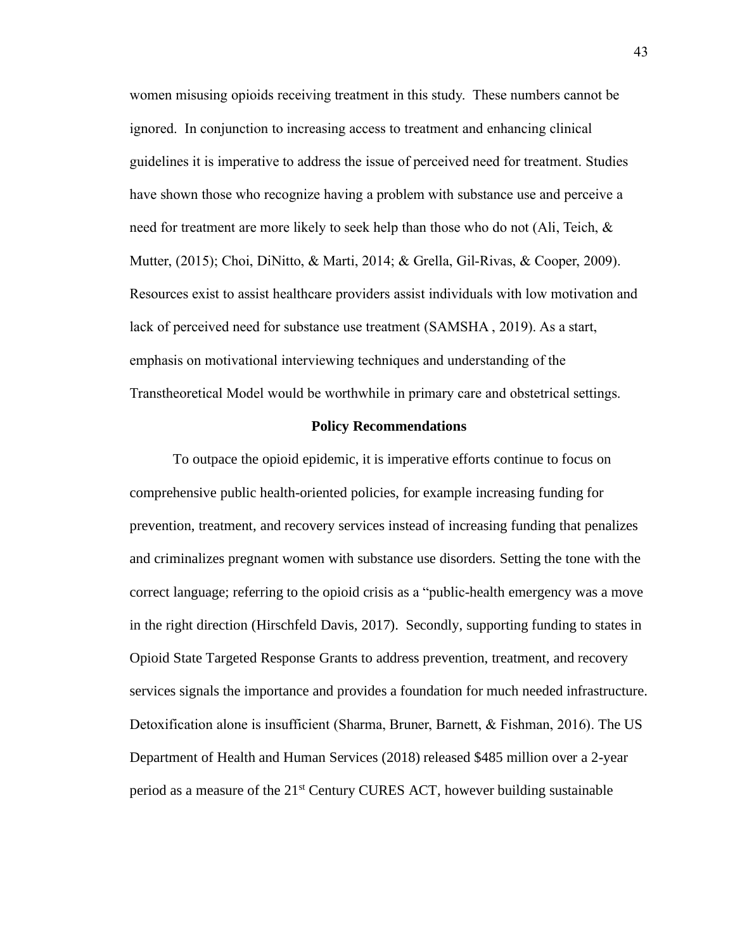women misusing opioids receiving treatment in this study. These numbers cannot be ignored. In conjunction to increasing access to treatment and enhancing clinical guidelines it is imperative to address the issue of perceived need for treatment. Studies have shown those who recognize having a problem with substance use and perceive a need for treatment are more likely to seek help than those who do not (Ali, Teich, & Mutter, (2015); Choi, DiNitto, & Marti, 2014; & Grella, Gil-Rivas, & Cooper, 2009). Resources exist to assist healthcare providers assist individuals with low motivation and lack of perceived need for substance use treatment (SAMSHA , 2019). As a start, emphasis on motivational interviewing techniques and understanding of the Transtheoretical Model would be worthwhile in primary care and obstetrical settings.

#### **Policy Recommendations**

To outpace the opioid epidemic, it is imperative efforts continue to focus on comprehensive public health-oriented policies, for example increasing funding for prevention, treatment, and recovery services instead of increasing funding that penalizes and criminalizes pregnant women with substance use disorders. Setting the tone with the correct language; referring to the opioid crisis as a "public-health emergency was a move in the right direction (Hirschfeld Davis, 2017). Secondly, supporting funding to states in Opioid State Targeted Response Grants to address prevention, treatment, and recovery services signals the importance and provides a foundation for much needed infrastructure. Detoxification alone is insufficient (Sharma, Bruner, Barnett, & Fishman, 2016). The US Department of Health and Human Services (2018) released \$485 million over a 2-year period as a measure of the 21st Century CURES ACT, however building sustainable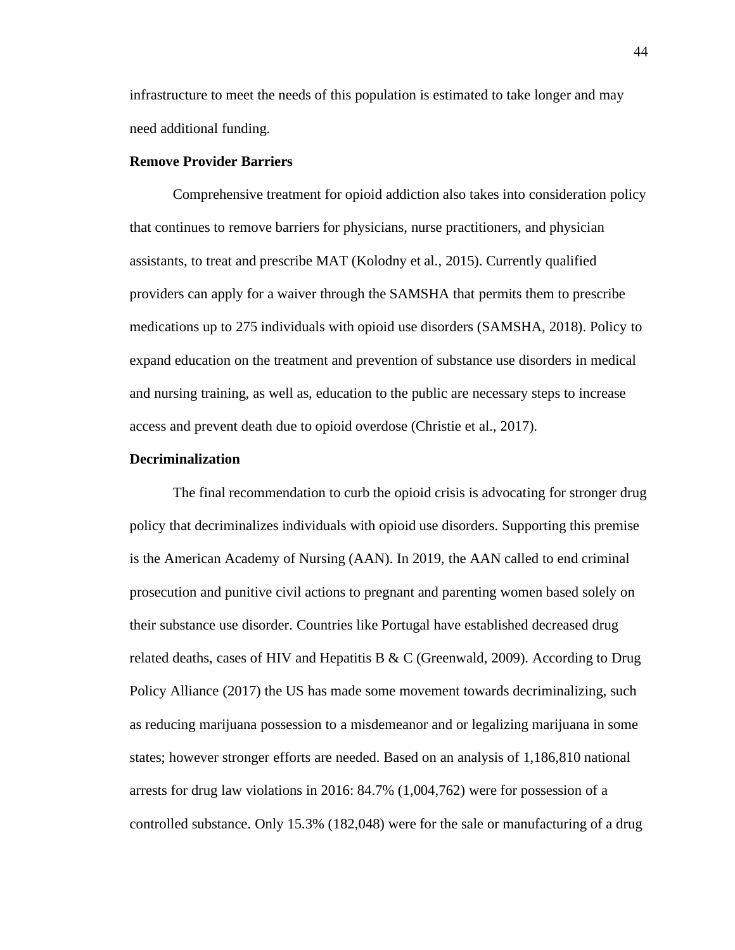infrastructure to meet the needs of this population is estimated to take longer and may need additional funding.

# **Remove Provider Barriers**

Comprehensive treatment for opioid addiction also takes into consideration policy that continues to remove barriers for physicians, nurse practitioners, and physician assistants, to treat and prescribe MAT (Kolodny et al., 2015). Currently qualified providers can apply for a waiver through the SAMSHA that permits them to prescribe medications up to 275 individuals with opioid use disorders (SAMSHA, 2018). Policy to expand education on the treatment and prevention of substance use disorders in medical and nursing training, as well as, education to the public are necessary steps to increase access and prevent death due to opioid overdose (Christie et al., 2017).

# **Decriminalization**

The final recommendation to curb the opioid crisis is advocating for stronger drug policy that decriminalizes individuals with opioid use disorders. Supporting this premise is the American Academy of Nursing (AAN). In 2019, the AAN called to end criminal prosecution and punitive civil actions to pregnant and parenting women based solely on their substance use disorder. Countries like Portugal have established decreased drug related deaths, cases of HIV and Hepatitis B & C (Greenwald, 2009). According to Drug Policy Alliance (2017) the US has made some movement towards decriminalizing, such as reducing marijuana possession to a misdemeanor and or legalizing marijuana in some states; however stronger efforts are needed. Based on an analysis of 1,186,810 national arrests for drug law violations in 2016: 84.7% (1,004,762) were for possession of a controlled substance. Only 15.3% (182,048) were for the sale or manufacturing of a drug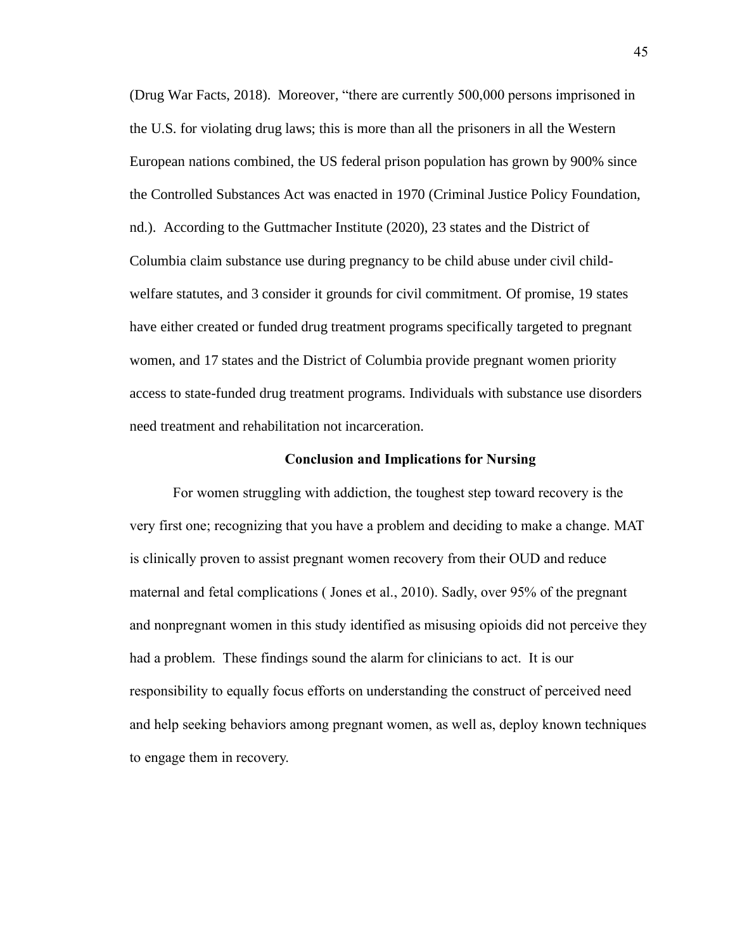(Drug War Facts, 2018). Moreover, "there are currently 500,000 persons imprisoned in the U.S. for violating drug laws; this is more than all the prisoners in all the Western European nations combined, the US federal prison population has grown by 900% since the Controlled Substances Act was enacted in 1970 (Criminal Justice Policy Foundation, nd.). According to the Guttmacher Institute (2020), 23 states and the District of Columbia claim substance use during pregnancy to be child abuse under civil childwelfare statutes, and 3 consider it grounds for civil commitment. Of promise, 19 states have either created or funded drug treatment programs specifically targeted to pregnant women, and 17 states and the District of Columbia provide pregnant women priority access to state-funded drug treatment programs. Individuals with substance use disorders need treatment and rehabilitation not incarceration.

#### **Conclusion and Implications for Nursing**

For women struggling with addiction, the toughest step toward recovery is the very first one; recognizing that you have a problem and deciding to make a change. MAT is clinically proven to assist pregnant women recovery from their OUD and reduce maternal and fetal complications ( Jones et al., 2010). Sadly, over 95% of the pregnant and nonpregnant women in this study identified as misusing opioids did not perceive they had a problem. These findings sound the alarm for clinicians to act. It is our responsibility to equally focus efforts on understanding the construct of perceived need and help seeking behaviors among pregnant women, as well as, deploy known techniques to engage them in recovery.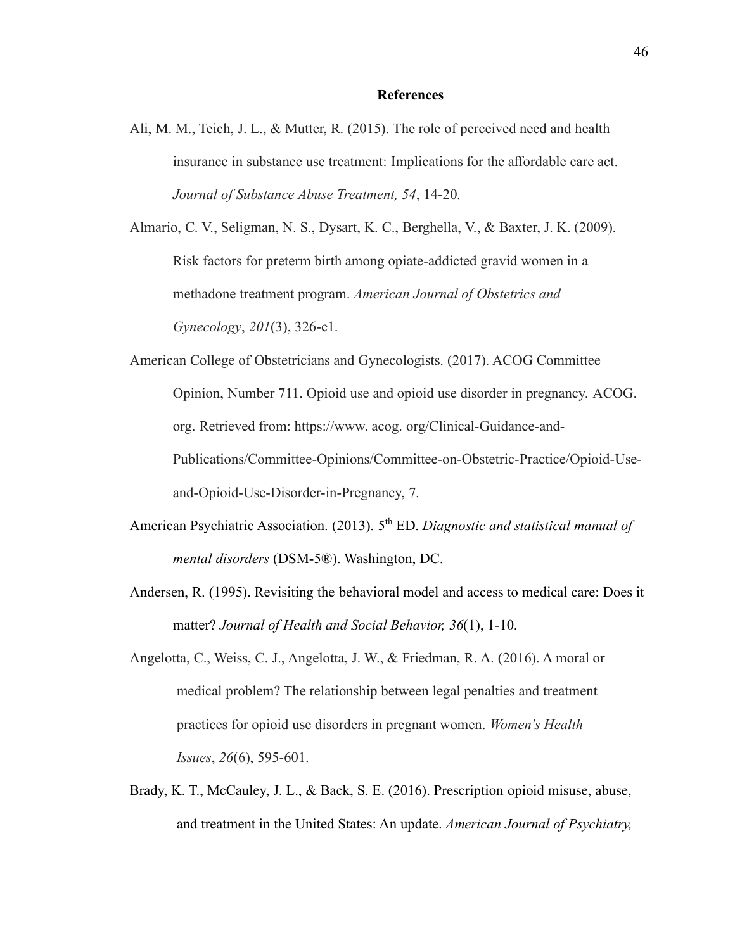#### **References**

Ali, M. M., Teich, J. L., & Mutter, R. (2015). The role of perceived need and health insurance in substance use treatment: Implications for the affordable care act. *Journal of Substance Abuse Treatment, 54*, 14-20.

Almario, C. V., Seligman, N. S., Dysart, K. C., Berghella, V., & Baxter, J. K. (2009). Risk factors for preterm birth among opiate-addicted gravid women in a methadone treatment program. *American Journal of Obstetrics and Gynecology*, *201*(3), 326-e1.

American College of Obstetricians and Gynecologists. (2017). ACOG Committee Opinion, Number 711. Opioid use and opioid use disorder in pregnancy. ACOG. org. Retrieved from: https://www. acog. org/Clinical-Guidance-and-Publications/Committee-Opinions/Committee-on-Obstetric-Practice/Opioid-Useand-Opioid-Use-Disorder-in-Pregnancy, 7.

- American Psychiatric Association. (2013). 5<sup>th</sup> ED. *Diagnostic and statistical manual of mental disorders* (DSM-5®). Washington, DC.
- Andersen, R. (1995). Revisiting the behavioral model and access to medical care: Does it matter? *Journal of Health and Social Behavior, 36*(1), 1-10.
- Angelotta, C., Weiss, C. J., Angelotta, J. W., & Friedman, R. A. (2016). A moral or medical problem? The relationship between legal penalties and treatment practices for opioid use disorders in pregnant women. *Women's Health Issues*, *26*(6), 595-601.
- Brady, K. T., McCauley, J. L., & Back, S. E. (2016). Prescription opioid misuse, abuse, and treatment in the United States: An update. *American Journal of Psychiatry,*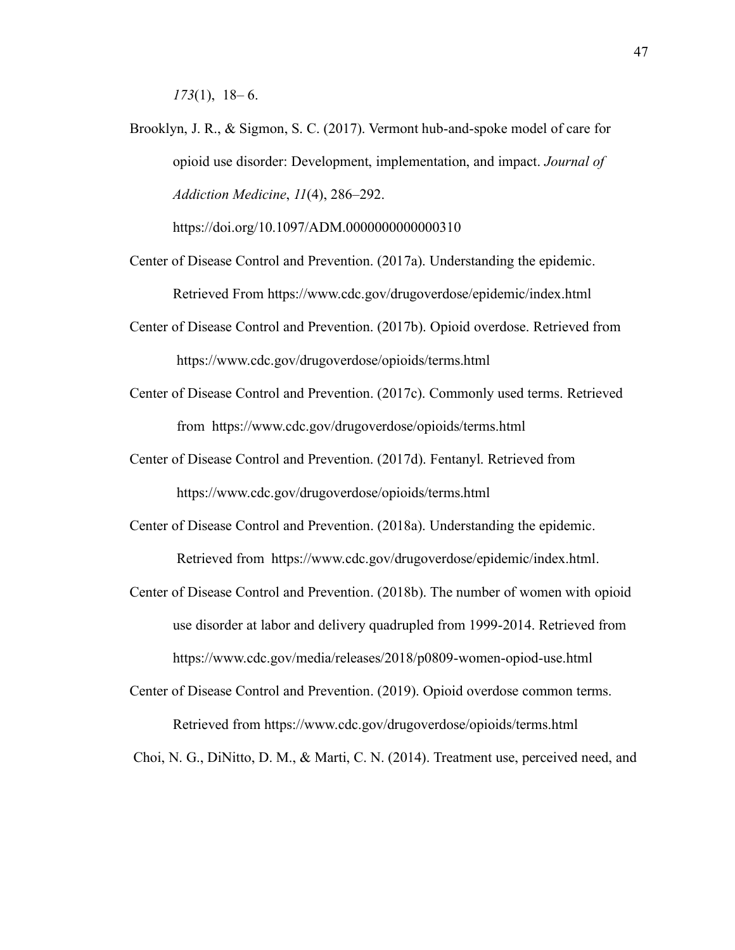*173*(1), 18– 6.

Brooklyn, J. R., & Sigmon, S. C. (2017). Vermont hub-and-spoke model of care for opioid use disorder: Development, implementation, and impact. *Journal of Addiction Medicine*, *11*(4), 286–292.

https://doi.org/10.1097/ADM.0000000000000310

- Center of Disease Control and Prevention. (2017a). Understanding the epidemic. Retrieved From https://www.cdc.gov/drugoverdose/epidemic/index.html
- Center of Disease Control and Prevention. (2017b). Opioid overdose. Retrieved from https://www.cdc.gov/drugoverdose/opioids/terms.html
- Center of Disease Control and Prevention. (2017c). Commonly used terms. Retrieved from https://www.cdc.gov/drugoverdose/opioids/terms.html
- Center of Disease Control and Prevention. (2017d). Fentanyl. Retrieved from https://www.cdc.gov/drugoverdose/opioids/terms.html
- Center of Disease Control and Prevention. (2018a). Understanding the epidemic. Retrieved from https://www.cdc.gov/drugoverdose/epidemic/index.html.
- Center of Disease Control and Prevention. (2018b). The number of women with opioid use disorder at labor and delivery quadrupled from 1999-2014. Retrieved from https://www.cdc.gov/media/releases/2018/p0809-women-opiod-use.html
- Center of Disease Control and Prevention. (2019). Opioid overdose common terms. Retrieved from https://www.cdc.gov/drugoverdose/opioids/terms.html

Choi, N. G., DiNitto, D. M., & Marti, C. N. (2014). Treatment use, perceived need, and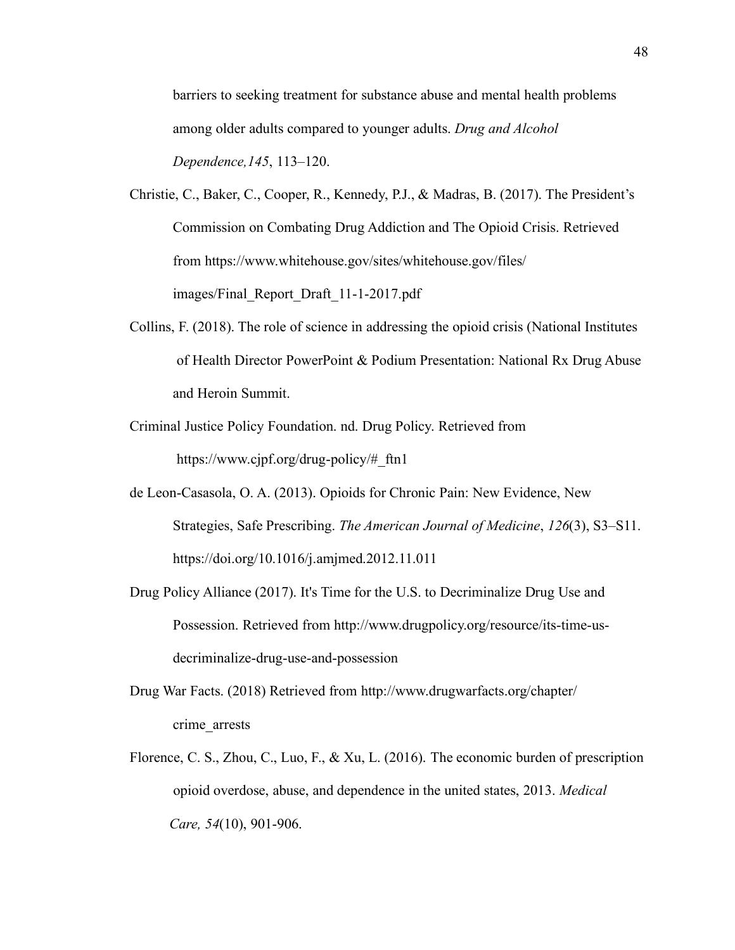barriers to seeking treatment for substance abuse and mental health problems among older adults compared to younger adults. *Drug and Alcohol Dependence,145*, 113–120.

- Christie, C., Baker, C., Cooper, R., Kennedy, P.J., & Madras, B. (2017). The President's Commission on Combating Drug Addiction and The Opioid Crisis. Retrieved from https://www.whitehouse.gov/sites/whitehouse.gov/files/ images/Final\_Report\_Draft\_11-1-2017.pdf
- Collins, F. (2018). The role of science in addressing the opioid crisis (National Institutes of Health Director PowerPoint & Podium Presentation: National Rx Drug Abuse and Heroin Summit.
- Criminal Justice Policy Foundation. nd. Drug Policy. Retrieved from https://www.cjpf.org/drug-policy/#\_ftn1
- de Leon-Casasola, O. A. (2013). Opioids for Chronic Pain: New Evidence, New Strategies, Safe Prescribing. *The American Journal of Medicine*, *126*(3), S3–S11. https://doi.org/10.1016/j.amjmed.2012.11.011
- Drug Policy Alliance (2017). It's Time for the U.S. to Decriminalize Drug Use and Possession. Retrieved from http://www.drugpolicy.org/resource/its-time-usdecriminalize-drug-use-and-possession
- Drug War Facts. (2018) Retrieved from http://www.drugwarfacts.org/chapter/ crime\_arrests
- Florence, C. S., Zhou, C., Luo, F., & Xu, L. (2016). The economic burden of prescription opioid overdose, abuse, and dependence in the united states, 2013. *Medical Care, 54*(10), 901-906.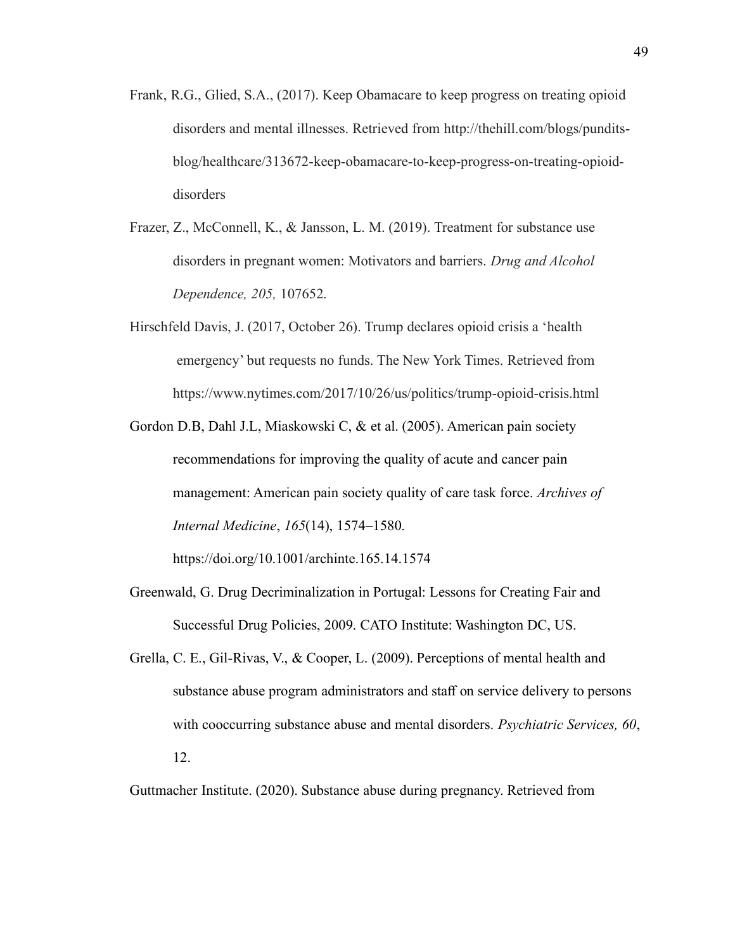- Frank, R.G., Glied, S.A., (2017). Keep Obamacare to keep progress on treating opioid disorders and mental illnesses. Retrieved from http://thehill.com/blogs/punditsblog/healthcare/313672-keep-obamacare-to-keep-progress-on-treating-opioiddisorders
- Frazer, Z., McConnell, K., & Jansson, L. M. (2019). Treatment for substance use disorders in pregnant women: Motivators and barriers. *Drug and Alcohol Dependence, 205,* 107652.
- Hirschfeld Davis, J. (2017, October 26). Trump declares opioid crisis a 'health emergency' but requests no funds. The New York Times. Retrieved from https://www.nytimes.com/2017/10/26/us/politics/trump-opioid-crisis.html
- Gordon D.B, Dahl J.L, Miaskowski C, & et al. (2005). American pain society recommendations for improving the quality of acute and cancer pain management: American pain society quality of care task force. *Archives of Internal Medicine*, *165*(14), 1574–1580.

https://doi.org/10.1001/archinte.165.14.1574

- Greenwald, G. Drug Decriminalization in Portugal: Lessons for Creating Fair and Successful Drug Policies, 2009. CATO Institute: Washington DC, US.
- Grella, C. E., Gil-Rivas, V., & Cooper, L. (2009). Perceptions of mental health and substance abuse program administrators and staff on service delivery to persons with cooccurring substance abuse and mental disorders. *Psychiatric Services, 60*, 12.

Guttmacher Institute. (2020). Substance abuse during pregnancy. Retrieved from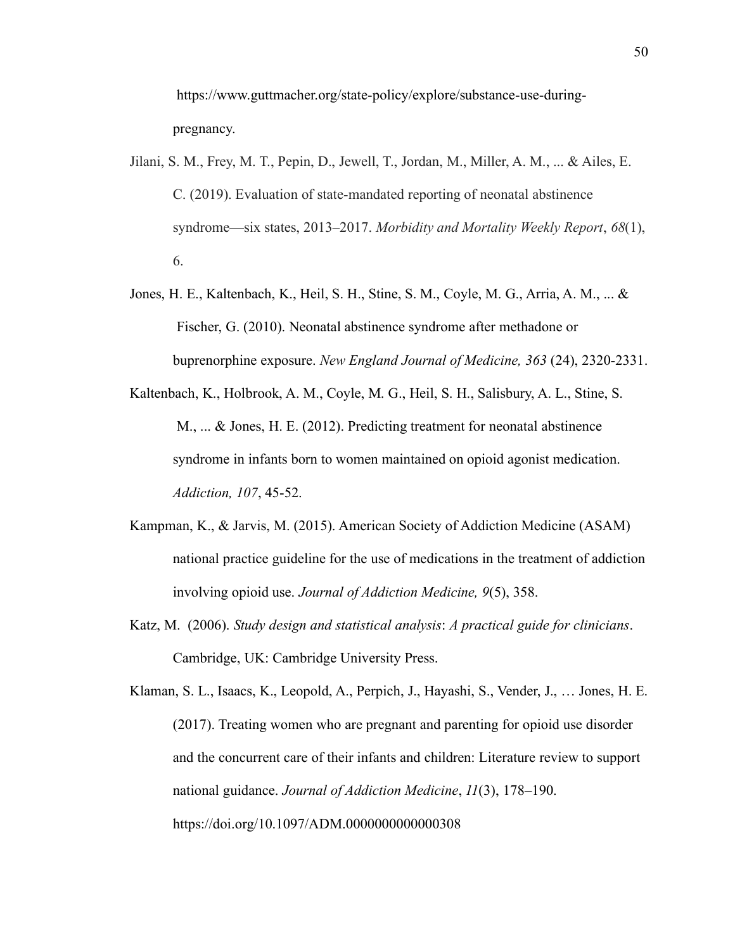https://www.guttmacher.org/state-policy/explore/substance-use-duringpregnancy.

- Jilani, S. M., Frey, M. T., Pepin, D., Jewell, T., Jordan, M., Miller, A. M., ... & Ailes, E. C. (2019). Evaluation of state-mandated reporting of neonatal abstinence syndrome—six states, 2013–2017. *Morbidity and Mortality Weekly Report*, *68*(1), 6.
- Jones, H. E., Kaltenbach, K., Heil, S. H., Stine, S. M., Coyle, M. G., Arria, A. M., ... & Fischer, G. (2010). Neonatal abstinence syndrome after methadone or buprenorphine exposure. *New England Journal of Medicine, 363* (24), 2320-2331.
- Kaltenbach, K., Holbrook, A. M., Coyle, M. G., Heil, S. H., Salisbury, A. L., Stine, S. M., ... & Jones, H. E. (2012). Predicting treatment for neonatal abstinence syndrome in infants born to women maintained on opioid agonist medication. *Addiction, 107*, 45-52.
- Kampman, K., & Jarvis, M. (2015). American Society of Addiction Medicine (ASAM) national practice guideline for the use of medications in the treatment of addiction involving opioid use. *Journal of Addiction Medicine, 9*(5), 358.
- Katz, M. (2006). *Study design and statistical analysis*: *A practical guide for clinicians*. Cambridge, UK: Cambridge University Press.

Klaman, S. L., Isaacs, K., Leopold, A., Perpich, J., Hayashi, S., Vender, J., … Jones, H. E. (2017). Treating women who are pregnant and parenting for opioid use disorder and the concurrent care of their infants and children: Literature review to support national guidance. *Journal of Addiction Medicine*, *11*(3), 178–190. https://doi.org/10.1097/ADM.0000000000000308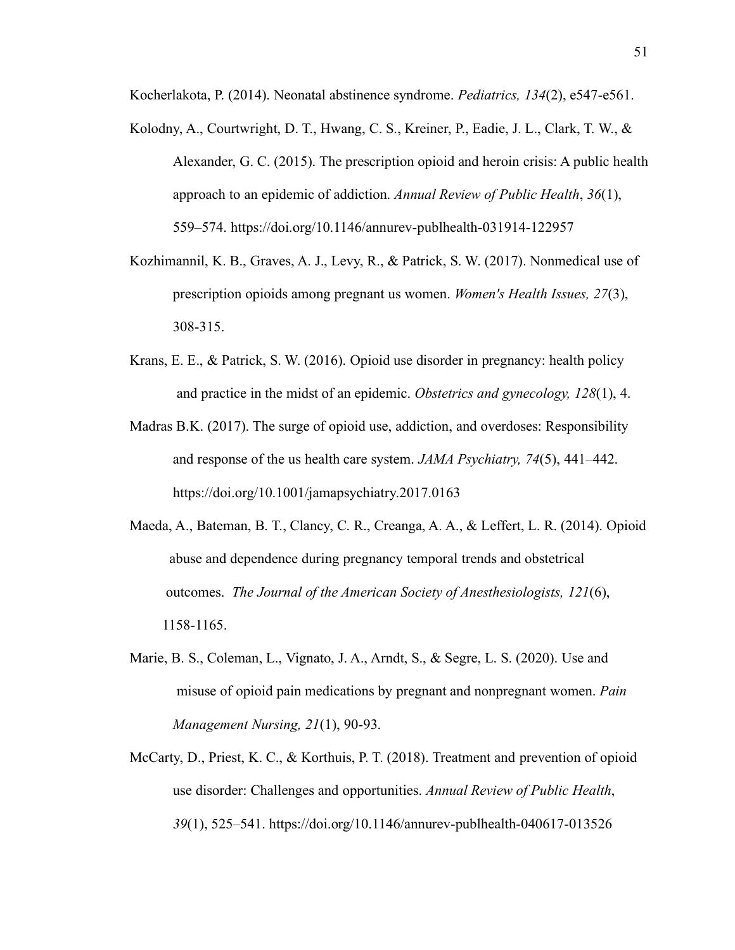Kocherlakota, P. (2014). Neonatal abstinence syndrome. *Pediatrics, 134*(2), e547-e561.

- Kolodny, A., Courtwright, D. T., Hwang, C. S., Kreiner, P., Eadie, J. L., Clark, T. W., & Alexander, G. C. (2015). The prescription opioid and heroin crisis: A public health approach to an epidemic of addiction. *Annual Review of Public Health*, *36*(1), 559–574. https://doi.org/10.1146/annurev-publhealth-031914-122957
- Kozhimannil, K. B., Graves, A. J., Levy, R., & Patrick, S. W. (2017). Nonmedical use of prescription opioids among pregnant us women. *Women's Health Issues, 27*(3), 308-315.
- Krans, E. E., & Patrick, S. W. (2016). Opioid use disorder in pregnancy: health policy and practice in the midst of an epidemic. *Obstetrics and gynecology, 128*(1), 4.
- Madras B.K. (2017). The surge of opioid use, addiction, and overdoses: Responsibility and response of the us health care system. *JAMA Psychiatry, 74*(5), 441–442. https://doi.org/10.1001/jamapsychiatry.2017.0163
- Maeda, A., Bateman, B. T., Clancy, C. R., Creanga, A. A., & Leffert, L. R. (2014). Opioid abuse and dependence during pregnancy temporal trends and obstetrical outcomes. *The Journal of the American Society of Anesthesiologists, 121*(6), 1158-1165.
- Marie, B. S., Coleman, L., Vignato, J. A., Arndt, S., & Segre, L. S. (2020). Use and misuse of opioid pain medications by pregnant and nonpregnant women. *Pain Management Nursing, 21*(1), 90-93.
- McCarty, D., Priest, K. C., & Korthuis, P. T. (2018). Treatment and prevention of opioid use disorder: Challenges and opportunities. *Annual Review of Public Health*, *39*(1), 525–541. https://doi.org/10.1146/annurev-publhealth-040617-013526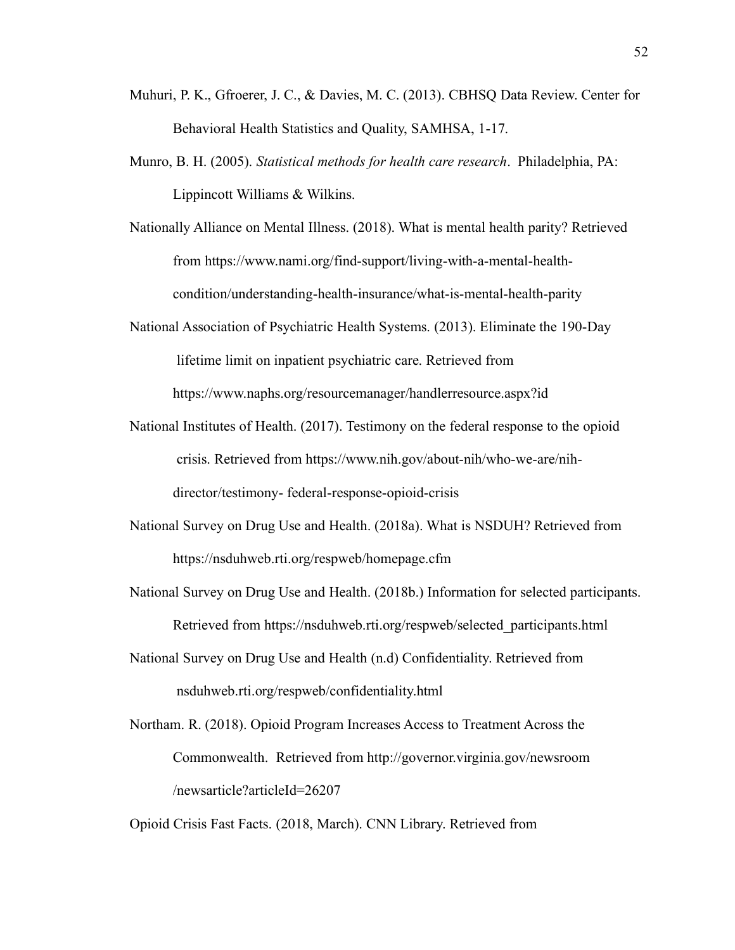- Muhuri, P. K., Gfroerer, J. C., & Davies, M. C. (2013). CBHSQ Data Review. Center for Behavioral Health Statistics and Quality, SAMHSA, 1-17.
- Munro, B. H. (2005). *Statistical methods for health care research*. Philadelphia, PA: Lippincott Williams & Wilkins.
- Nationally Alliance on Mental Illness. (2018). What is mental health parity? Retrieved from https://www.nami.org/find-support/living-with-a-mental-healthcondition/understanding-health-insurance/what-is-mental-health-parity
- National Association of Psychiatric Health Systems. (2013). Eliminate the 190-Day lifetime limit on inpatient psychiatric care. Retrieved from https://www.naphs.org/resourcemanager/handlerresource.aspx?id
- National Institutes of Health. (2017). Testimony on the federal response to the opioid crisis. Retrieved from https://www.nih.gov/about-nih/who-we-are/nihdirector/testimony- federal-response-opioid-crisis
- National Survey on Drug Use and Health. (2018a). What is NSDUH? Retrieved from https://nsduhweb.rti.org/respweb/homepage.cfm
- National Survey on Drug Use and Health. (2018b.) Information for selected participants. Retrieved from https://nsduhweb.rti.org/respweb/selected\_participants.html
- National Survey on Drug Use and Health (n.d) Confidentiality. Retrieved from nsduhweb.rti.org/respweb/confidentiality.html
- Northam. R. (2018). Opioid Program Increases Access to Treatment Across the Commonwealth. Retrieved from http://governor.virginia.gov/newsroom /newsarticle?articleId=26207

Opioid Crisis Fast Facts. (2018, March). CNN Library. Retrieved from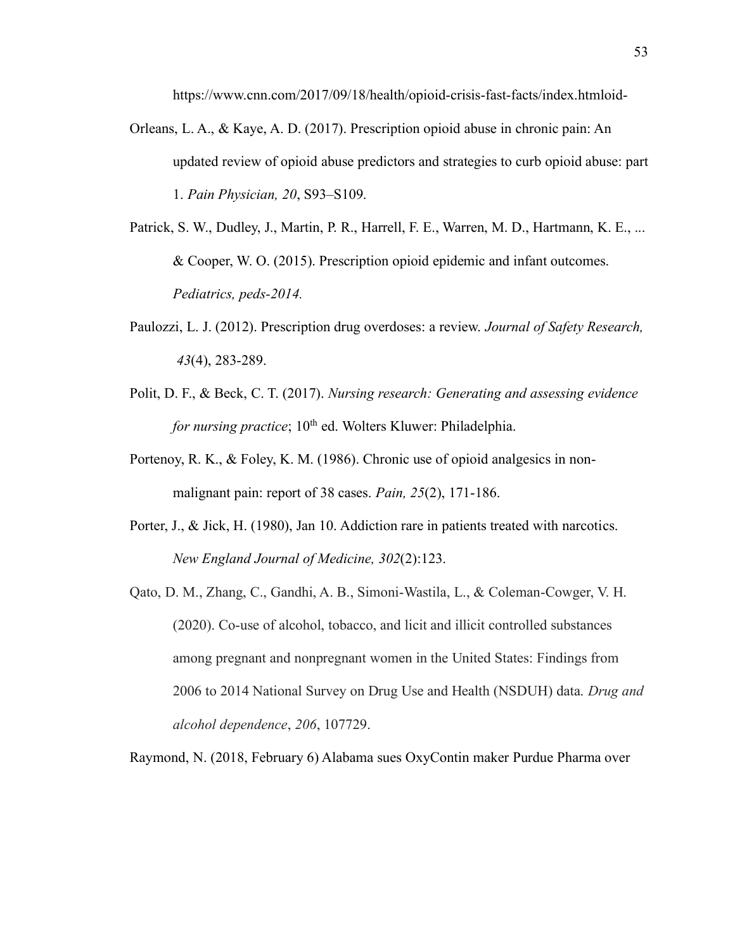https://www.cnn.com/2017/09/18/health/opioid-crisis-fast-facts/index.htmloid-

- Orleans, L. A., & Kaye, A. D. (2017). Prescription opioid abuse in chronic pain: An updated review of opioid abuse predictors and strategies to curb opioid abuse: part 1. *Pain Physician, 20*, S93–S109.
- Patrick, S. W., Dudley, J., Martin, P. R., Harrell, F. E., Warren, M. D., Hartmann, K. E., ... & Cooper, W. O. (2015). Prescription opioid epidemic and infant outcomes. *Pediatrics, peds-2014.*
- Paulozzi, L. J. (2012). Prescription drug overdoses: a review. *Journal of Safety Research, 43*(4), 283-289.
- Polit, D. F., & Beck, C. T. (2017). *Nursing research: Generating and assessing evidence for nursing practice*; 10<sup>th</sup> ed. Wolters Kluwer: Philadelphia.
- Portenoy, R. K., & Foley, K. M. (1986). Chronic use of opioid analgesics in nonmalignant pain: report of 38 cases. *Pain, 25*(2), 171-186.
- Porter, J., & Jick, H. (1980), Jan 10. Addiction rare in patients treated with narcotics. *New England Journal of Medicine, 302*(2):123.
- Qato, D. M., Zhang, C., Gandhi, A. B., Simoni-Wastila, L., & Coleman-Cowger, V. H. (2020). Co-use of alcohol, tobacco, and licit and illicit controlled substances among pregnant and nonpregnant women in the United States: Findings from 2006 to 2014 National Survey on Drug Use and Health (NSDUH) data. *Drug and alcohol dependence*, *206*, 107729.

Raymond, N. (2018, February 6) Alabama sues OxyContin maker Purdue Pharma over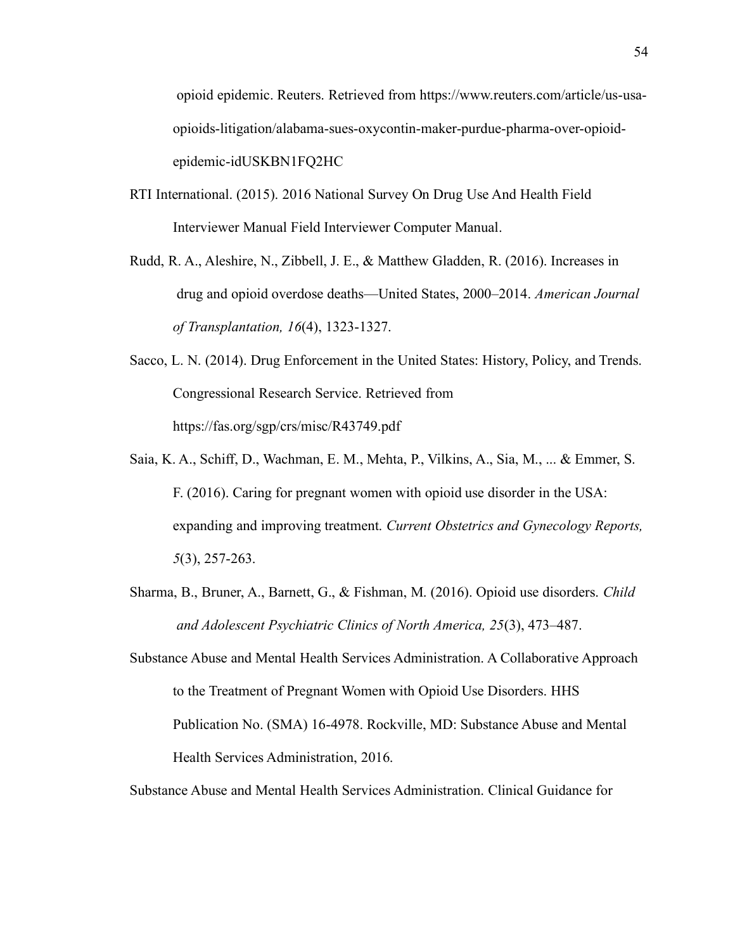opioid epidemic. Reuters. Retrieved from https://www.reuters.com/article/us-usaopioids-litigation/alabama-sues-oxycontin-maker-purdue-pharma-over-opioidepidemic-idUSKBN1FQ2HC

- RTI International. (2015). 2016 National Survey On Drug Use And Health Field Interviewer Manual Field Interviewer Computer Manual.
- Rudd, R. A., Aleshire, N., Zibbell, J. E., & Matthew Gladden, R. (2016). Increases in drug and opioid overdose deaths—United States, 2000–2014. *American Journal of Transplantation, 16*(4), 1323-1327.
- Sacco, L. N. (2014). Drug Enforcement in the United States: History, Policy, and Trends. Congressional Research Service. Retrieved from https://fas.org/sgp/crs/misc/R43749.pdf
- Saia, K. A., Schiff, D., Wachman, E. M., Mehta, P., Vilkins, A., Sia, M., ... & Emmer, S. F. (2016). Caring for pregnant women with opioid use disorder in the USA: expanding and improving treatment. *Current Obstetrics and Gynecology Reports, 5*(3), 257-263.
- Sharma, B., Bruner, A., Barnett, G., & Fishman, M. (2016). Opioid use disorders. *Child and Adolescent Psychiatric Clinics of North America, 25*(3), 473–487.
- Substance Abuse and Mental Health Services Administration. A Collaborative Approach to the Treatment of Pregnant Women with Opioid Use Disorders. HHS Publication No. (SMA) 16-4978. Rockville, MD: Substance Abuse and Mental Health Services Administration, 2016.

Substance Abuse and Mental Health Services Administration. Clinical Guidance for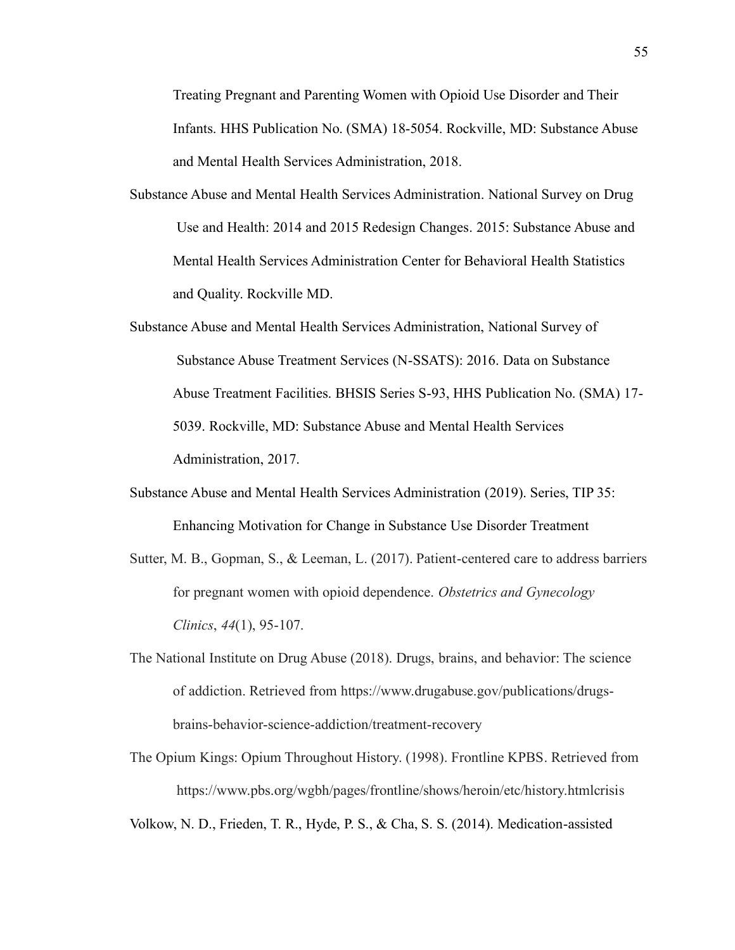Treating Pregnant and Parenting Women with Opioid Use Disorder and Their Infants. HHS Publication No. (SMA) 18-5054. Rockville, MD: Substance Abuse and Mental Health Services Administration, 2018.

- Substance Abuse and Mental Health Services Administration. National Survey on Drug Use and Health: 2014 and 2015 Redesign Changes. 2015: Substance Abuse and Mental Health Services Administration Center for Behavioral Health Statistics and Quality. Rockville MD.
- Substance Abuse and Mental Health Services Administration, National Survey of Substance Abuse Treatment Services (N-SSATS): 2016. Data on Substance Abuse Treatment Facilities. BHSIS Series S-93, HHS Publication No. (SMA) 17- 5039. Rockville, MD: Substance Abuse and Mental Health Services Administration, 2017.
- Substance Abuse and Mental Health Services Administration (2019). Series, TIP 35: Enhancing Motivation for Change in Substance Use Disorder Treatment
- Sutter, M. B., Gopman, S., & Leeman, L. (2017). Patient-centered care to address barriers for pregnant women with opioid dependence. *Obstetrics and Gynecology Clinics*, *44*(1), 95-107.
- The National Institute on Drug Abuse (2018). Drugs, brains, and behavior: The science of addiction. Retrieved from https://www.drugabuse.gov/publications/drugsbrains-behavior-science-addiction/treatment-recovery
- The Opium Kings: Opium Throughout History. (1998). Frontline KPBS. Retrieved from https://www.pbs.org/wgbh/pages/frontline/shows/heroin/etc/history.htmlcrisis

Volkow, N. D., Frieden, T. R., Hyde, P. S., & Cha, S. S. (2014). Medication-assisted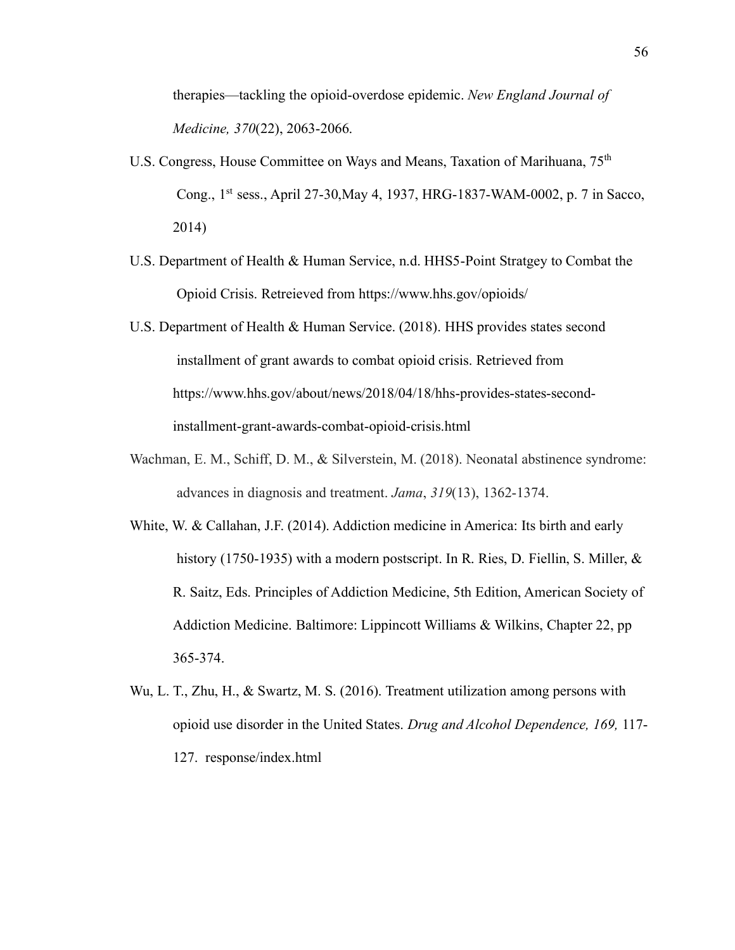therapies—tackling the opioid-overdose epidemic. *New England Journal of Medicine, 370*(22), 2063-2066.

- U.S. Congress, House Committee on Ways and Means, Taxation of Marihuana, 75<sup>th</sup> Cong., 1st sess., April 27-30,May 4, 1937, HRG-1837-WAM-0002, p. 7 in Sacco, 2014)
- U.S. Department of Health & Human Service, n.d. HHS5-Point Stratgey to Combat the Opioid Crisis. Retreieved from https://www.hhs.gov/opioids/
- U.S. Department of Health & Human Service. (2018). HHS provides states second installment of grant awards to combat opioid crisis. Retrieved from https://www.hhs.gov/about/news/2018/04/18/hhs-provides-states-secondinstallment-grant-awards-combat-opioid-crisis.html
- Wachman, E. M., Schiff, D. M., & Silverstein, M. (2018). Neonatal abstinence syndrome: advances in diagnosis and treatment. *Jama*, *319*(13), 1362-1374.
- White, W. & Callahan, J.F. (2014). Addiction medicine in America: Its birth and early history (1750-1935) with a modern postscript. In R. Ries, D. Fiellin, S. Miller, & R. Saitz, Eds. Principles of Addiction Medicine, 5th Edition, American Society of Addiction Medicine. Baltimore: Lippincott Williams & Wilkins, Chapter 22, pp 365-374.
- Wu, L. T., Zhu, H., & Swartz, M. S. (2016). Treatment utilization among persons with opioid use disorder in the United States. *Drug and Alcohol Dependence, 169,* 117- 127. response/index.html